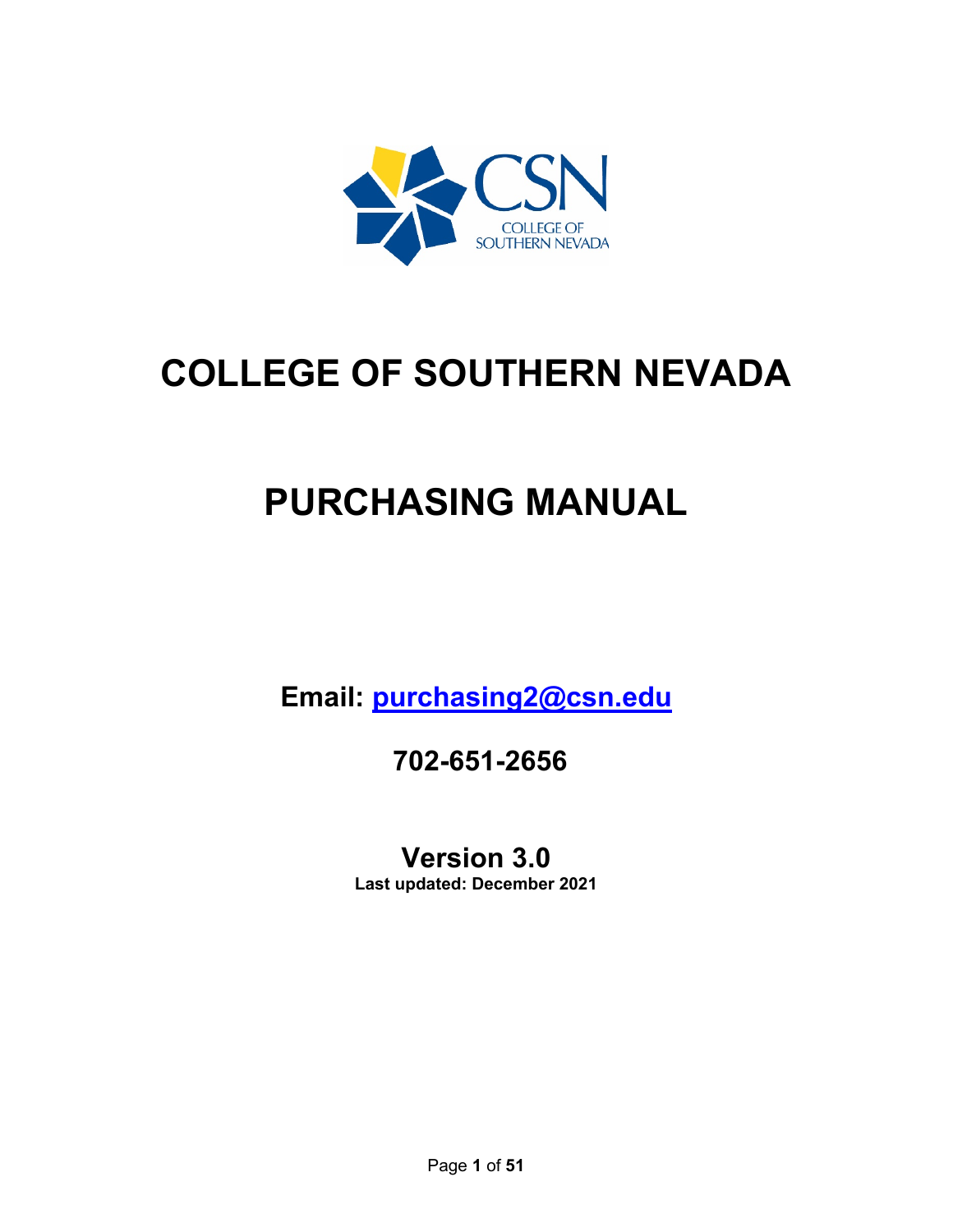

# **COLLEGE OF SOUTHERN NEVADA**

# **PURCHASING MANUAL**

**Email: [purchasing2@csn.edu](mailto:purchasing2@csn.edu)**

**702-651-2656**

**Version 3.0**

**Last updated: December 2021**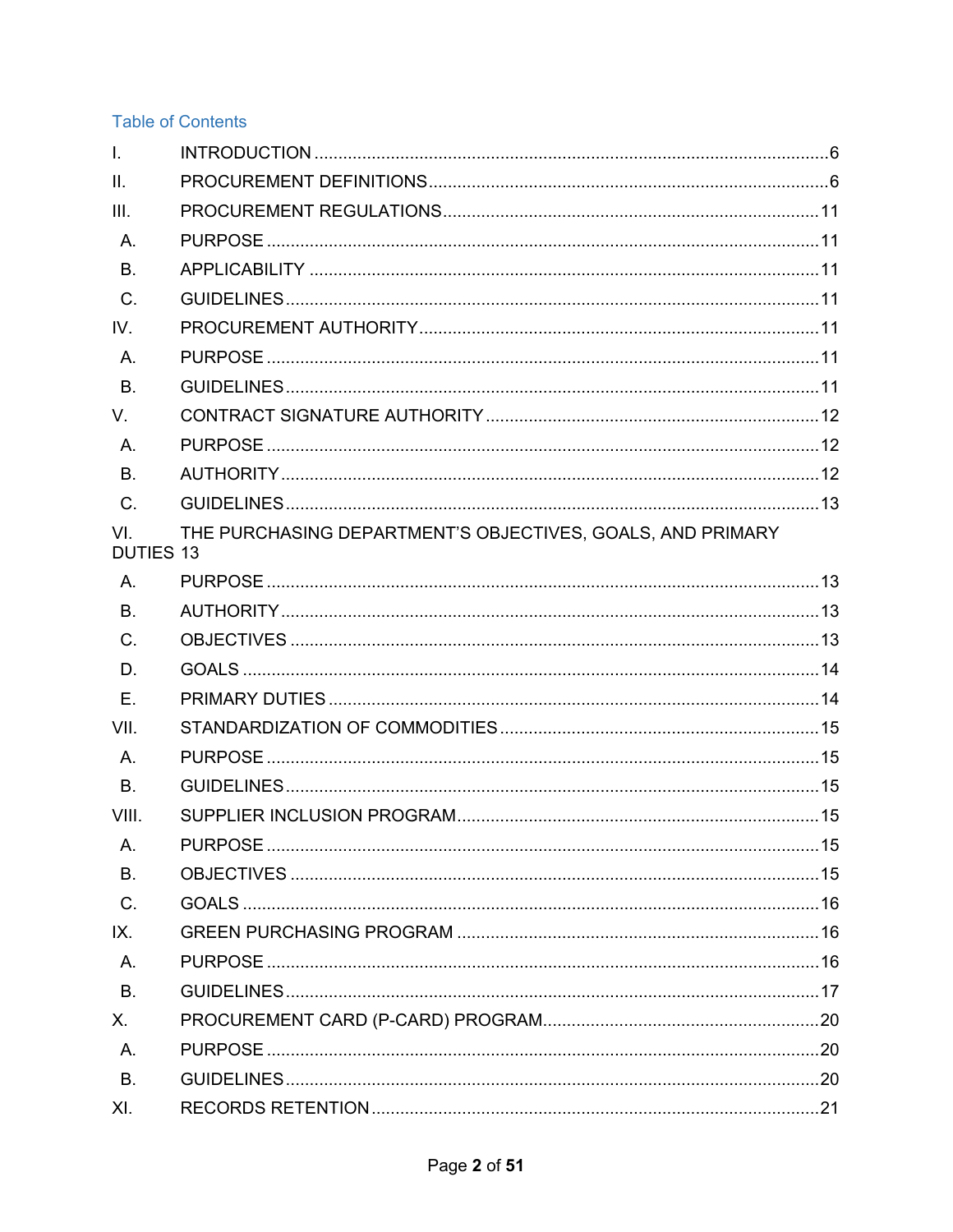# **Table of Contents**

| $\mathbf{L}$            |                                                            |  |
|-------------------------|------------------------------------------------------------|--|
| II.                     |                                                            |  |
| III.                    |                                                            |  |
| A.                      |                                                            |  |
| B.                      |                                                            |  |
| $C$ .                   |                                                            |  |
| IV.                     |                                                            |  |
| A.                      |                                                            |  |
| <b>B.</b>               |                                                            |  |
| $V_{\cdot}$             |                                                            |  |
| A.                      |                                                            |  |
| B.                      |                                                            |  |
| $C$ .                   |                                                            |  |
| VI.<br><b>DUTIES 13</b> | THE PURCHASING DEPARTMENT'S OBJECTIVES, GOALS, AND PRIMARY |  |
| $\mathsf{A}$ .          |                                                            |  |
| <b>B.</b>               |                                                            |  |
| $C$ .                   |                                                            |  |
| D.                      |                                                            |  |
| Ε.                      |                                                            |  |
| VII.                    |                                                            |  |
| A.                      |                                                            |  |
| B.                      |                                                            |  |
| VIII.                   |                                                            |  |
| A.                      |                                                            |  |
| B.                      |                                                            |  |
| C.                      |                                                            |  |
| IX.                     |                                                            |  |
| A.                      |                                                            |  |
| B.                      |                                                            |  |
| X.                      |                                                            |  |
| A.                      |                                                            |  |
| <b>B.</b>               |                                                            |  |
| XI.                     |                                                            |  |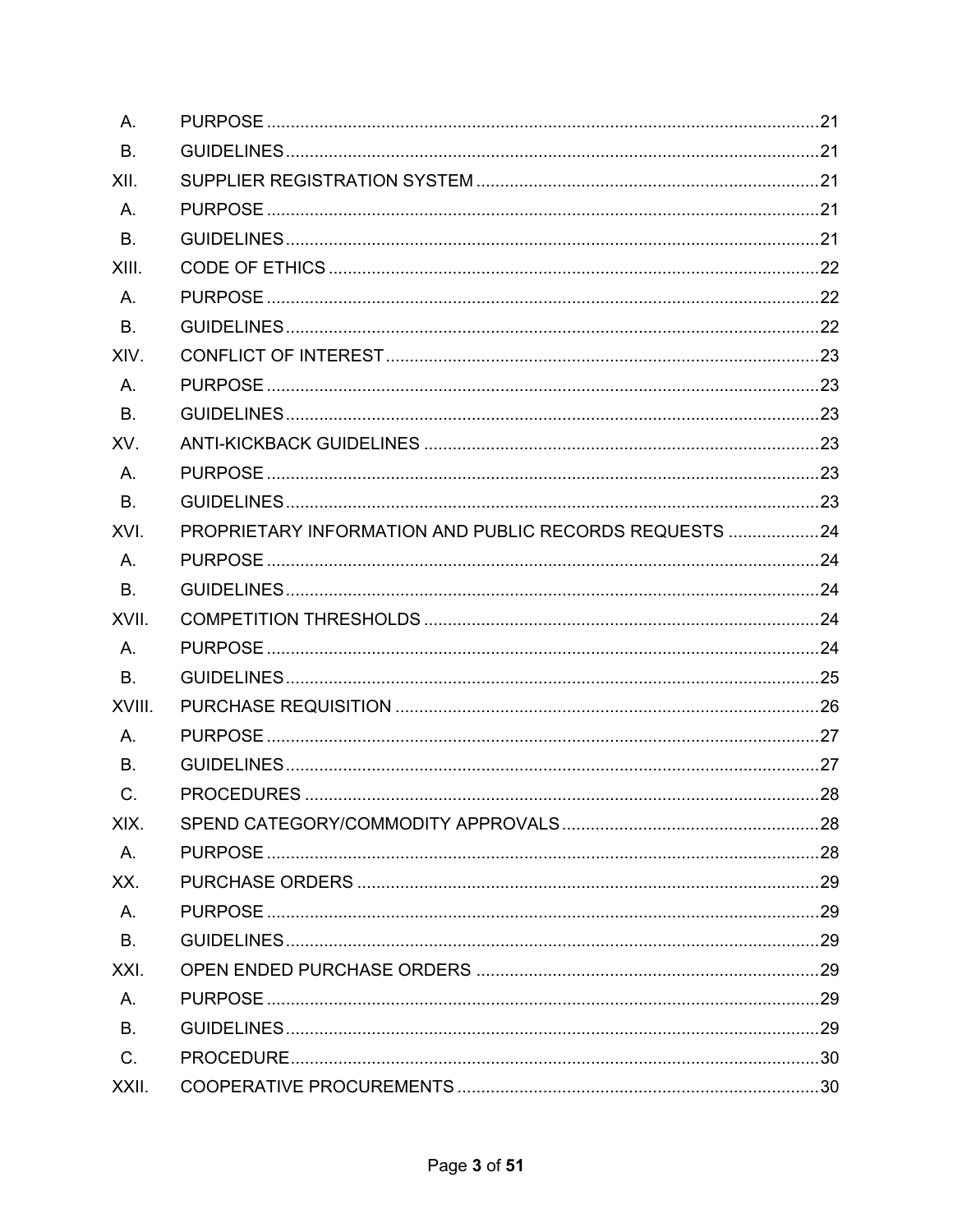| Α.             |                                                         |  |
|----------------|---------------------------------------------------------|--|
| <b>B.</b>      |                                                         |  |
| XII.           |                                                         |  |
| Α.             |                                                         |  |
| <b>B.</b>      |                                                         |  |
| XIII.          |                                                         |  |
| Α.             |                                                         |  |
| <b>B.</b>      |                                                         |  |
| XIV.           |                                                         |  |
| Α.             |                                                         |  |
| <b>B.</b>      |                                                         |  |
| XV.            |                                                         |  |
| Α.             |                                                         |  |
| <b>B.</b>      |                                                         |  |
| XVI.           | PROPRIETARY INFORMATION AND PUBLIC RECORDS REQUESTS  24 |  |
| Α.             |                                                         |  |
| В.             |                                                         |  |
| XVII.          |                                                         |  |
| Α.             |                                                         |  |
| B <sub>1</sub> |                                                         |  |
| XVIII.         |                                                         |  |
| Α.             |                                                         |  |
| <b>B.</b>      |                                                         |  |
| C.             |                                                         |  |
| XIX.           |                                                         |  |
| A.             |                                                         |  |
| XX.            |                                                         |  |
| A.             |                                                         |  |
| <b>B.</b>      |                                                         |  |
| XXI.           |                                                         |  |
| A.             |                                                         |  |
| B <sub>1</sub> |                                                         |  |
| C.             |                                                         |  |
| XXII.          |                                                         |  |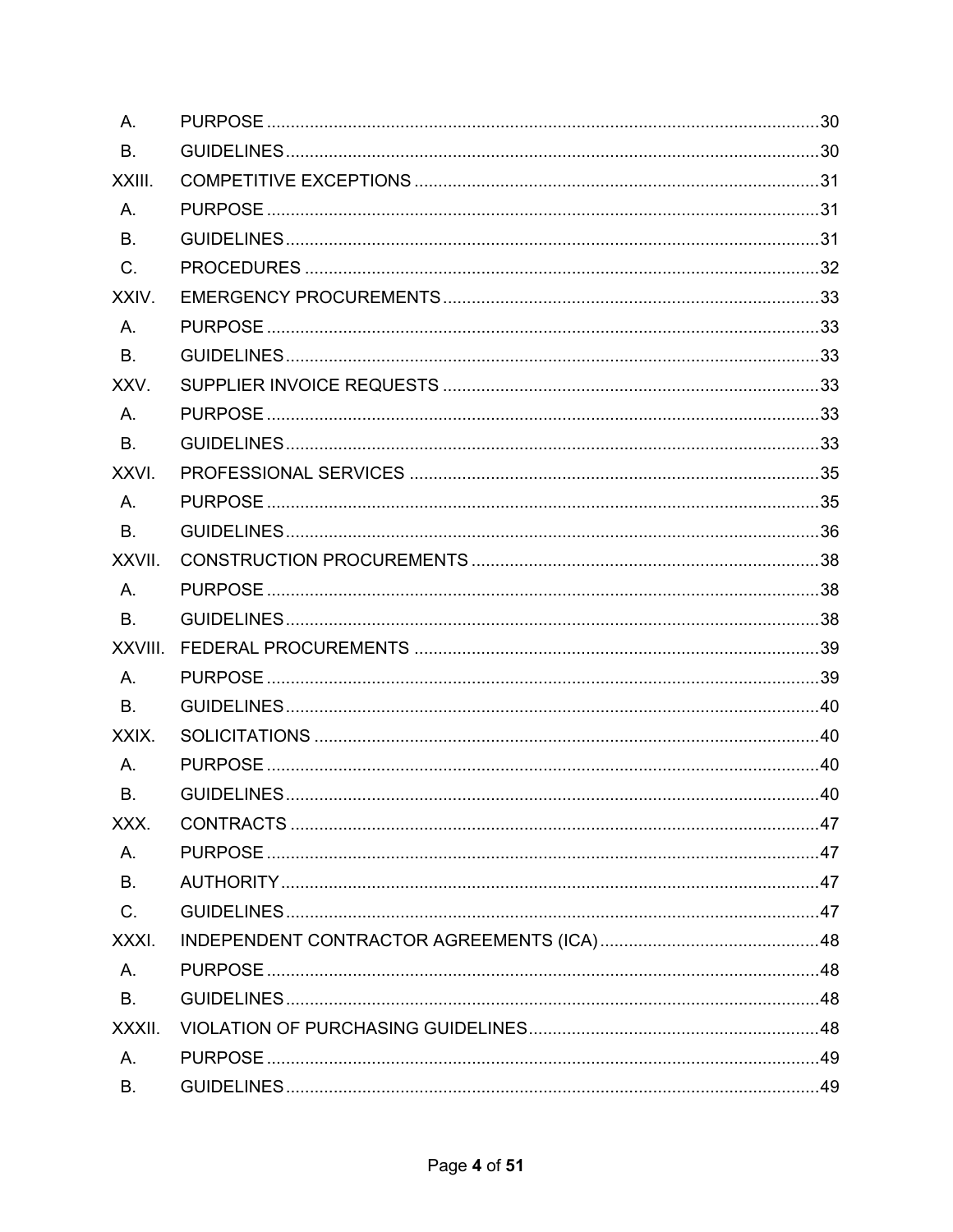| Α.        |  |
|-----------|--|
| <b>B.</b> |  |
| XXIII.    |  |
| A.        |  |
| <b>B.</b> |  |
| $C$ .     |  |
| XXIV.     |  |
| A.        |  |
| <b>B.</b> |  |
| XXV.      |  |
| A.        |  |
| <b>B.</b> |  |
| XXVI.     |  |
| A.        |  |
| <b>B.</b> |  |
| XXVII.    |  |
| Α.        |  |
| <b>B.</b> |  |
| XXVIII.   |  |
| A.        |  |
| <b>B.</b> |  |
|           |  |
| XXIX.     |  |
| Α.        |  |
| В.        |  |
| XXX.      |  |
| A.        |  |
| B.        |  |
| $C$ .     |  |
| XXXI.     |  |
| A.        |  |
| <b>B.</b> |  |
| XXXII.    |  |
| A.        |  |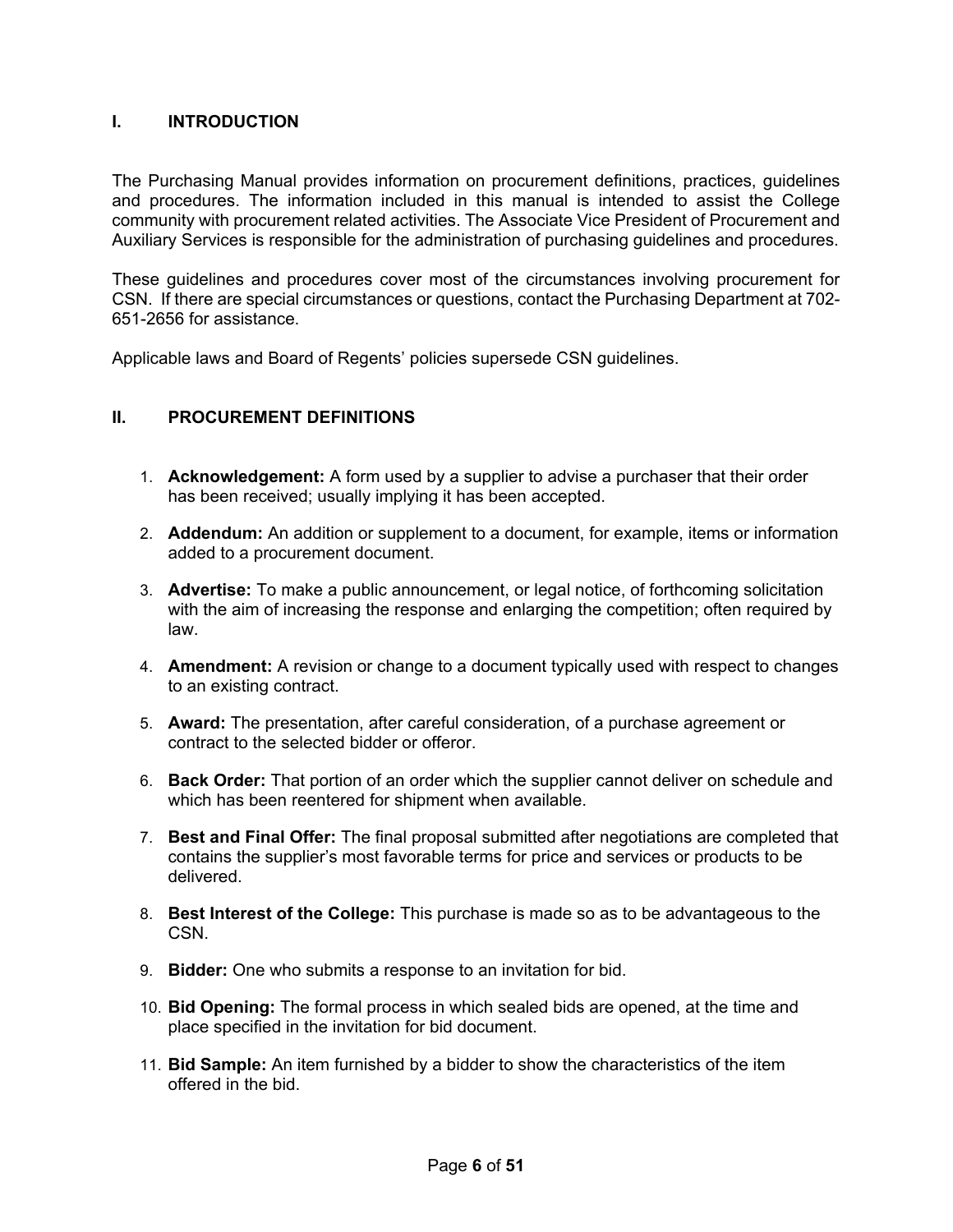## <span id="page-5-0"></span>**I. INTRODUCTION**

The Purchasing Manual provides information on procurement definitions, practices, guidelines and procedures. The information included in this manual is intended to assist the College community with procurement related activities. The Associate Vice President of Procurement and Auxiliary Services is responsible for the administration of purchasing guidelines and procedures.

These guidelines and procedures cover most of the circumstances involving procurement for CSN. If there are special circumstances or questions, contact the Purchasing Department at 702- 651-2656 for assistance.

Applicable laws and Board of Regents' policies supersede CSN guidelines.

## <span id="page-5-1"></span>**II. PROCUREMENT DEFINITIONS**

- 1. **Acknowledgement:** A form used by a supplier to advise a purchaser that their order has been received; usually implying it has been accepted.
- 2. **Addendum:** An addition or supplement to a document, for example, items or information added to a procurement document.
- 3. **Advertise:** To make a public announcement, or legal notice, of forthcoming solicitation with the aim of increasing the response and enlarging the competition; often required by law.
- 4. **Amendment:** A revision or change to a document typically used with respect to changes to an existing contract.
- 5. **Award:** The presentation, after careful consideration, of a purchase agreement or contract to the selected bidder or offeror.
- 6. **Back Order:** That portion of an order which the supplier cannot deliver on schedule and which has been reentered for shipment when available.
- 7. **Best and Final Offer:** The final proposal submitted after negotiations are completed that contains the supplier's most favorable terms for price and services or products to be delivered.
- 8. **Best Interest of the College:** This purchase is made so as to be advantageous to the CSN.
- 9. **Bidder:** One who submits a response to an invitation for bid.
- 10. **Bid Opening:** The formal process in which sealed bids are opened, at the time and place specified in the invitation for bid document.
- 11. **Bid Sample:** An item furnished by a bidder to show the characteristics of the item offered in the bid.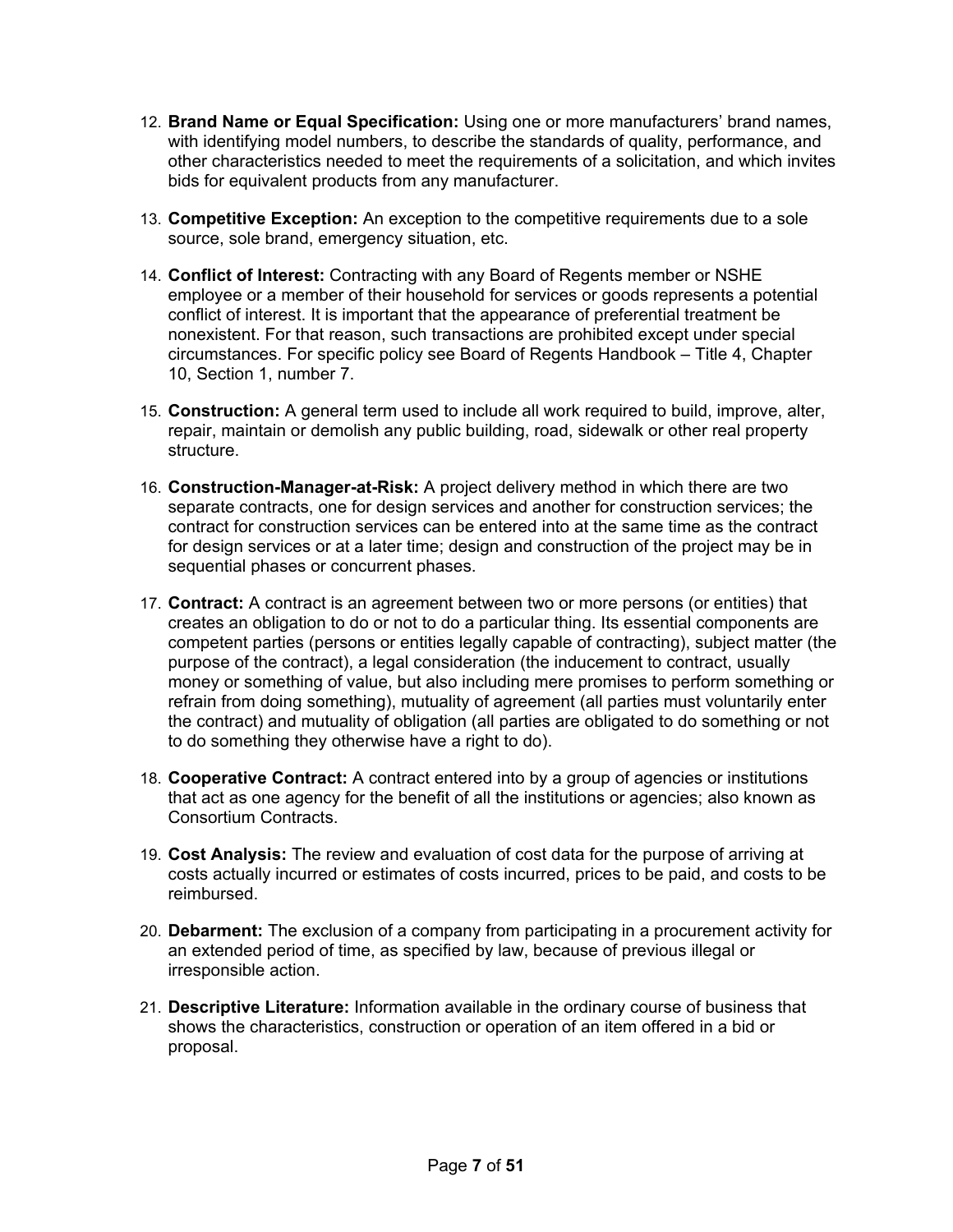- 12. **Brand Name or Equal Specification:** Using one or more manufacturers' brand names, with identifying model numbers, to describe the standards of quality, performance, and other characteristics needed to meet the requirements of a solicitation, and which invites bids for equivalent products from any manufacturer.
- 13. **Competitive Exception:** An exception to the competitive requirements due to a sole source, sole brand, emergency situation, etc.
- 14. **Conflict of Interest:** Contracting with any Board of Regents member or NSHE employee or a member of their household for services or goods represents a potential conflict of interest. It is important that the appearance of preferential treatment be nonexistent. For that reason, such transactions are prohibited except under special circumstances. For specific policy see Board of Regents Handbook – Title 4, Chapter 10, Section 1, number 7.
- 15. **Construction:** A general term used to include all work required to build, improve, alter, repair, maintain or demolish any public building, road, sidewalk or other real property structure.
- 16. **Construction-Manager-at-Risk:** A project delivery method in which there are two separate contracts, one for design services and another for construction services; the contract for construction services can be entered into at the same time as the contract for design services or at a later time; design and construction of the project may be in sequential phases or concurrent phases.
- 17. **Contract:** A contract is an agreement between two or more persons (or entities) that creates an obligation to do or not to do a particular thing. Its essential components are competent parties (persons or entities legally capable of contracting), subject matter (the purpose of the contract), a legal consideration (the inducement to contract, usually money or something of value, but also including mere promises to perform something or refrain from doing something), mutuality of agreement (all parties must voluntarily enter the contract) and mutuality of obligation (all parties are obligated to do something or not to do something they otherwise have a right to do).
- 18. **Cooperative Contract:** A contract entered into by a group of agencies or institutions that act as one agency for the benefit of all the institutions or agencies; also known as Consortium Contracts.
- 19. **Cost Analysis:** The review and evaluation of cost data for the purpose of arriving at costs actually incurred or estimates of costs incurred, prices to be paid, and costs to be reimbursed.
- 20. **Debarment:** The exclusion of a company from participating in a procurement activity for an extended period of time, as specified by law, because of previous illegal or irresponsible action.
- 21. **Descriptive Literature:** Information available in the ordinary course of business that shows the characteristics, construction or operation of an item offered in a bid or proposal.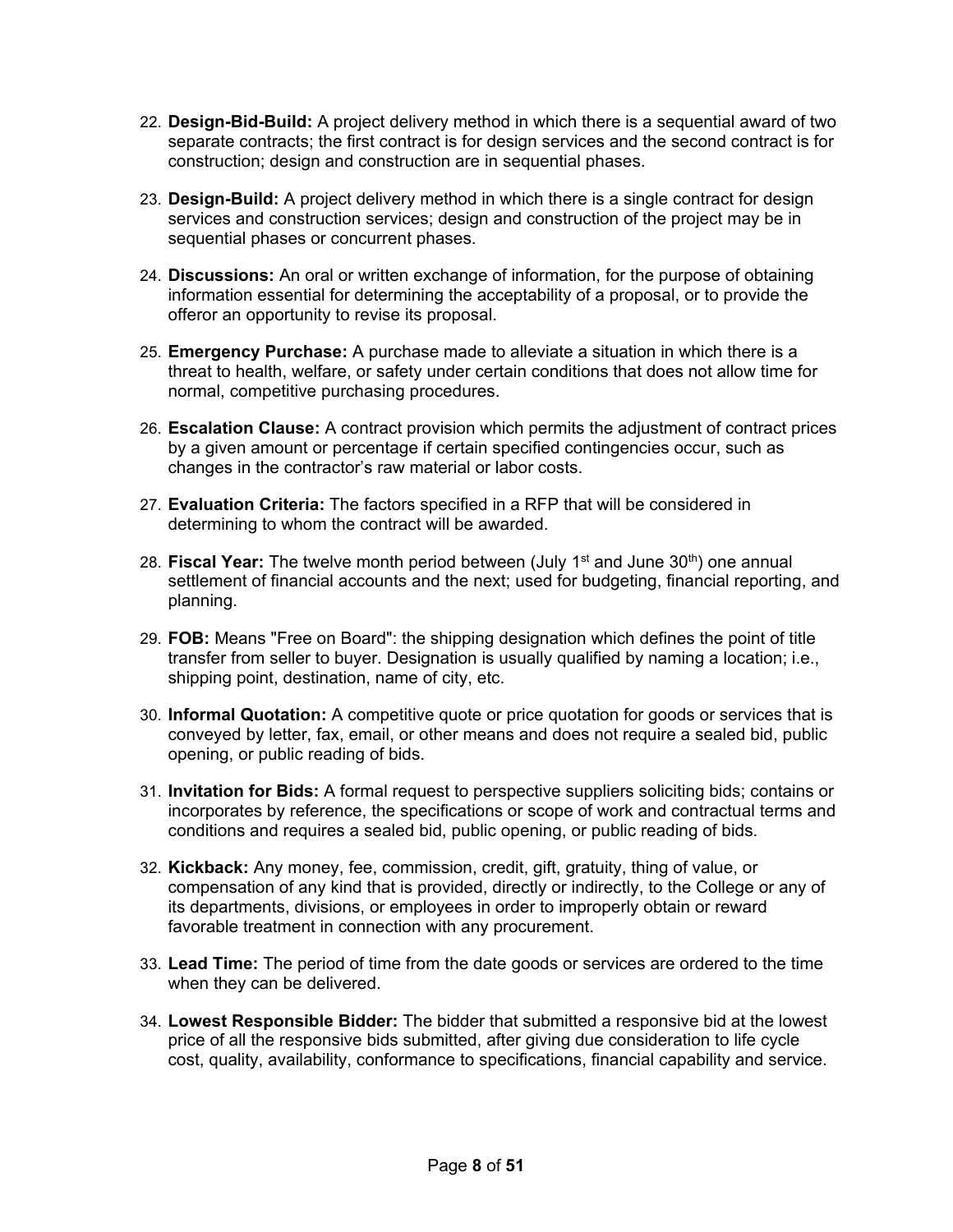- 22. **Design-Bid-Build:** A project delivery method in which there is a sequential award of two separate contracts; the first contract is for design services and the second contract is for construction; design and construction are in sequential phases.
- 23. **Design-Build:** A project delivery method in which there is a single contract for design services and construction services; design and construction of the project may be in sequential phases or concurrent phases.
- 24. **Discussions:** An oral or written exchange of information, for the purpose of obtaining information essential for determining the acceptability of a proposal, or to provide the offeror an opportunity to revise its proposal.
- 25. **Emergency Purchase:** A purchase made to alleviate a situation in which there is a threat to health, welfare, or safety under certain conditions that does not allow time for normal, competitive purchasing procedures.
- 26. **Escalation Clause:** A contract provision which permits the adjustment of contract prices by a given amount or percentage if certain specified contingencies occur, such as changes in the contractor's raw material or labor costs.
- 27. **Evaluation Criteria:** The factors specified in a RFP that will be considered in determining to whom the contract will be awarded.
- 28. **Fiscal Year:** The twelve month period between (July 1<sup>st</sup> and June 30<sup>th</sup>) one annual settlement of financial accounts and the next; used for budgeting, financial reporting, and planning.
- 29. **FOB:** Means "Free on Board": the shipping designation which defines the point of title transfer from seller to buyer. Designation is usually qualified by naming a location; i.e., shipping point, destination, name of city, etc.
- 30. **Informal Quotation:** A competitive quote or price quotation for goods or services that is conveyed by letter, fax, email, or other means and does not require a sealed bid, public opening, or public reading of bids.
- 31. **Invitation for Bids:** A formal request to perspective suppliers soliciting bids; contains or incorporates by reference, the specifications or scope of work and contractual terms and conditions and requires a sealed bid, public opening, or public reading of bids.
- 32. **Kickback:** Any money, fee, commission, credit, gift, gratuity, thing of value, or compensation of any kind that is provided, directly or indirectly, to the College or any of its departments, divisions, or employees in order to improperly obtain or reward favorable treatment in connection with any procurement.
- 33. **Lead Time:** The period of time from the date goods or services are ordered to the time when they can be delivered.
- 34. **Lowest Responsible Bidder:** The bidder that submitted a responsive bid at the lowest price of all the responsive bids submitted, after giving due consideration to life cycle cost, quality, availability, conformance to specifications, financial capability and service.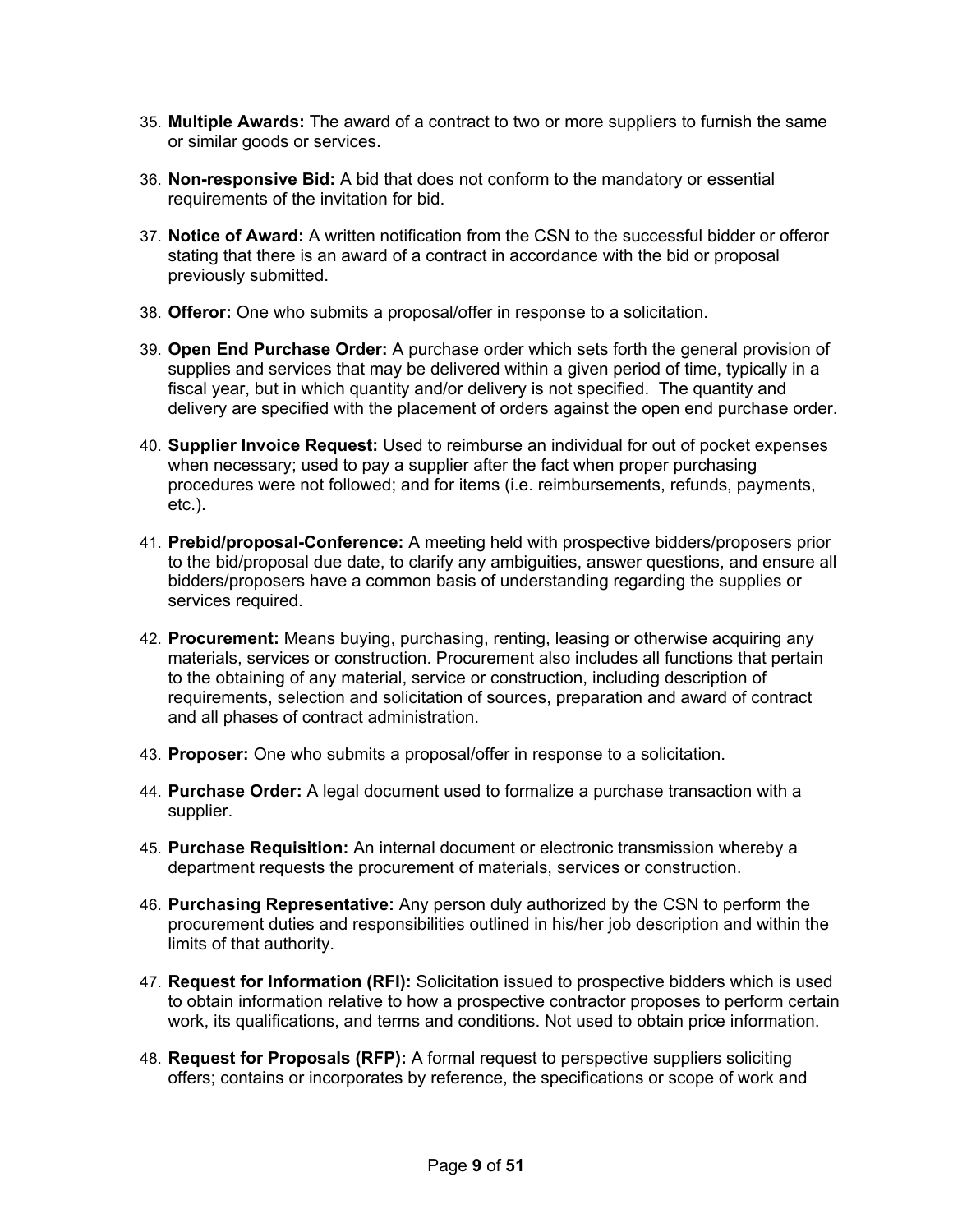- 35. **Multiple Awards:** The award of a contract to two or more suppliers to furnish the same or similar goods or services.
- 36. **Non-responsive Bid:** A bid that does not conform to the mandatory or essential requirements of the invitation for bid.
- 37. **Notice of Award:** A written notification from the CSN to the successful bidder or offeror stating that there is an award of a contract in accordance with the bid or proposal previously submitted.
- 38. **Offeror:** One who submits a proposal/offer in response to a solicitation.
- 39. **Open End Purchase Order:** A purchase order which sets forth the general provision of supplies and services that may be delivered within a given period of time, typically in a fiscal year, but in which quantity and/or delivery is not specified. The quantity and delivery are specified with the placement of orders against the open end purchase order.
- 40. **Supplier Invoice Request:** Used to reimburse an individual for out of pocket expenses when necessary; used to pay a supplier after the fact when proper purchasing procedures were not followed; and for items (i.e. reimbursements, refunds, payments, etc.).
- 41. **Prebid/proposal-Conference:** A meeting held with prospective bidders/proposers prior to the bid/proposal due date, to clarify any ambiguities, answer questions, and ensure all bidders/proposers have a common basis of understanding regarding the supplies or services required.
- 42. **Procurement:** Means buying, purchasing, renting, leasing or otherwise acquiring any materials, services or construction. Procurement also includes all functions that pertain to the obtaining of any material, service or construction, including description of requirements, selection and solicitation of sources, preparation and award of contract and all phases of contract administration.
- 43. **Proposer:** One who submits a proposal/offer in response to a solicitation.
- 44. **Purchase Order:** A legal document used to formalize a purchase transaction with a supplier.
- 45. **Purchase Requisition:** An internal document or electronic transmission whereby a department requests the procurement of materials, services or construction.
- 46. **Purchasing Representative:** Any person duly authorized by the CSN to perform the procurement duties and responsibilities outlined in his/her job description and within the limits of that authority.
- 47. **Request for Information (RFI):** Solicitation issued to prospective bidders which is used to obtain information relative to how a prospective contractor proposes to perform certain work, its qualifications, and terms and conditions. Not used to obtain price information.
- 48. **Request for Proposals (RFP):** A formal request to perspective suppliers soliciting offers; contains or incorporates by reference, the specifications or scope of work and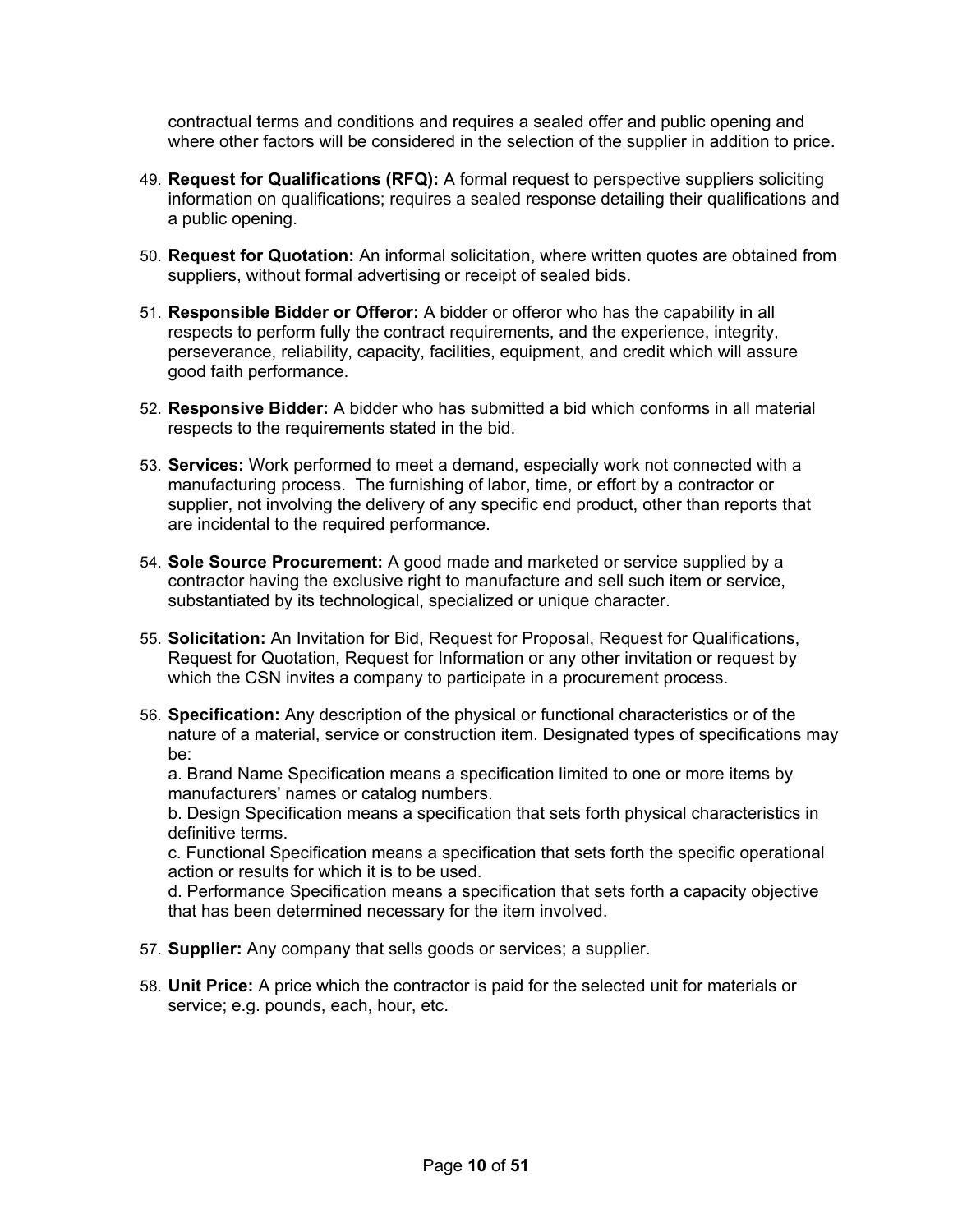contractual terms and conditions and requires a sealed offer and public opening and where other factors will be considered in the selection of the supplier in addition to price.

- 49. **Request for Qualifications (RFQ):** A formal request to perspective suppliers soliciting information on qualifications; requires a sealed response detailing their qualifications and a public opening.
- 50. **Request for Quotation:** An informal solicitation, where written quotes are obtained from suppliers, without formal advertising or receipt of sealed bids.
- 51. **Responsible Bidder or Offeror:** A bidder or offeror who has the capability in all respects to perform fully the contract requirements, and the experience, integrity, perseverance, reliability, capacity, facilities, equipment, and credit which will assure good faith performance.
- 52. **Responsive Bidder:** A bidder who has submitted a bid which conforms in all material respects to the requirements stated in the bid.
- 53. **Services:** Work performed to meet a demand, especially work not connected with a manufacturing process. The furnishing of labor, time, or effort by a contractor or supplier, not involving the delivery of any specific end product, other than reports that are incidental to the required performance.
- 54. **Sole Source Procurement:** A good made and marketed or service supplied by a contractor having the exclusive right to manufacture and sell such item or service, substantiated by its technological, specialized or unique character.
- 55. **Solicitation:** An Invitation for Bid, Request for Proposal, Request for Qualifications, Request for Quotation, Request for Information or any other invitation or request by which the CSN invites a company to participate in a procurement process.
- 56. **Specification:** Any description of the physical or functional characteristics or of the nature of a material, service or construction item. Designated types of specifications may be:

a. Brand Name Specification means a specification limited to one or more items by manufacturers' names or catalog numbers.

b. Design Specification means a specification that sets forth physical characteristics in definitive terms.

c. Functional Specification means a specification that sets forth the specific operational action or results for which it is to be used.

d. Performance Specification means a specification that sets forth a capacity objective that has been determined necessary for the item involved.

- 57. **Supplier:** Any company that sells goods or services; a supplier.
- 58. **Unit Price:** A price which the contractor is paid for the selected unit for materials or service; e.g. pounds, each, hour, etc.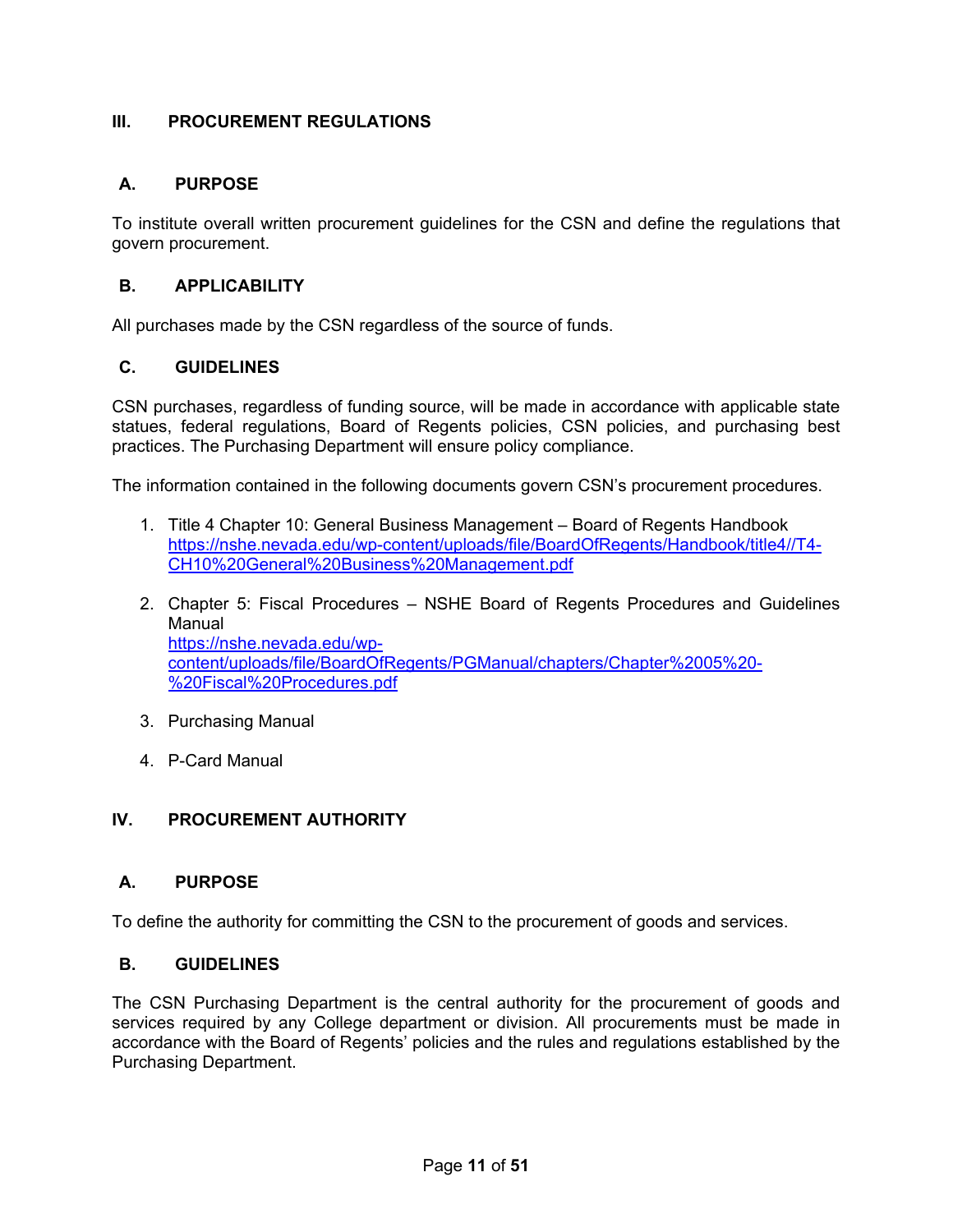# <span id="page-10-0"></span>**III. PROCUREMENT REGULATIONS**

# <span id="page-10-1"></span>**A. PURPOSE**

To institute overall written procurement guidelines for the CSN and define the regulations that govern procurement.

## <span id="page-10-2"></span>**B. APPLICABILITY**

All purchases made by the CSN regardless of the source of funds.

## <span id="page-10-3"></span>**C. GUIDELINES**

CSN purchases, regardless of funding source, will be made in accordance with applicable state statues, federal regulations, Board of Regents policies, CSN policies, and purchasing best practices. The Purchasing Department will ensure policy compliance.

The information contained in the following documents govern CSN's procurement procedures.

- 1. Title 4 Chapter 10: General Business Management Board of Regents Handbook [https://nshe.nevada.edu/wp-content/uploads/file/BoardOfRegents/Handbook/title4//T4-](https://nshe.nevada.edu/wp-content/uploads/file/BoardOfRegents/Handbook/title4/T4-CH10%20General%20Business%20Management.pdf) [CH10%20General%20Business%20Management.pdf](https://nshe.nevada.edu/wp-content/uploads/file/BoardOfRegents/Handbook/title4/T4-CH10%20General%20Business%20Management.pdf)
- 2. Chapter 5: Fiscal Procedures NSHE Board of Regents Procedures and Guidelines Manual [https://nshe.nevada.edu/wp](https://nshe.nevada.edu/wp-content/uploads/file/BoardOfRegents/PGManual/chapters/Chapter%2005%20-%20Fiscal%20Procedures.pdf)[content/uploads/file/BoardOfRegents/PGManual/chapters/Chapter%2005%20-](https://nshe.nevada.edu/wp-content/uploads/file/BoardOfRegents/PGManual/chapters/Chapter%2005%20-%20Fiscal%20Procedures.pdf) [%20Fiscal%20Procedures.pdf](https://nshe.nevada.edu/wp-content/uploads/file/BoardOfRegents/PGManual/chapters/Chapter%2005%20-%20Fiscal%20Procedures.pdf)
- 3. Purchasing Manual
- 4. P-Card Manual

# <span id="page-10-4"></span>**IV. PROCUREMENT AUTHORITY**

## <span id="page-10-5"></span>**A. PURPOSE**

To define the authority for committing the CSN to the procurement of goods and services.

## <span id="page-10-6"></span>**B. GUIDELINES**

The CSN Purchasing Department is the central authority for the procurement of goods and services required by any College department or division. All procurements must be made in accordance with the Board of Regents' policies and the rules and regulations established by the Purchasing Department.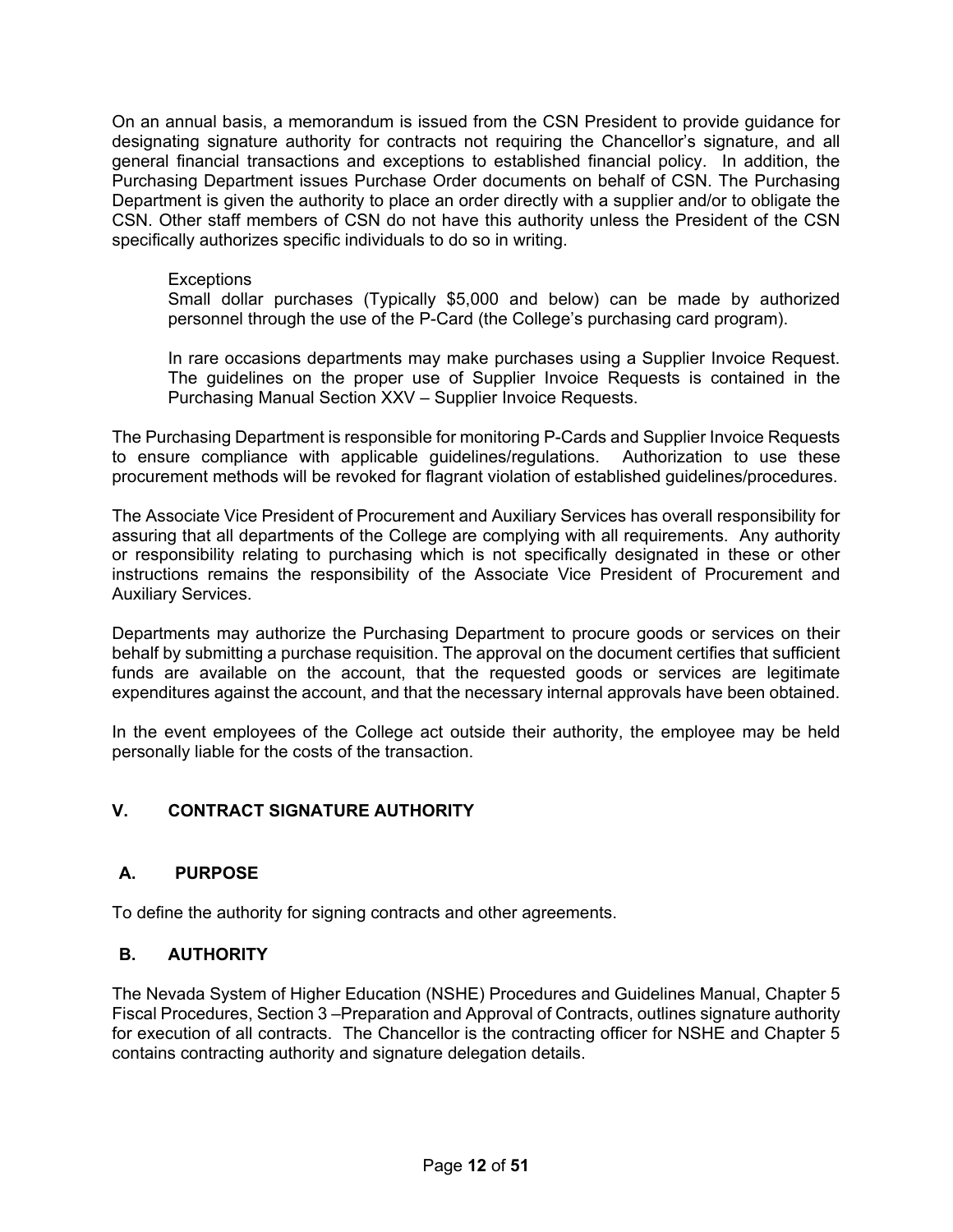On an annual basis, a memorandum is issued from the CSN President to provide guidance for designating signature authority for contracts not requiring the Chancellor's signature, and all general financial transactions and exceptions to established financial policy. In addition, the Purchasing Department issues Purchase Order documents on behalf of CSN. The Purchasing Department is given the authority to place an order directly with a supplier and/or to obligate the CSN. Other staff members of CSN do not have this authority unless the President of the CSN specifically authorizes specific individuals to do so in writing.

#### **Exceptions**

Small dollar purchases (Typically \$5,000 and below) can be made by authorized personnel through the use of the P-Card (the College's purchasing card program).

In rare occasions departments may make purchases using a Supplier Invoice Request. The guidelines on the proper use of Supplier Invoice Requests is contained in the Purchasing Manual Section XXV – Supplier Invoice Requests.

The Purchasing Department is responsible for monitoring P-Cards and Supplier Invoice Requests to ensure compliance with applicable guidelines/regulations. Authorization to use these procurement methods will be revoked for flagrant violation of established guidelines/procedures.

The Associate Vice President of Procurement and Auxiliary Services has overall responsibility for assuring that all departments of the College are complying with all requirements. Any authority or responsibility relating to purchasing which is not specifically designated in these or other instructions remains the responsibility of the Associate Vice President of Procurement and Auxiliary Services.

Departments may authorize the Purchasing Department to procure goods or services on their behalf by submitting a purchase requisition. The approval on the document certifies that sufficient funds are available on the account, that the requested goods or services are legitimate expenditures against the account, and that the necessary internal approvals have been obtained.

In the event employees of the College act outside their authority, the employee may be held personally liable for the costs of the transaction.

# <span id="page-11-0"></span>**V. CONTRACT SIGNATURE AUTHORITY**

# <span id="page-11-1"></span>**A. PURPOSE**

To define the authority for signing contracts and other agreements.

## <span id="page-11-2"></span>**B. AUTHORITY**

The Nevada System of Higher Education (NSHE) Procedures and Guidelines Manual, Chapter 5 Fiscal Procedures, Section 3 –Preparation and Approval of Contracts, outlines signature authority for execution of all contracts. The Chancellor is the contracting officer for NSHE and Chapter 5 contains contracting authority and signature delegation details.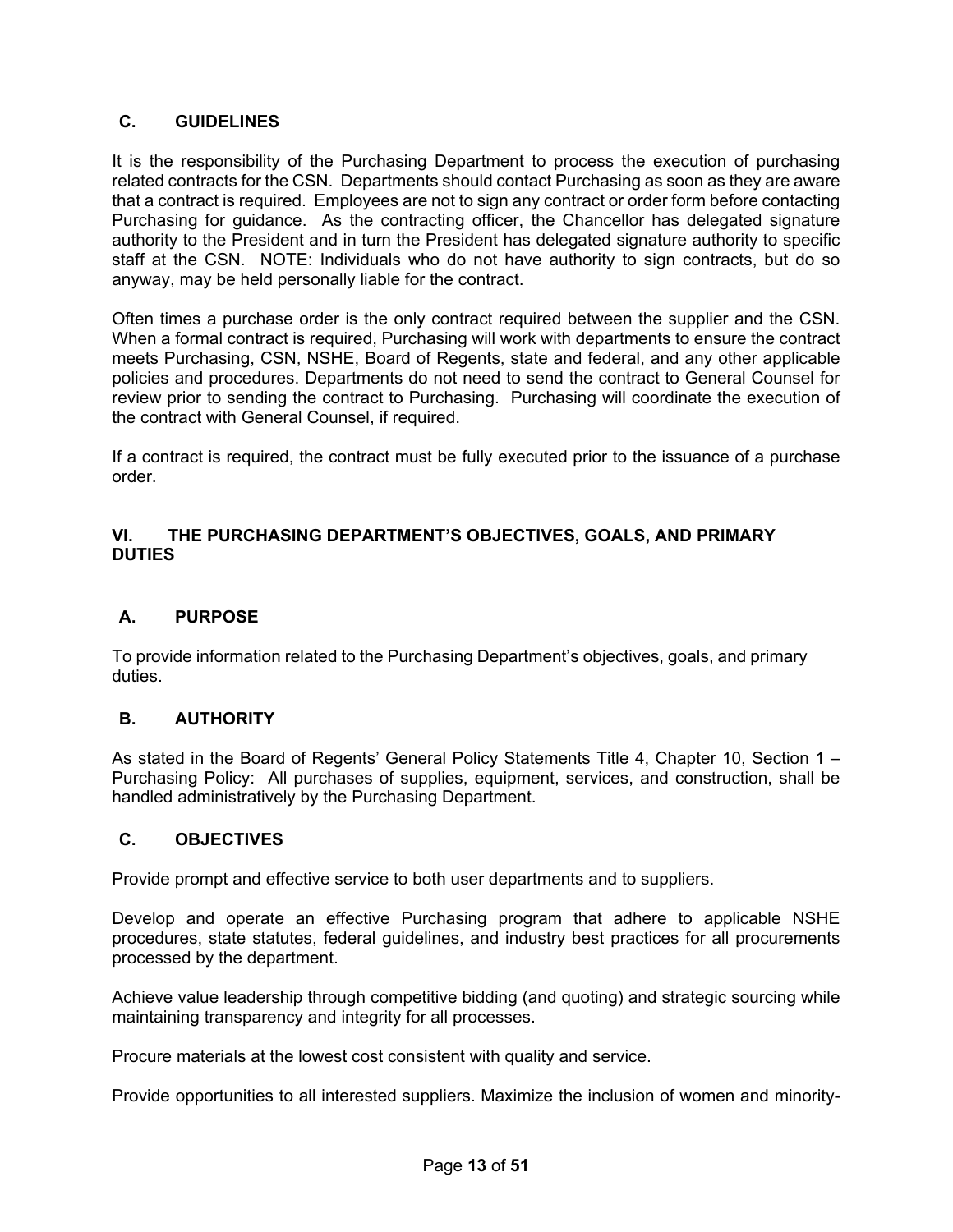## <span id="page-12-0"></span>**C. GUIDELINES**

It is the responsibility of the Purchasing Department to process the execution of purchasing related contracts for the CSN. Departments should contact Purchasing as soon as they are aware that a contract is required. Employees are not to sign any contract or order form before contacting Purchasing for guidance. As the contracting officer, the Chancellor has delegated signature authority to the President and in turn the President has delegated signature authority to specific staff at the CSN. NOTE: Individuals who do not have authority to sign contracts, but do so anyway, may be held personally liable for the contract.

Often times a purchase order is the only contract required between the supplier and the CSN. When a formal contract is required, Purchasing will work with departments to ensure the contract meets Purchasing, CSN, NSHE, Board of Regents, state and federal, and any other applicable policies and procedures. Departments do not need to send the contract to General Counsel for review prior to sending the contract to Purchasing. Purchasing will coordinate the execution of the contract with General Counsel, if required.

If a contract is required, the contract must be fully executed prior to the issuance of a purchase order.

## <span id="page-12-1"></span>**VI. THE PURCHASING DEPARTMENT'S OBJECTIVES, GOALS, AND PRIMARY DUTIES**

# <span id="page-12-2"></span>**A. PURPOSE**

To provide information related to the Purchasing Department's objectives, goals, and primary duties.

## <span id="page-12-3"></span>**B. AUTHORITY**

As stated in the Board of Regents' General Policy Statements Title 4, Chapter 10, Section 1 – Purchasing Policy: All purchases of supplies, equipment, services, and construction, shall be handled administratively by the Purchasing Department.

## <span id="page-12-4"></span>**C. OBJECTIVES**

Provide prompt and effective service to both user departments and to suppliers.

Develop and operate an effective Purchasing program that adhere to applicable NSHE procedures, state statutes, federal guidelines, and industry best practices for all procurements processed by the department.

Achieve value leadership through competitive bidding (and quoting) and strategic sourcing while maintaining transparency and integrity for all processes.

Procure materials at the lowest cost consistent with quality and service.

Provide opportunities to all interested suppliers. Maximize the inclusion of women and minority-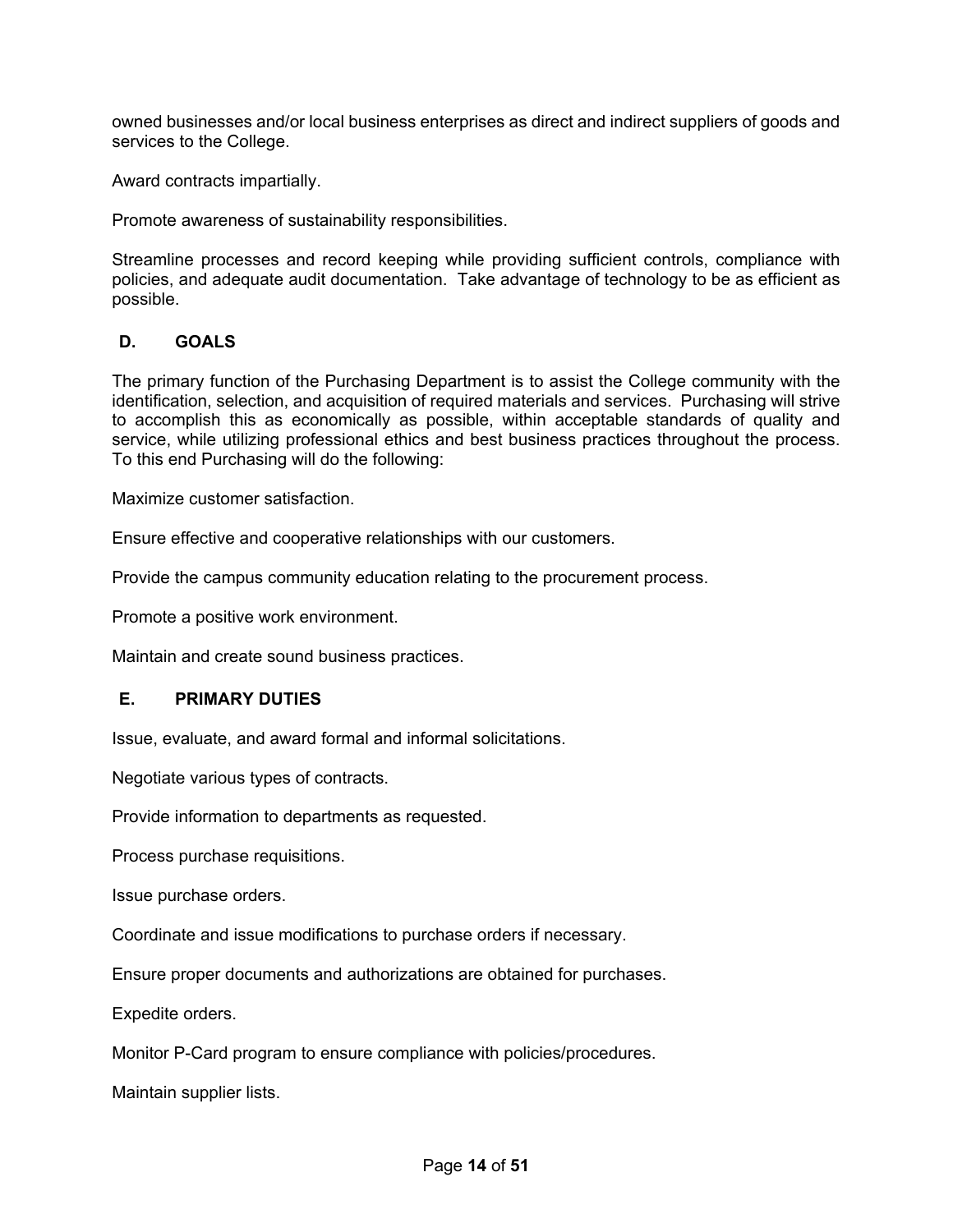owned businesses and/or local business enterprises as direct and indirect suppliers of goods and services to the College.

Award contracts impartially.

Promote awareness of sustainability responsibilities.

Streamline processes and record keeping while providing sufficient controls, compliance with policies, and adequate audit documentation. Take advantage of technology to be as efficient as possible.

## <span id="page-13-0"></span>**D. GOALS**

The primary function of the Purchasing Department is to assist the College community with the identification, selection, and acquisition of required materials and services. Purchasing will strive to accomplish this as economically as possible, within acceptable standards of quality and service, while utilizing professional ethics and best business practices throughout the process. To this end Purchasing will do the following:

Maximize customer satisfaction.

Ensure effective and cooperative relationships with our customers.

Provide the campus community education relating to the procurement process.

Promote a positive work environment.

Maintain and create sound business practices.

#### <span id="page-13-1"></span>**E. PRIMARY DUTIES**

Issue, evaluate, and award formal and informal solicitations.

Negotiate various types of contracts.

Provide information to departments as requested.

Process purchase requisitions.

Issue purchase orders.

Coordinate and issue modifications to purchase orders if necessary.

Ensure proper documents and authorizations are obtained for purchases.

Expedite orders.

Monitor P-Card program to ensure compliance with policies/procedures.

Maintain supplier lists.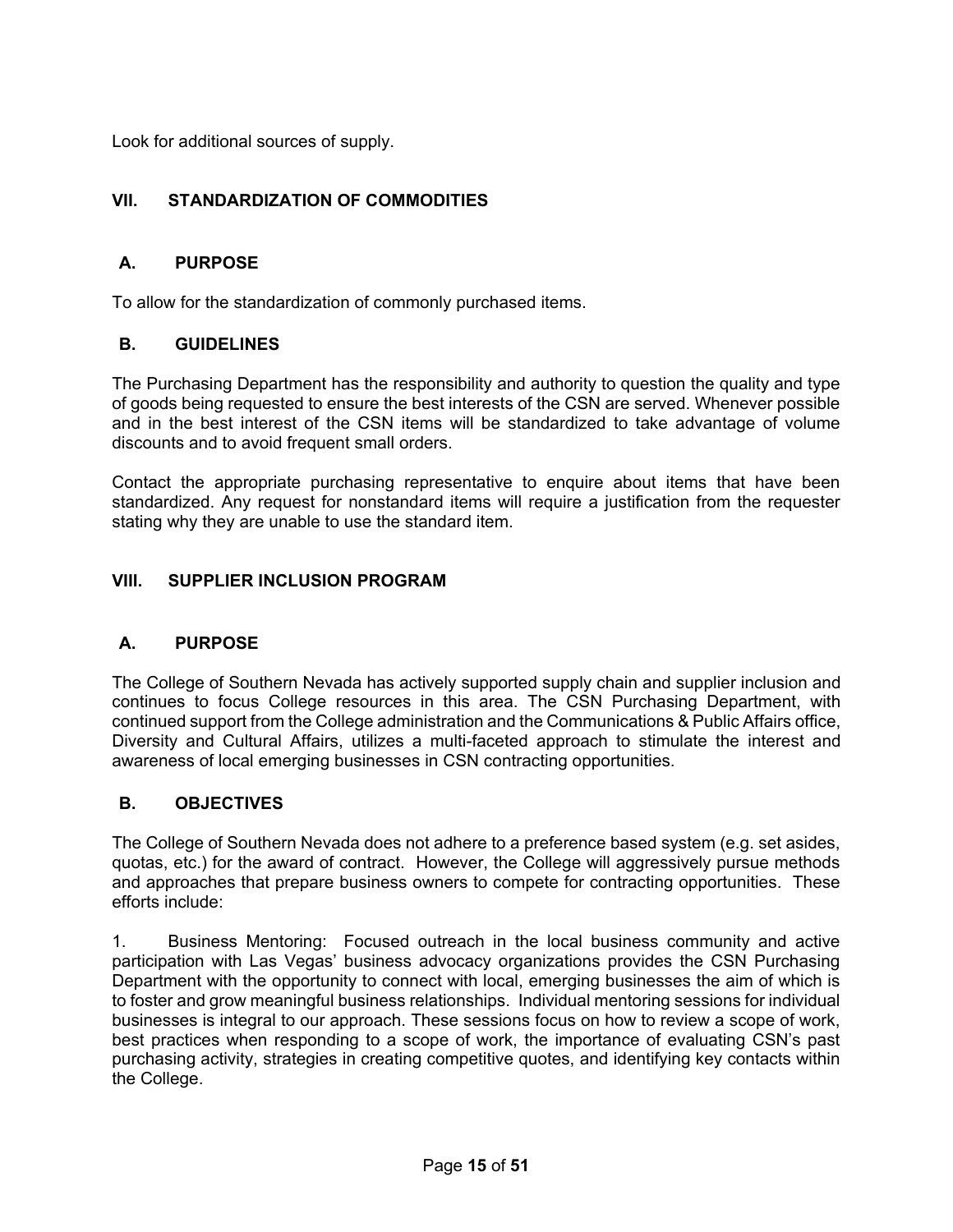Look for additional sources of supply.

# <span id="page-14-0"></span>**VII. STANDARDIZATION OF COMMODITIES**

## <span id="page-14-1"></span>**A. PURPOSE**

To allow for the standardization of commonly purchased items.

## <span id="page-14-2"></span>**B. GUIDELINES**

The Purchasing Department has the responsibility and authority to question the quality and type of goods being requested to ensure the best interests of the CSN are served. Whenever possible and in the best interest of the CSN items will be standardized to take advantage of volume discounts and to avoid frequent small orders.

Contact the appropriate purchasing representative to enquire about items that have been standardized. Any request for nonstandard items will require a justification from the requester stating why they are unable to use the standard item.

## <span id="page-14-3"></span>**VIII. SUPPLIER INCLUSION PROGRAM**

## <span id="page-14-4"></span>**A. PURPOSE**

The College of Southern Nevada has actively supported supply chain and supplier inclusion and continues to focus College resources in this area. The CSN Purchasing Department, with continued support from the College administration and the Communications & Public Affairs office, Diversity and Cultural Affairs, utilizes a multi-faceted approach to stimulate the interest and awareness of local emerging businesses in CSN contracting opportunities.

## <span id="page-14-5"></span>**B. OBJECTIVES**

The College of Southern Nevada does not adhere to a preference based system (e.g. set asides, quotas, etc.) for the award of contract. However, the College will aggressively pursue methods and approaches that prepare business owners to compete for contracting opportunities. These efforts include:

1. Business Mentoring: Focused outreach in the local business community and active participation with Las Vegas' business advocacy organizations provides the CSN Purchasing Department with the opportunity to connect with local, emerging businesses the aim of which is to foster and grow meaningful business relationships. Individual mentoring sessions for individual businesses is integral to our approach. These sessions focus on how to review a scope of work, best practices when responding to a scope of work, the importance of evaluating CSN's past purchasing activity, strategies in creating competitive quotes, and identifying key contacts within the College.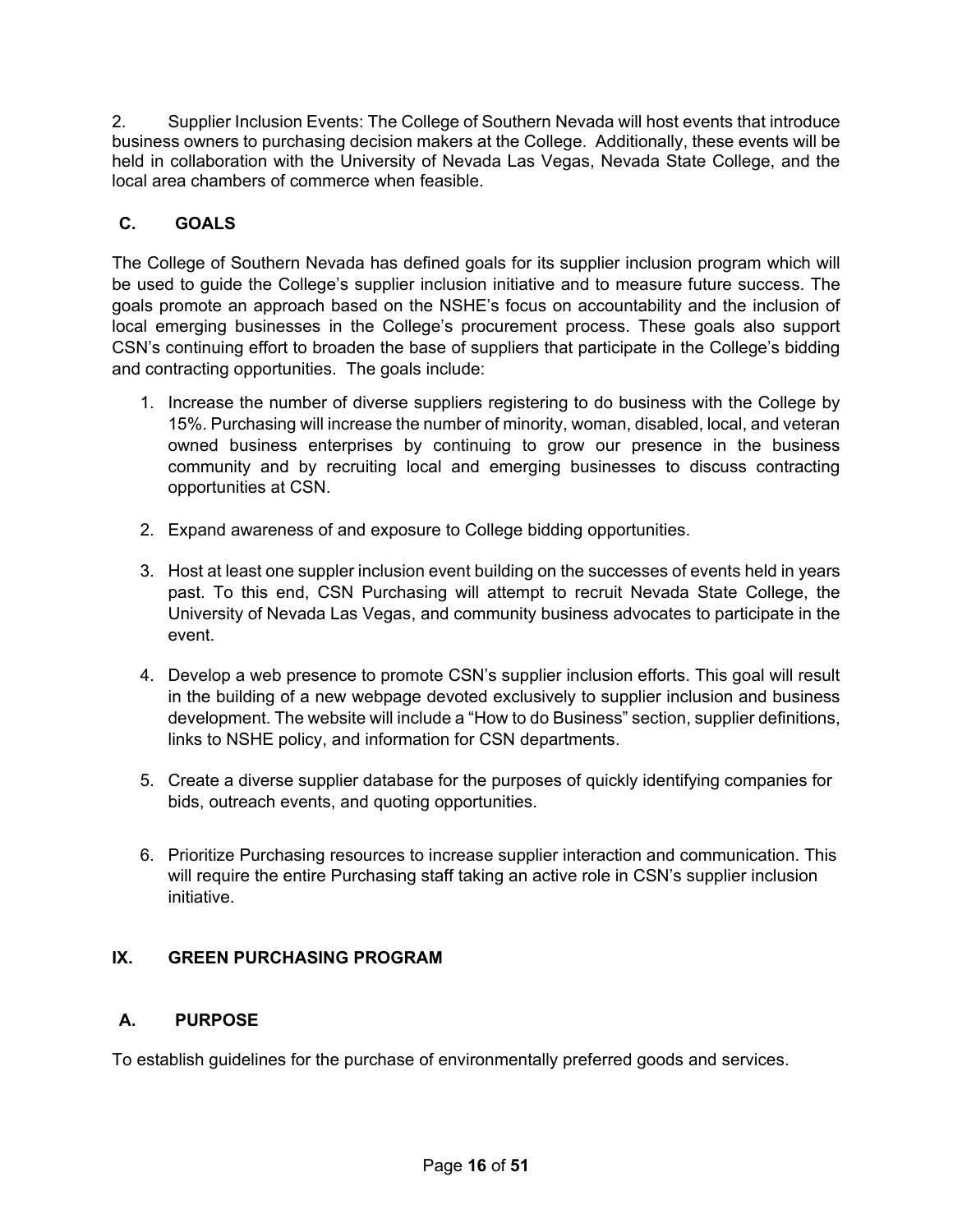2. Supplier Inclusion Events: The College of Southern Nevada will host events that introduce business owners to purchasing decision makers at the College. Additionally, these events will be held in collaboration with the University of Nevada Las Vegas, Nevada State College, and the local area chambers of commerce when feasible.

# <span id="page-15-0"></span>**C. GOALS**

The College of Southern Nevada has defined goals for its supplier inclusion program which will be used to guide the College's supplier inclusion initiative and to measure future success. The goals promote an approach based on the NSHE's focus on accountability and the inclusion of local emerging businesses in the College's procurement process. These goals also support CSN's continuing effort to broaden the base of suppliers that participate in the College's bidding and contracting opportunities. The goals include:

- 1. Increase the number of diverse suppliers registering to do business with the College by 15%. Purchasing will increase the number of minority, woman, disabled, local, and veteran owned business enterprises by continuing to grow our presence in the business community and by recruiting local and emerging businesses to discuss contracting opportunities at CSN.
- 2. Expand awareness of and exposure to College bidding opportunities.
- 3. Host at least one suppler inclusion event building on the successes of events held in years past. To this end, CSN Purchasing will attempt to recruit Nevada State College, the University of Nevada Las Vegas, and community business advocates to participate in the event.
- 4. Develop a web presence to promote CSN's supplier inclusion efforts. This goal will result in the building of a new webpage devoted exclusively to supplier inclusion and business development. The website will include a "How to do Business" section, supplier definitions, links to NSHE policy, and information for CSN departments.
- 5. Create a diverse supplier database for the purposes of quickly identifying companies for bids, outreach events, and quoting opportunities.
- 6. Prioritize Purchasing resources to increase supplier interaction and communication. This will require the entire Purchasing staff taking an active role in CSN's supplier inclusion initiative.

# <span id="page-15-1"></span>**IX. GREEN PURCHASING PROGRAM**

# <span id="page-15-2"></span>**A. PURPOSE**

To establish guidelines for the purchase of environmentally preferred goods and services.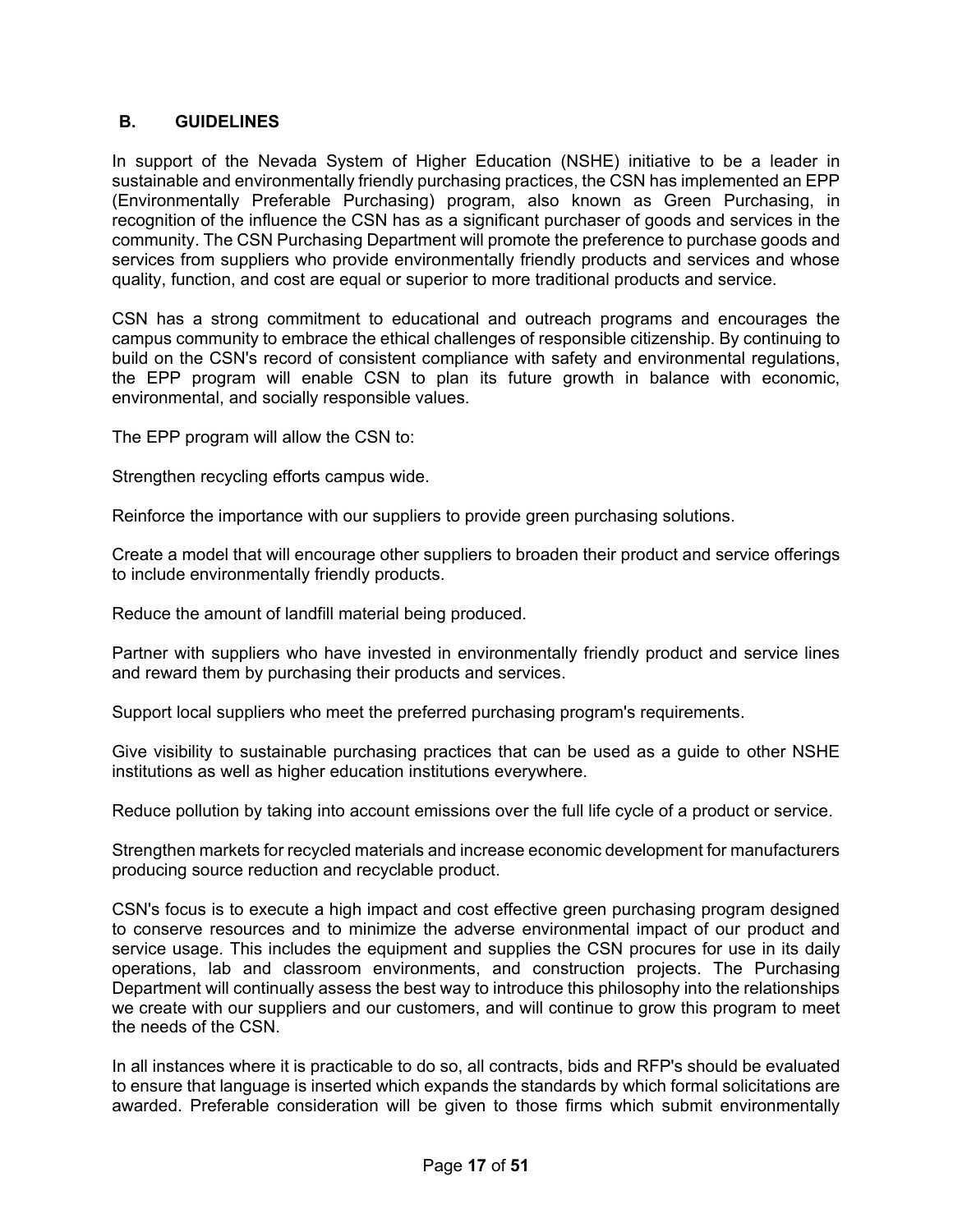## <span id="page-16-0"></span>**B. GUIDELINES**

In support of the Nevada System of Higher Education (NSHE) initiative to be a leader in sustainable and environmentally friendly purchasing practices, the CSN has implemented an EPP (Environmentally Preferable Purchasing) program, also known as Green Purchasing, in recognition of the influence the CSN has as a significant purchaser of goods and services in the community. The CSN Purchasing Department will promote the preference to purchase goods and services from suppliers who provide environmentally friendly products and services and whose quality, function, and cost are equal or superior to more traditional products and service.

CSN has a strong commitment to educational and outreach programs and encourages the campus community to embrace the ethical challenges of responsible citizenship. By continuing to build on the CSN's record of consistent compliance with safety and environmental regulations, the EPP program will enable CSN to plan its future growth in balance with economic, environmental, and socially responsible values.

The EPP program will allow the CSN to:

Strengthen recycling efforts campus wide.

Reinforce the importance with our suppliers to provide green purchasing solutions.

Create a model that will encourage other suppliers to broaden their product and service offerings to include environmentally friendly products.

Reduce the amount of landfill material being produced.

Partner with suppliers who have invested in environmentally friendly product and service lines and reward them by purchasing their products and services.

Support local suppliers who meet the preferred purchasing program's requirements.

Give visibility to sustainable purchasing practices that can be used as a guide to other NSHE institutions as well as higher education institutions everywhere.

Reduce pollution by taking into account emissions over the full life cycle of a product or service.

Strengthen markets for recycled materials and increase economic development for manufacturers producing source reduction and recyclable product.

CSN's focus is to execute a high impact and cost effective green purchasing program designed to conserve resources and to minimize the adverse environmental impact of our product and service usage. This includes the equipment and supplies the CSN procures for use in its daily operations, lab and classroom environments, and construction projects. The Purchasing Department will continually assess the best way to introduce this philosophy into the relationships we create with our suppliers and our customers, and will continue to grow this program to meet the needs of the CSN.

In all instances where it is practicable to do so, all contracts, bids and RFP's should be evaluated to ensure that language is inserted which expands the standards by which formal solicitations are awarded. Preferable consideration will be given to those firms which submit environmentally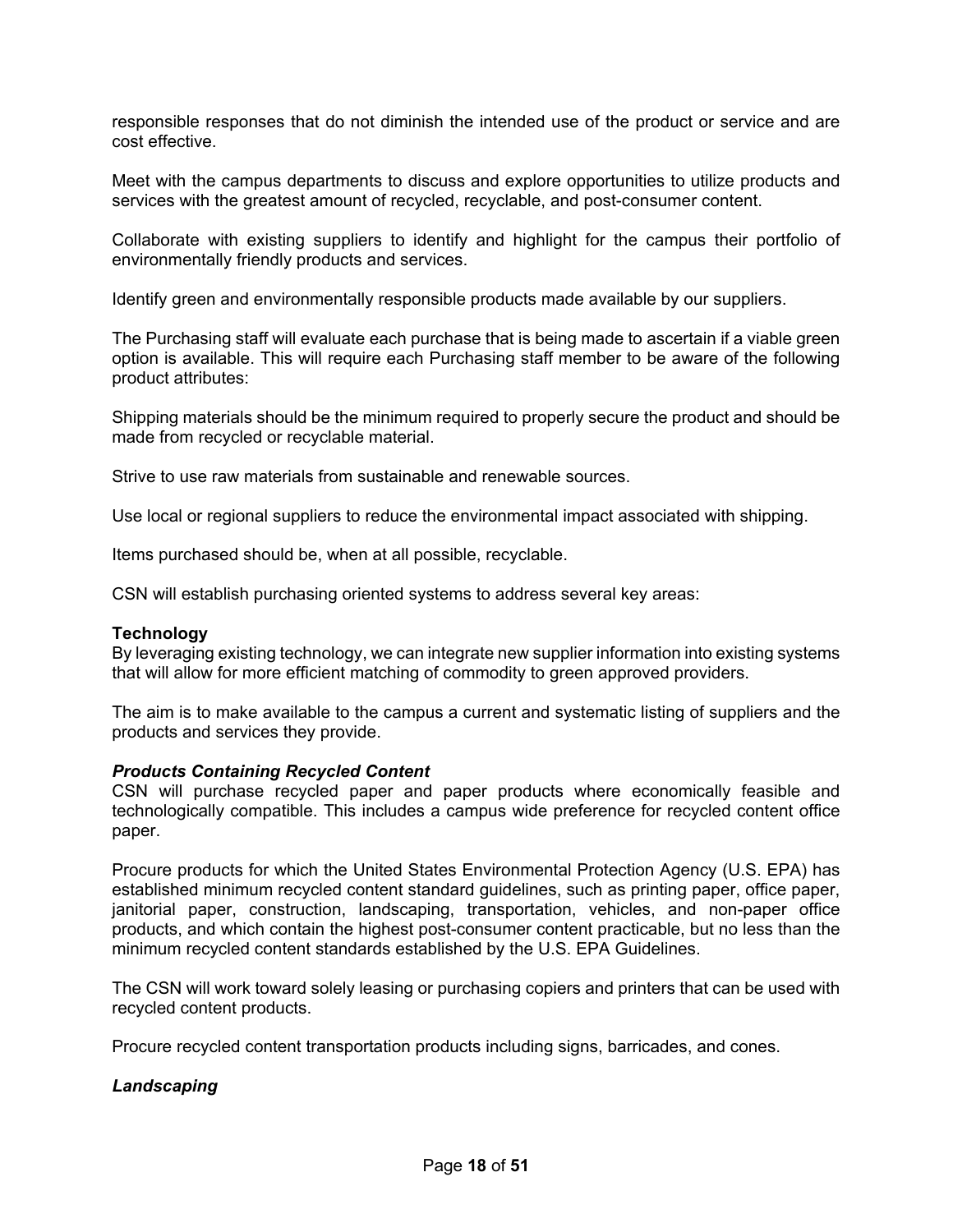responsible responses that do not diminish the intended use of the product or service and are cost effective.

Meet with the campus departments to discuss and explore opportunities to utilize products and services with the greatest amount of recycled, recyclable, and post-consumer content.

Collaborate with existing suppliers to identify and highlight for the campus their portfolio of environmentally friendly products and services.

Identify green and environmentally responsible products made available by our suppliers.

The Purchasing staff will evaluate each purchase that is being made to ascertain if a viable green option is available. This will require each Purchasing staff member to be aware of the following product attributes:

Shipping materials should be the minimum required to properly secure the product and should be made from recycled or recyclable material.

Strive to use raw materials from sustainable and renewable sources.

Use local or regional suppliers to reduce the environmental impact associated with shipping.

Items purchased should be, when at all possible, recyclable.

CSN will establish purchasing oriented systems to address several key areas:

#### **Technology**

By leveraging existing technology, we can integrate new supplier information into existing systems that will allow for more efficient matching of commodity to green approved providers.

The aim is to make available to the campus a current and systematic listing of suppliers and the products and services they provide.

#### *Products Containing Recycled Content*

CSN will purchase recycled paper and paper products where economically feasible and technologically compatible. This includes a campus wide preference for recycled content office paper.

Procure products for which the United States Environmental Protection Agency (U.S. EPA) has established minimum recycled content standard guidelines, such as printing paper, office paper, janitorial paper, construction, landscaping, transportation, vehicles, and non-paper office products, and which contain the highest post-consumer content practicable, but no less than the minimum recycled content standards established by the U.S. EPA Guidelines.

The CSN will work toward solely leasing or purchasing copiers and printers that can be used with recycled content products.

Procure recycled content transportation products including signs, barricades, and cones.

#### *Landscaping*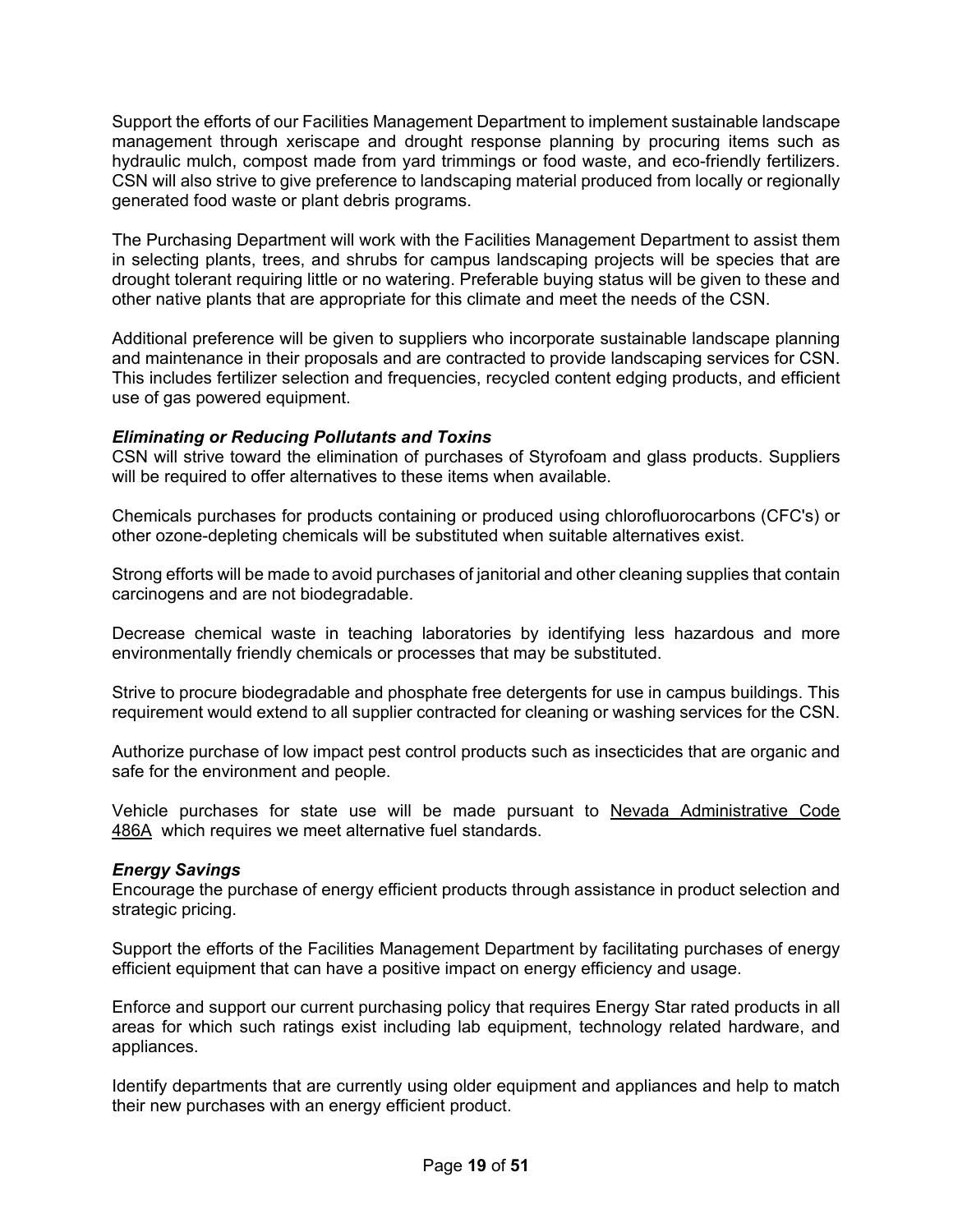Support the efforts of our Facilities Management Department to implement sustainable landscape management through xeriscape and drought response planning by procuring items such as hydraulic mulch, compost made from yard trimmings or food waste, and eco-friendly fertilizers. CSN will also strive to give preference to landscaping material produced from locally or regionally generated food waste or plant debris programs.

The Purchasing Department will work with the Facilities Management Department to assist them in selecting plants, trees, and shrubs for campus landscaping projects will be species that are drought tolerant requiring little or no watering. Preferable buying status will be given to these and other native plants that are appropriate for this climate and meet the needs of the CSN.

Additional preference will be given to suppliers who incorporate sustainable landscape planning and maintenance in their proposals and are contracted to provide landscaping services for CSN. This includes fertilizer selection and frequencies, recycled content edging products, and efficient use of gas powered equipment.

#### *Eliminating or Reducing Pollutants and Toxins*

CSN will strive toward the elimination of purchases of Styrofoam and glass products. Suppliers will be required to offer alternatives to these items when available.

Chemicals purchases for products containing or produced using chlorofluorocarbons (CFC's) or other ozone-depleting chemicals will be substituted when suitable alternatives exist.

Strong efforts will be made to avoid purchases of janitorial and other cleaning supplies that contain carcinogens and are not biodegradable.

Decrease chemical waste in teaching laboratories by identifying less hazardous and more environmentally friendly chemicals or processes that may be substituted.

Strive to procure biodegradable and phosphate free detergents for use in campus buildings. This requirement would extend to all supplier contracted for cleaning or washing services for the CSN.

Authorize purchase of low impact pest control products such as insecticides that are organic and safe for the environment and people.

Vehicle purchases for state use will be made pursuant to [Nevada Administrative Code](http://www.leg.state.nv.us/NAC/NAC-486A.html)  [486A](http://www.leg.state.nv.us/NAC/NAC-486A.html) which requires we meet alternative fuel standards.

#### *Energy Savings*

Encourage the purchase of energy efficient products through assistance in product selection and strategic pricing.

Support the efforts of the Facilities Management Department by facilitating purchases of energy efficient equipment that can have a positive impact on energy efficiency and usage.

Enforce and support our current purchasing policy that requires Energy Star rated products in all areas for which such ratings exist including lab equipment, technology related hardware, and appliances.

Identify departments that are currently using older equipment and appliances and help to match their new purchases with an energy efficient product.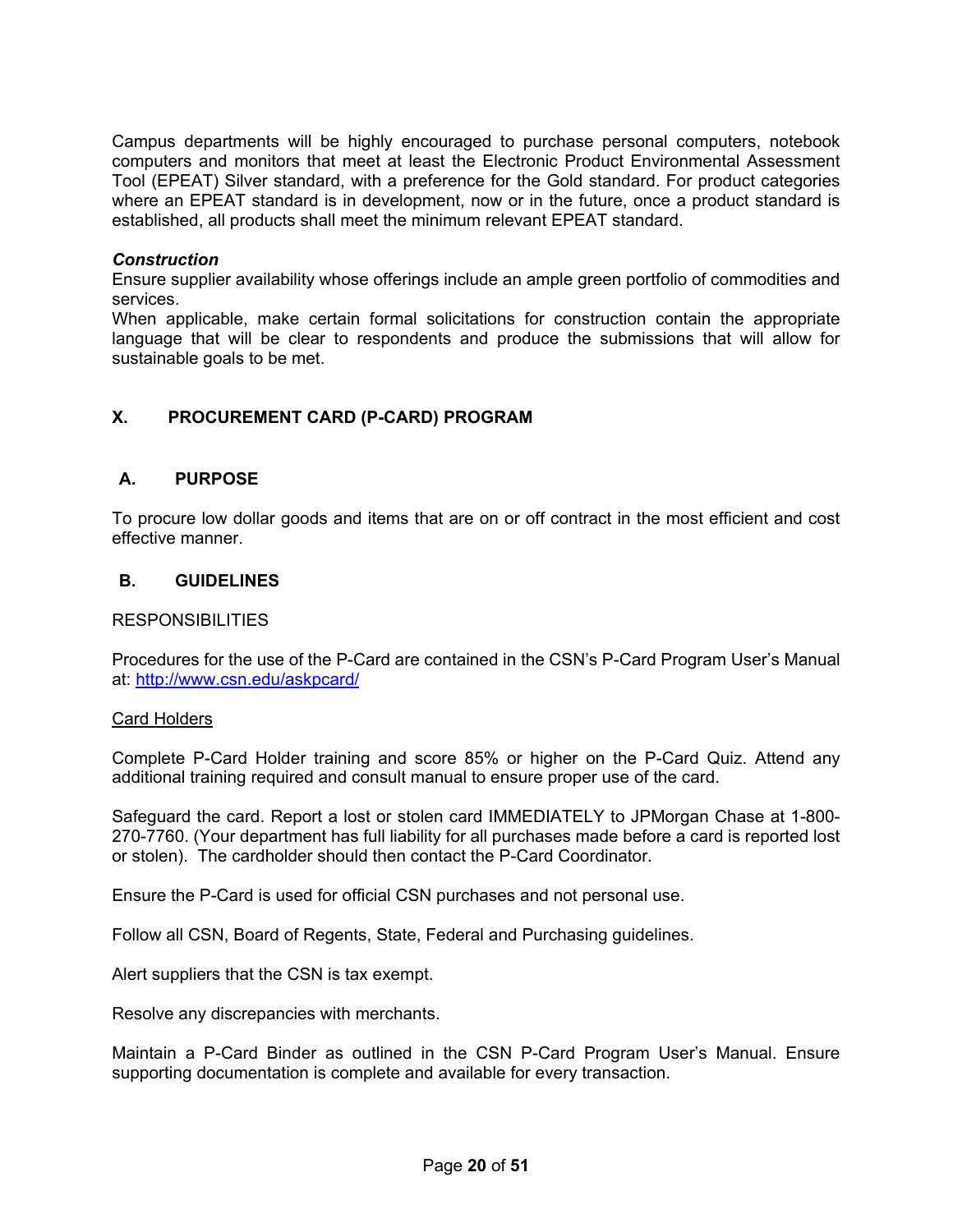Campus departments will be highly encouraged to purchase personal computers, notebook computers and monitors that meet at least the Electronic Product Environmental Assessment Tool (EPEAT) Silver standard, with a preference for the Gold standard. For product categories where an EPEAT standard is in development, now or in the future, once a product standard is established, all products shall meet the minimum relevant EPEAT standard.

#### *Construction*

Ensure supplier availability whose offerings include an ample green portfolio of commodities and services.

When applicable, make certain formal solicitations for construction contain the appropriate language that will be clear to respondents and produce the submissions that will allow for sustainable goals to be met.

## <span id="page-19-0"></span>**X. PROCUREMENT CARD (P-CARD) PROGRAM**

#### <span id="page-19-1"></span>**A. PURPOSE**

To procure low dollar goods and items that are on or off contract in the most efficient and cost effective manner.

#### <span id="page-19-2"></span>**B. GUIDELINES**

#### RESPONSIBILITIES

Procedures for the use of the P-Card are contained in the CSN's P-Card Program User's Manual at:<http://www.csn.edu/askpcard/>

#### Card Holders

Complete P-Card Holder training and score 85% or higher on the P-Card Quiz. Attend any additional training required and consult manual to ensure proper use of the card.

Safeguard the card. Report a lost or stolen card IMMEDIATELY to JPMorgan Chase at 1-800- 270-7760. (Your department has full liability for all purchases made before a card is reported lost or stolen). The cardholder should then contact the P-Card Coordinator.

Ensure the P-Card is used for official CSN purchases and not personal use.

Follow all CSN, Board of Regents, State, Federal and Purchasing guidelines.

Alert suppliers that the CSN is tax exempt.

Resolve any discrepancies with merchants.

Maintain a P-Card Binder as outlined in the CSN P-Card Program User's Manual. Ensure supporting documentation is complete and available for every transaction.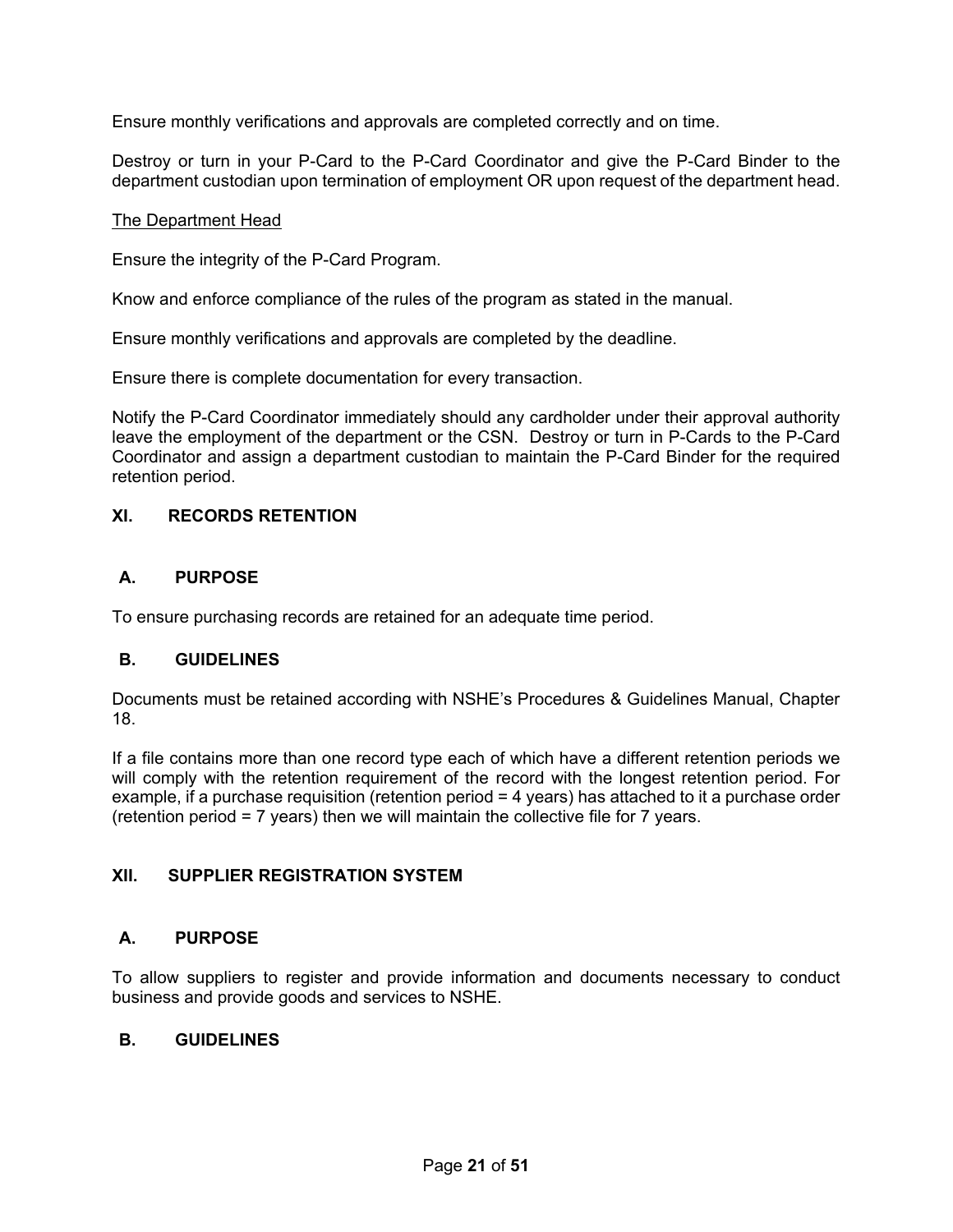Ensure monthly verifications and approvals are completed correctly and on time.

Destroy or turn in your P-Card to the P-Card Coordinator and give the P-Card Binder to the department custodian upon termination of employment OR upon request of the department head.

#### The Department Head

Ensure the integrity of the P-Card Program.

Know and enforce compliance of the rules of the program as stated in the manual.

Ensure monthly verifications and approvals are completed by the deadline.

Ensure there is complete documentation for every transaction.

Notify the P-Card Coordinator immediately should any cardholder under their approval authority leave the employment of the department or the CSN. Destroy or turn in P-Cards to the P-Card Coordinator and assign a department custodian to maintain the P-Card Binder for the required retention period.

#### <span id="page-20-0"></span>**XI. RECORDS RETENTION**

#### <span id="page-20-1"></span>**A. PURPOSE**

To ensure purchasing records are retained for an adequate time period.

#### <span id="page-20-2"></span>**B. GUIDELINES**

Documents must be retained according with NSHE's Procedures & Guidelines Manual, Chapter 18.

If a file contains more than one record type each of which have a different retention periods we will comply with the retention requirement of the record with the longest retention period. For example, if a purchase requisition (retention period = 4 years) has attached to it a purchase order (retention period = 7 years) then we will maintain the collective file for 7 years.

#### <span id="page-20-3"></span>**XII. SUPPLIER REGISTRATION SYSTEM**

#### <span id="page-20-4"></span>**A. PURPOSE**

To allow suppliers to register and provide information and documents necessary to conduct business and provide goods and services to NSHE.

#### <span id="page-20-5"></span>**B. GUIDELINES**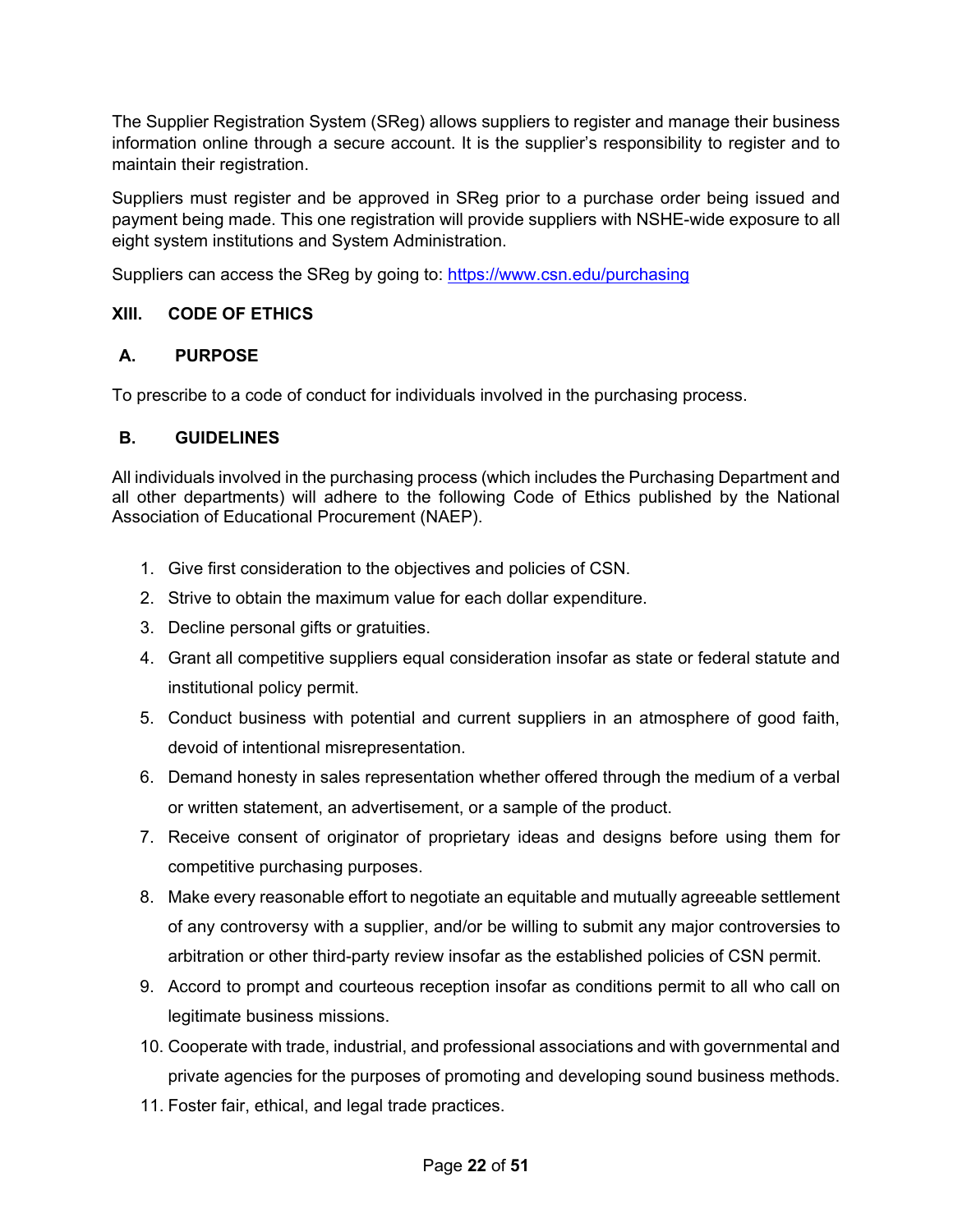The Supplier Registration System (SReg) allows suppliers to register and manage their business information online through a secure account. It is the supplier's responsibility to register and to maintain their registration.

Suppliers must register and be approved in SReg prior to a purchase order being issued and payment being made. This one registration will provide suppliers with NSHE-wide exposure to all eight system institutions and System Administration.

Suppliers can access the SReg by going to:<https://www.csn.edu/purchasing>

## <span id="page-21-0"></span>**XIII. CODE OF ETHICS**

## <span id="page-21-1"></span>**A. PURPOSE**

To prescribe to a code of conduct for individuals involved in the purchasing process.

## <span id="page-21-2"></span>**B. GUIDELINES**

All individuals involved in the purchasing process (which includes the Purchasing Department and all other departments) will adhere to the following Code of Ethics published by the National Association of Educational Procurement (NAEP).

- 1. Give first consideration to the objectives and policies of CSN.
- 2. Strive to obtain the maximum value for each dollar expenditure.
- 3. Decline personal gifts or gratuities.
- 4. Grant all competitive suppliers equal consideration insofar as state or federal statute and institutional policy permit.
- 5. Conduct business with potential and current suppliers in an atmosphere of good faith, devoid of intentional misrepresentation.
- 6. Demand honesty in sales representation whether offered through the medium of a verbal or written statement, an advertisement, or a sample of the product.
- 7. Receive consent of originator of proprietary ideas and designs before using them for competitive purchasing purposes.
- 8. Make every reasonable effort to negotiate an equitable and mutually agreeable settlement of any controversy with a supplier, and/or be willing to submit any major controversies to arbitration or other third-party review insofar as the established policies of CSN permit.
- 9. Accord to prompt and courteous reception insofar as conditions permit to all who call on legitimate business missions.
- 10. Cooperate with trade, industrial, and professional associations and with governmental and private agencies for the purposes of promoting and developing sound business methods.
- 11. Foster fair, ethical, and legal trade practices.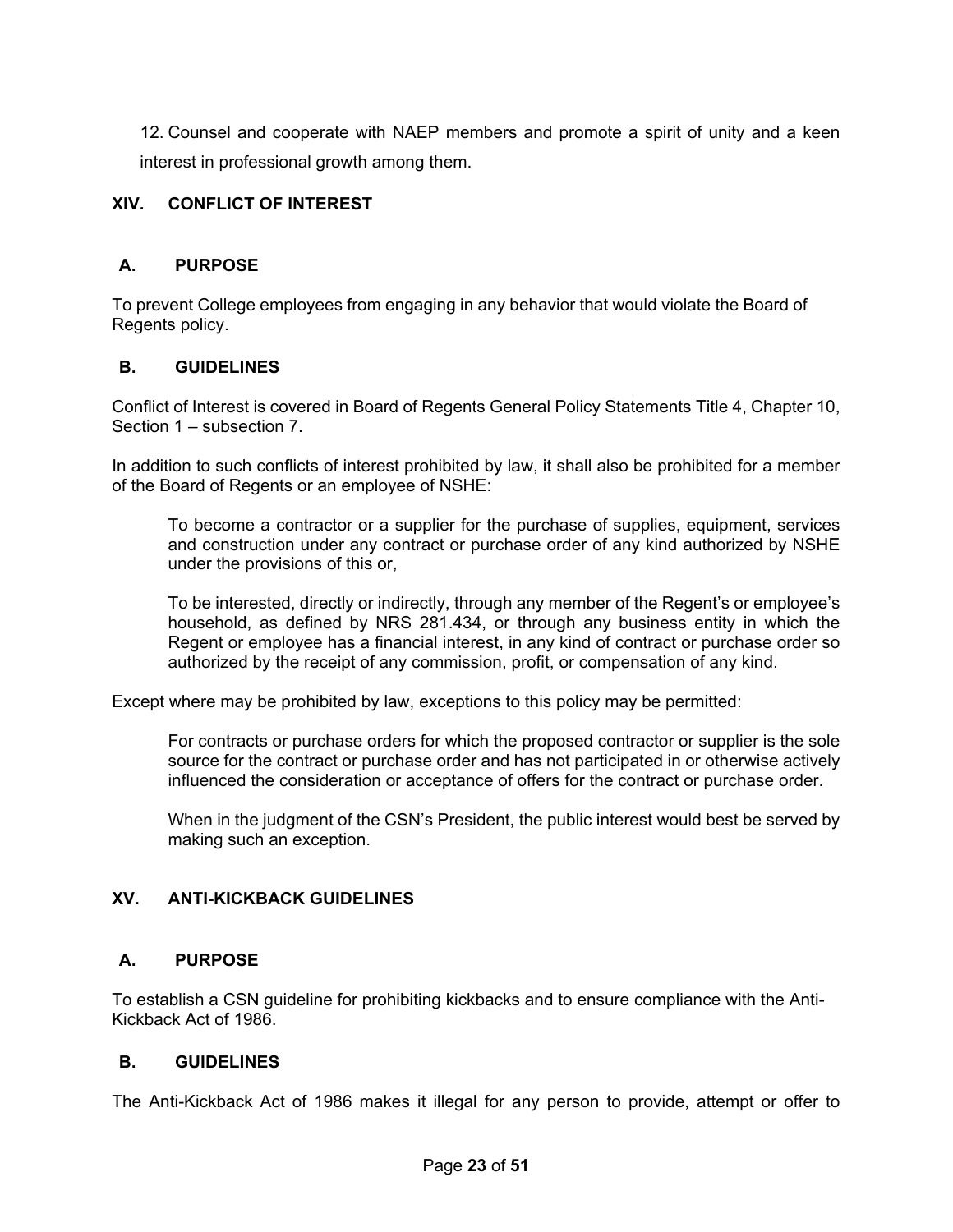12. Counsel and cooperate with NAEP members and promote a spirit of unity and a keen interest in professional growth among them.

## <span id="page-22-0"></span>**XIV. CONFLICT OF INTEREST**

## <span id="page-22-1"></span>**A. PURPOSE**

To prevent College employees from engaging in any behavior that would violate the Board of Regents policy.

## <span id="page-22-2"></span>**B. GUIDELINES**

Conflict of Interest is covered in Board of Regents General Policy Statements Title 4, Chapter 10, Section 1 – subsection 7.

In addition to such conflicts of interest prohibited by law, it shall also be prohibited for a member of the Board of Regents or an employee of NSHE:

To become a contractor or a supplier for the purchase of supplies, equipment, services and construction under any contract or purchase order of any kind authorized by NSHE under the provisions of this or,

To be interested, directly or indirectly, through any member of the Regent's or employee's household, as defined by NRS 281.434, or through any business entity in which the Regent or employee has a financial interest, in any kind of contract or purchase order so authorized by the receipt of any commission, profit, or compensation of any kind.

Except where may be prohibited by law, exceptions to this policy may be permitted:

For contracts or purchase orders for which the proposed contractor or supplier is the sole source for the contract or purchase order and has not participated in or otherwise actively influenced the consideration or acceptance of offers for the contract or purchase order.

When in the judgment of the CSN's President, the public interest would best be served by making such an exception.

## <span id="page-22-3"></span>**XV. ANTI-KICKBACK GUIDELINES**

## <span id="page-22-4"></span>**A. PURPOSE**

To establish a CSN guideline for prohibiting kickbacks and to ensure compliance with the Anti-Kickback Act of 1986.

## <span id="page-22-5"></span>**B. GUIDELINES**

The Anti-Kickback Act of 1986 makes it illegal for any person to provide, attempt or offer to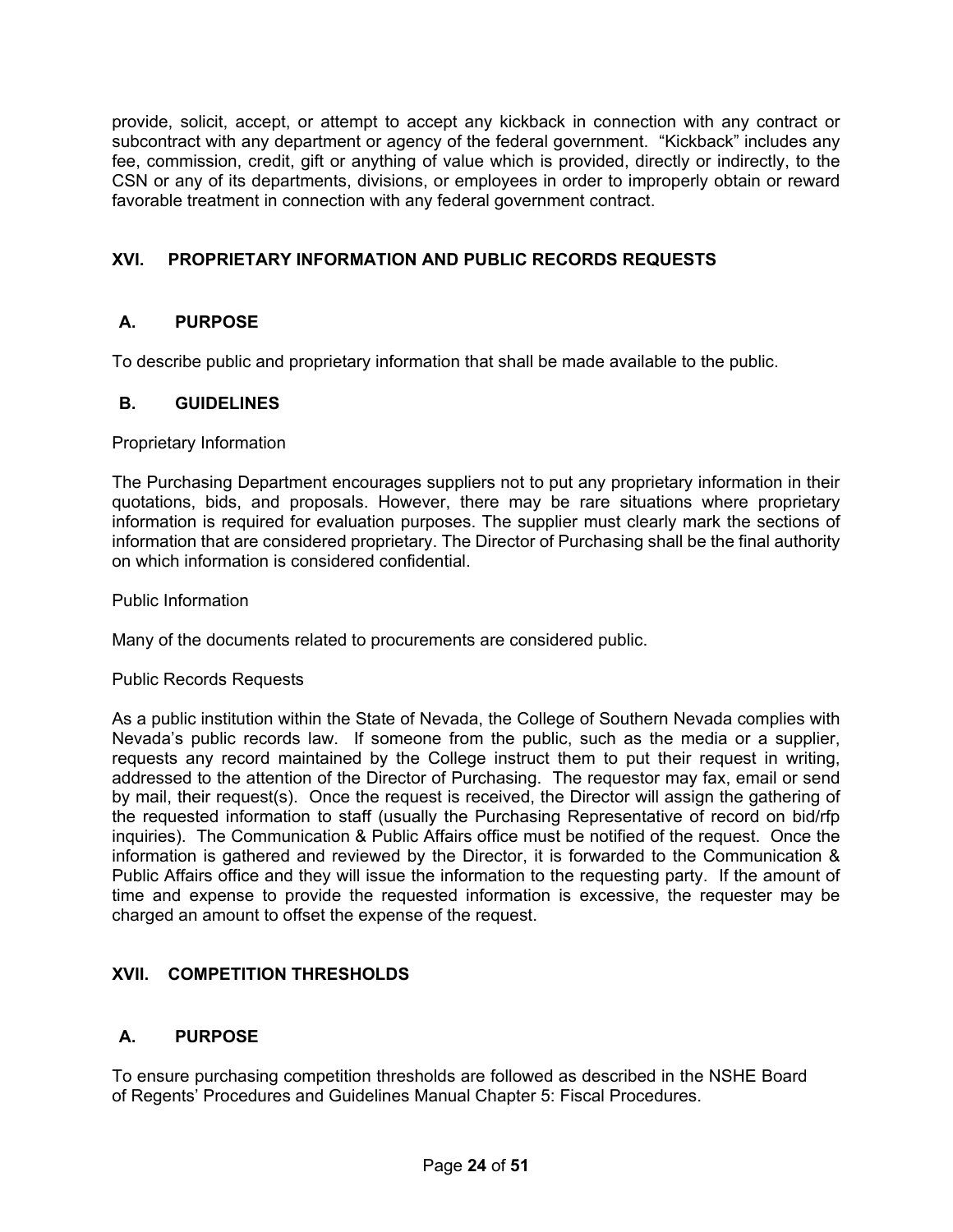provide, solicit, accept, or attempt to accept any kickback in connection with any contract or subcontract with any department or agency of the federal government. "Kickback" includes any fee, commission, credit, gift or anything of value which is provided, directly or indirectly, to the CSN or any of its departments, divisions, or employees in order to improperly obtain or reward favorable treatment in connection with any federal government contract.

# <span id="page-23-0"></span>**XVI. PROPRIETARY INFORMATION AND PUBLIC RECORDS REQUESTS**

# <span id="page-23-1"></span>**A. PURPOSE**

To describe public and proprietary information that shall be made available to the public.

## <span id="page-23-2"></span>**B. GUIDELINES**

Proprietary Information

The Purchasing Department encourages suppliers not to put any proprietary information in their quotations, bids, and proposals. However, there may be rare situations where proprietary information is required for evaluation purposes. The supplier must clearly mark the sections of information that are considered proprietary. The Director of Purchasing shall be the final authority on which information is considered confidential.

Public Information

Many of the documents related to procurements are considered public.

#### Public Records Requests

As a public institution within the State of Nevada, the College of Southern Nevada complies with Nevada's public records law. If someone from the public, such as the media or a supplier, requests any record maintained by the College instruct them to put their request in writing, addressed to the attention of the Director of Purchasing. The requestor may fax, email or send by mail, their request(s). Once the request is received, the Director will assign the gathering of the requested information to staff (usually the Purchasing Representative of record on bid/rfp inquiries). The Communication & Public Affairs office must be notified of the request. Once the information is gathered and reviewed by the Director, it is forwarded to the Communication & Public Affairs office and they will issue the information to the requesting party. If the amount of time and expense to provide the requested information is excessive, the requester may be charged an amount to offset the expense of the request.

## <span id="page-23-3"></span>**XVII. COMPETITION THRESHOLDS**

## <span id="page-23-4"></span>**A. PURPOSE**

To ensure purchasing competition thresholds are followed as described in the NSHE Board of Regents' Procedures and Guidelines Manual Chapter 5: Fiscal Procedures.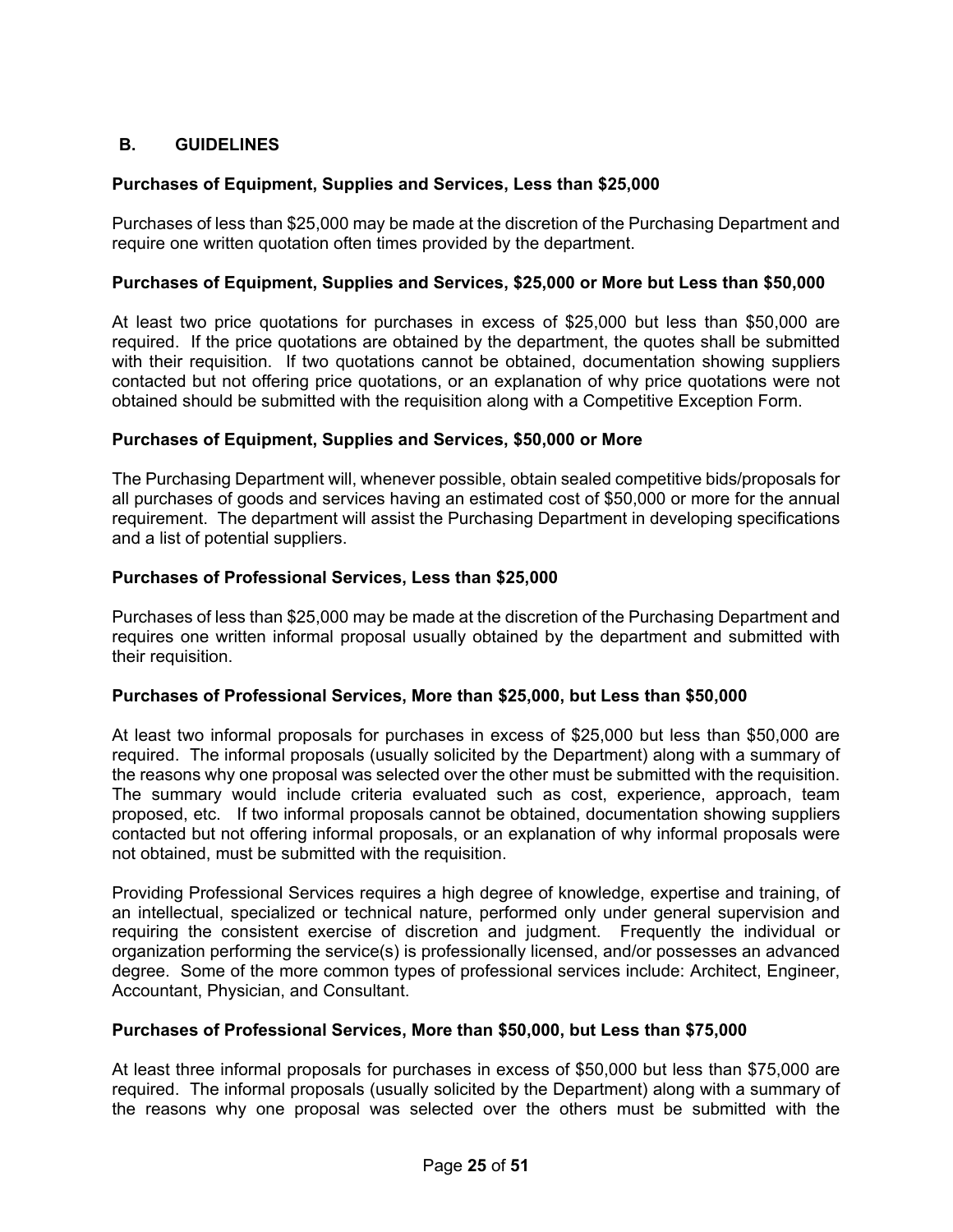# <span id="page-24-0"></span>**B. GUIDELINES**

## **Purchases of Equipment, Supplies and Services, Less than \$25,000**

Purchases of less than \$25,000 may be made at the discretion of the Purchasing Department and require one written quotation often times provided by the department.

## **Purchases of Equipment, Supplies and Services, \$25,000 or More but Less than \$50,000**

At least two price quotations for purchases in excess of \$25,000 but less than \$50,000 are required. If the price quotations are obtained by the department, the quotes shall be submitted with their requisition. If two quotations cannot be obtained, documentation showing suppliers contacted but not offering price quotations, or an explanation of why price quotations were not obtained should be submitted with the requisition along with a Competitive Exception Form.

#### **Purchases of Equipment, Supplies and Services, \$50,000 or More**

The Purchasing Department will, whenever possible, obtain sealed competitive bids/proposals for all purchases of goods and services having an estimated cost of \$50,000 or more for the annual requirement. The department will assist the Purchasing Department in developing specifications and a list of potential suppliers.

#### **Purchases of Professional Services, Less than \$25,000**

Purchases of less than \$25,000 may be made at the discretion of the Purchasing Department and requires one written informal proposal usually obtained by the department and submitted with their requisition.

## **Purchases of Professional Services, More than \$25,000, but Less than \$50,000**

At least two informal proposals for purchases in excess of \$25,000 but less than \$50,000 are required. The informal proposals (usually solicited by the Department) along with a summary of the reasons why one proposal was selected over the other must be submitted with the requisition. The summary would include criteria evaluated such as cost, experience, approach, team proposed, etc. If two informal proposals cannot be obtained, documentation showing suppliers contacted but not offering informal proposals, or an explanation of why informal proposals were not obtained, must be submitted with the requisition.

Providing Professional Services requires a high degree of knowledge, expertise and training, of an intellectual, specialized or technical nature, performed only under general supervision and requiring the consistent exercise of discretion and judgment. Frequently the individual or organization performing the service(s) is professionally licensed, and/or possesses an advanced degree. Some of the more common types of professional services include: Architect, Engineer, Accountant, Physician, and Consultant.

#### **Purchases of Professional Services, More than \$50,000, but Less than \$75,000**

At least three informal proposals for purchases in excess of \$50,000 but less than \$75,000 are required. The informal proposals (usually solicited by the Department) along with a summary of the reasons why one proposal was selected over the others must be submitted with the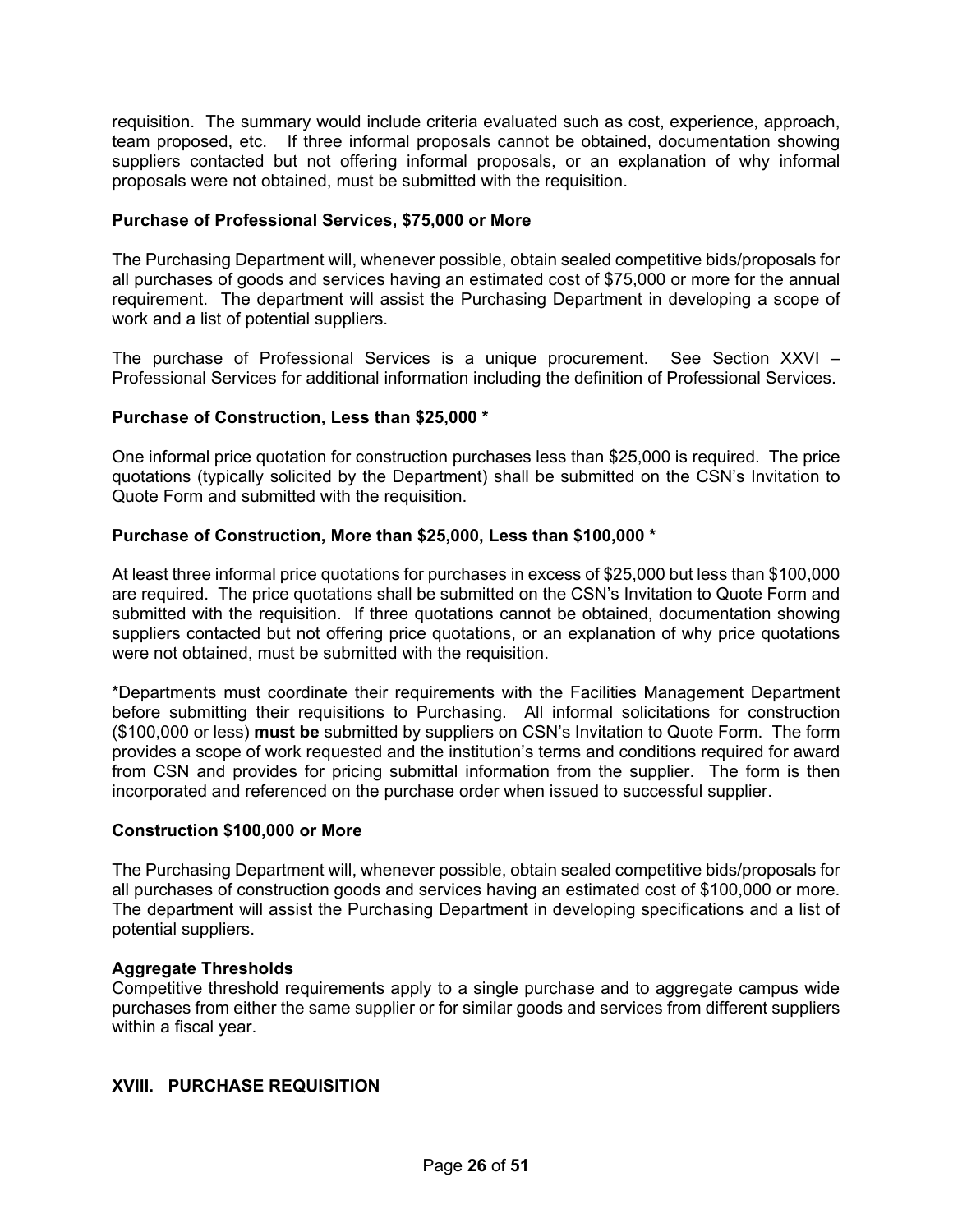requisition. The summary would include criteria evaluated such as cost, experience, approach, team proposed, etc. If three informal proposals cannot be obtained, documentation showing suppliers contacted but not offering informal proposals, or an explanation of why informal proposals were not obtained, must be submitted with the requisition.

#### **Purchase of Professional Services, \$75,000 or More**

The Purchasing Department will, whenever possible, obtain sealed competitive bids/proposals for all purchases of goods and services having an estimated cost of \$75,000 or more for the annual requirement. The department will assist the Purchasing Department in developing a scope of work and a list of potential suppliers.

The purchase of Professional Services is a unique procurement. See Section XXVI – Professional Services for additional information including the definition of Professional Services.

#### **Purchase of Construction, Less than \$25,000 \***

One informal price quotation for construction purchases less than \$25,000 is required. The price quotations (typically solicited by the Department) shall be submitted on the CSN's Invitation to Quote Form and submitted with the requisition.

#### **Purchase of Construction, More than \$25,000, Less than \$100,000 \***

At least three informal price quotations for purchases in excess of \$25,000 but less than \$100,000 are required. The price quotations shall be submitted on the CSN's Invitation to Quote Form and submitted with the requisition. If three quotations cannot be obtained, documentation showing suppliers contacted but not offering price quotations, or an explanation of why price quotations were not obtained, must be submitted with the requisition.

\*Departments must coordinate their requirements with the Facilities Management Department before submitting their requisitions to Purchasing. All informal solicitations for construction (\$100,000 or less) **must be** submitted by suppliers on CSN's Invitation to Quote Form. The form provides a scope of work requested and the institution's terms and conditions required for award from CSN and provides for pricing submittal information from the supplier. The form is then incorporated and referenced on the purchase order when issued to successful supplier.

#### **Construction \$100,000 or More**

The Purchasing Department will, whenever possible, obtain sealed competitive bids/proposals for all purchases of construction goods and services having an estimated cost of \$100,000 or more. The department will assist the Purchasing Department in developing specifications and a list of potential suppliers.

#### **Aggregate Thresholds**

Competitive threshold requirements apply to a single purchase and to aggregate campus wide purchases from either the same supplier or for similar goods and services from different suppliers within a fiscal year.

## <span id="page-25-0"></span>**XVIII. PURCHASE REQUISITION**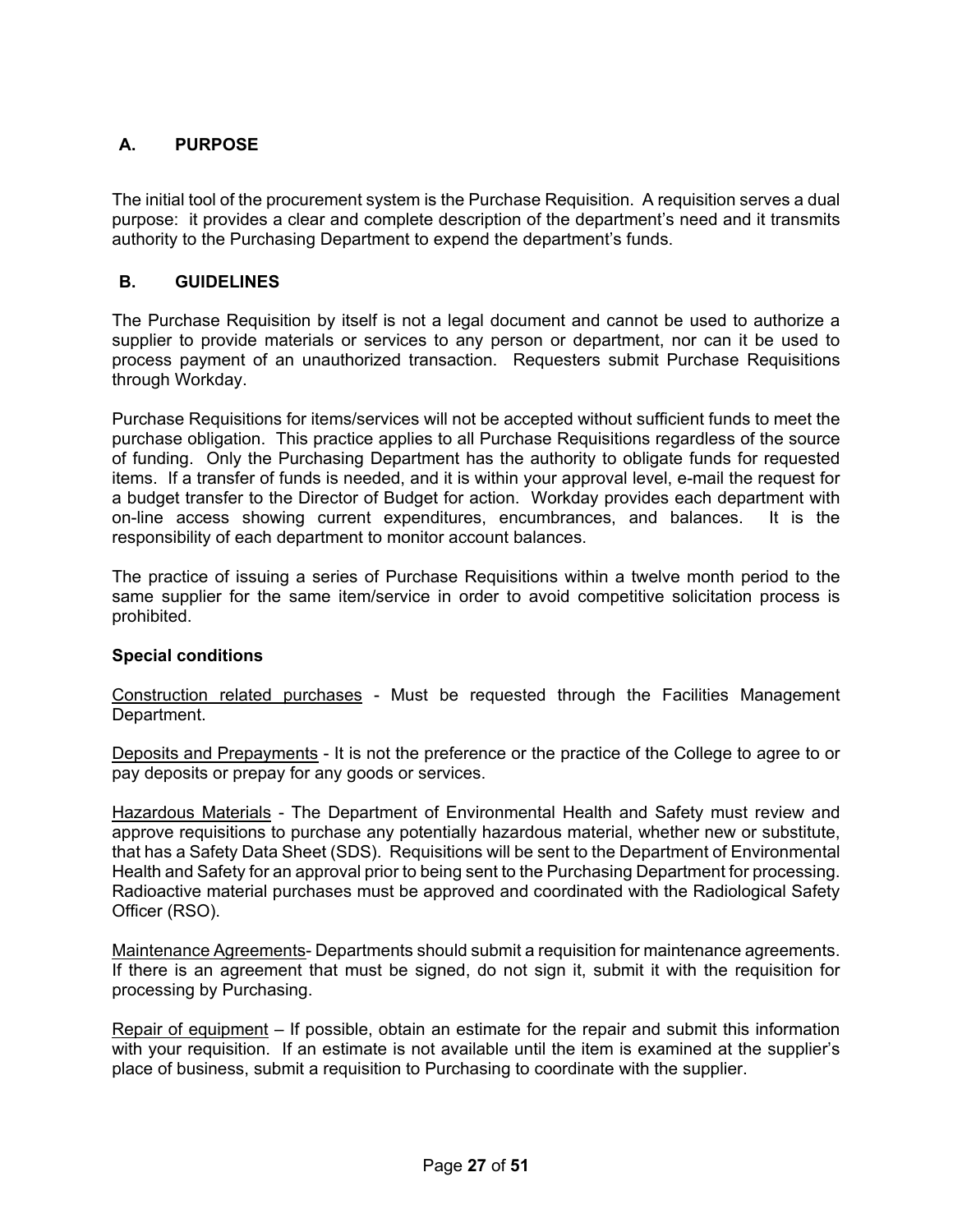# <span id="page-26-0"></span>**A. PURPOSE**

The initial tool of the procurement system is the Purchase Requisition. A requisition serves a dual purpose: it provides a clear and complete description of the department's need and it transmits authority to the Purchasing Department to expend the department's funds.

## <span id="page-26-1"></span>**B. GUIDELINES**

The Purchase Requisition by itself is not a legal document and cannot be used to authorize a supplier to provide materials or services to any person or department, nor can it be used to process payment of an unauthorized transaction. Requesters submit Purchase Requisitions through Workday.

Purchase Requisitions for items/services will not be accepted without sufficient funds to meet the purchase obligation. This practice applies to all Purchase Requisitions regardless of the source of funding. Only the Purchasing Department has the authority to obligate funds for requested items. If a transfer of funds is needed, and it is within your approval level, e-mail the request for a budget transfer to the Director of Budget for action. Workday provides each department with on-line access showing current expenditures, encumbrances, and balances. It is the responsibility of each department to monitor account balances.

The practice of issuing a series of Purchase Requisitions within a twelve month period to the same supplier for the same item/service in order to avoid competitive solicitation process is prohibited.

## **Special conditions**

Construction related purchases - Must be requested through the Facilities Management Department.

Deposits and Prepayments - It is not the preference or the practice of the College to agree to or pay deposits or prepay for any goods or services.

Hazardous Materials - The Department of Environmental Health and Safety must review and approve requisitions to purchase any potentially hazardous material, whether new or substitute, that has a Safety Data Sheet (SDS). Requisitions will be sent to the Department of Environmental Health and Safety for an approval prior to being sent to the Purchasing Department for processing. Radioactive material purchases must be approved and coordinated with the Radiological Safety Officer (RSO).

Maintenance Agreements- Departments should submit a requisition for maintenance agreements. If there is an agreement that must be signed, do not sign it, submit it with the requisition for processing by Purchasing.

Repair of equipment – If possible, obtain an estimate for the repair and submit this information with your requisition. If an estimate is not available until the item is examined at the supplier's place of business, submit a requisition to Purchasing to coordinate with the supplier.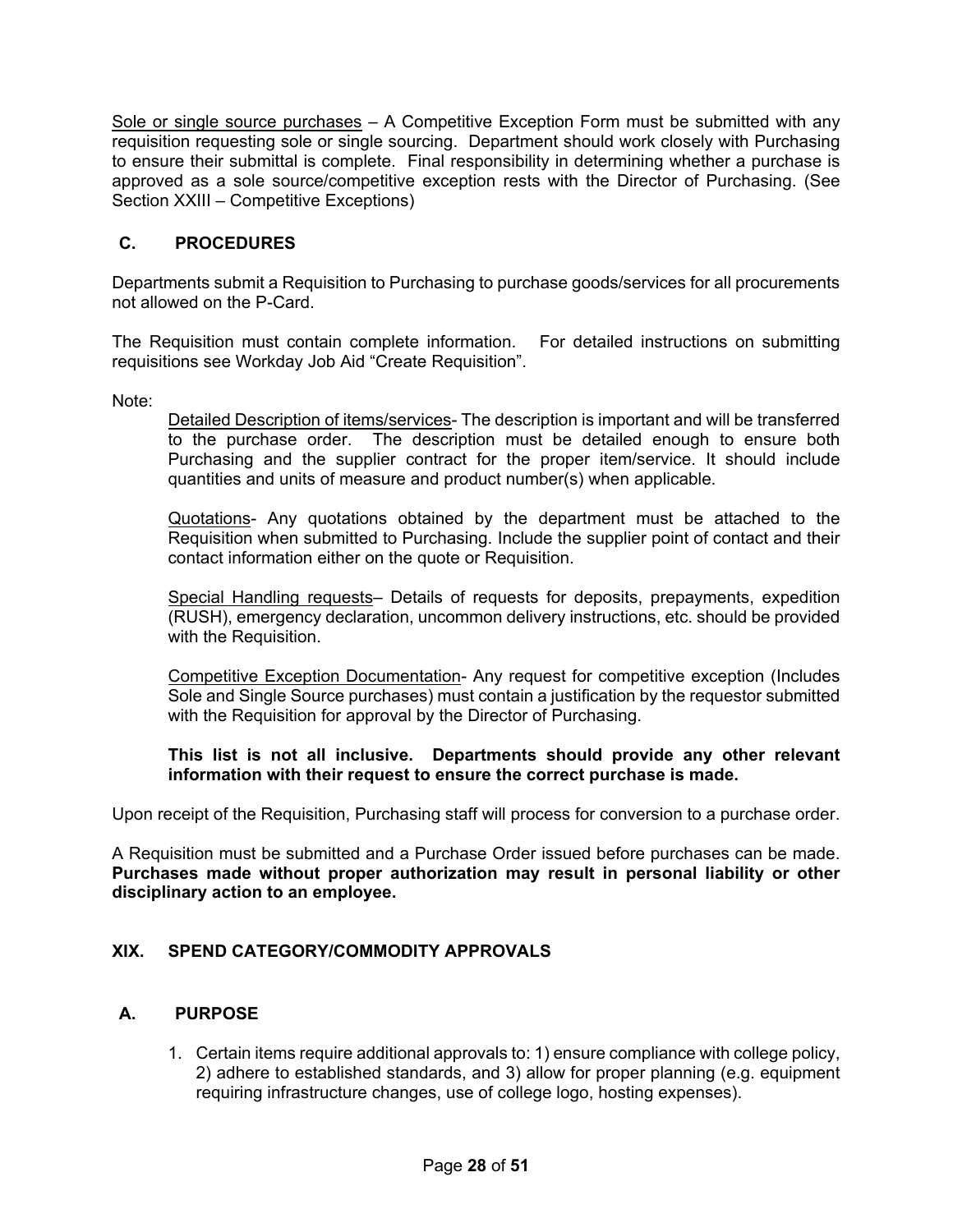Sole or single source purchases – A Competitive Exception Form must be submitted with any requisition requesting sole or single sourcing. Department should work closely with Purchasing to ensure their submittal is complete. Final responsibility in determining whether a purchase is approved as a sole source/competitive exception rests with the Director of Purchasing. (See Section XXIII – Competitive Exceptions)

# <span id="page-27-0"></span>**C. PROCEDURES**

Departments submit a Requisition to Purchasing to purchase goods/services for all procurements not allowed on the P-Card.

The Requisition must contain complete information. For detailed instructions on submitting requisitions see Workday Job Aid "Create Requisition".

Note:

Detailed Description of items/services- The description is important and will be transferred to the purchase order. The description must be detailed enough to ensure both Purchasing and the supplier contract for the proper item/service. It should include quantities and units of measure and product number(s) when applicable.

Quotations- Any quotations obtained by the department must be attached to the Requisition when submitted to Purchasing. Include the supplier point of contact and their contact information either on the quote or Requisition.

Special Handling requests- Details of requests for deposits, prepayments, expedition (RUSH), emergency declaration, uncommon delivery instructions, etc. should be provided with the Requisition.

Competitive Exception Documentation- Any request for competitive exception (Includes Sole and Single Source purchases) must contain a justification by the requestor submitted with the Requisition for approval by the Director of Purchasing.

**This list is not all inclusive. Departments should provide any other relevant information with their request to ensure the correct purchase is made.**

Upon receipt of the Requisition, Purchasing staff will process for conversion to a purchase order.

A Requisition must be submitted and a Purchase Order issued before purchases can be made. **Purchases made without proper authorization may result in personal liability or other disciplinary action to an employee.**

## <span id="page-27-1"></span>**XIX. SPEND CATEGORY/COMMODITY APPROVALS**

## <span id="page-27-2"></span>**A. PURPOSE**

1. Certain items require additional approvals to: 1) ensure compliance with college policy, 2) adhere to established standards, and 3) allow for proper planning (e.g. equipment requiring infrastructure changes, use of college logo, hosting expenses).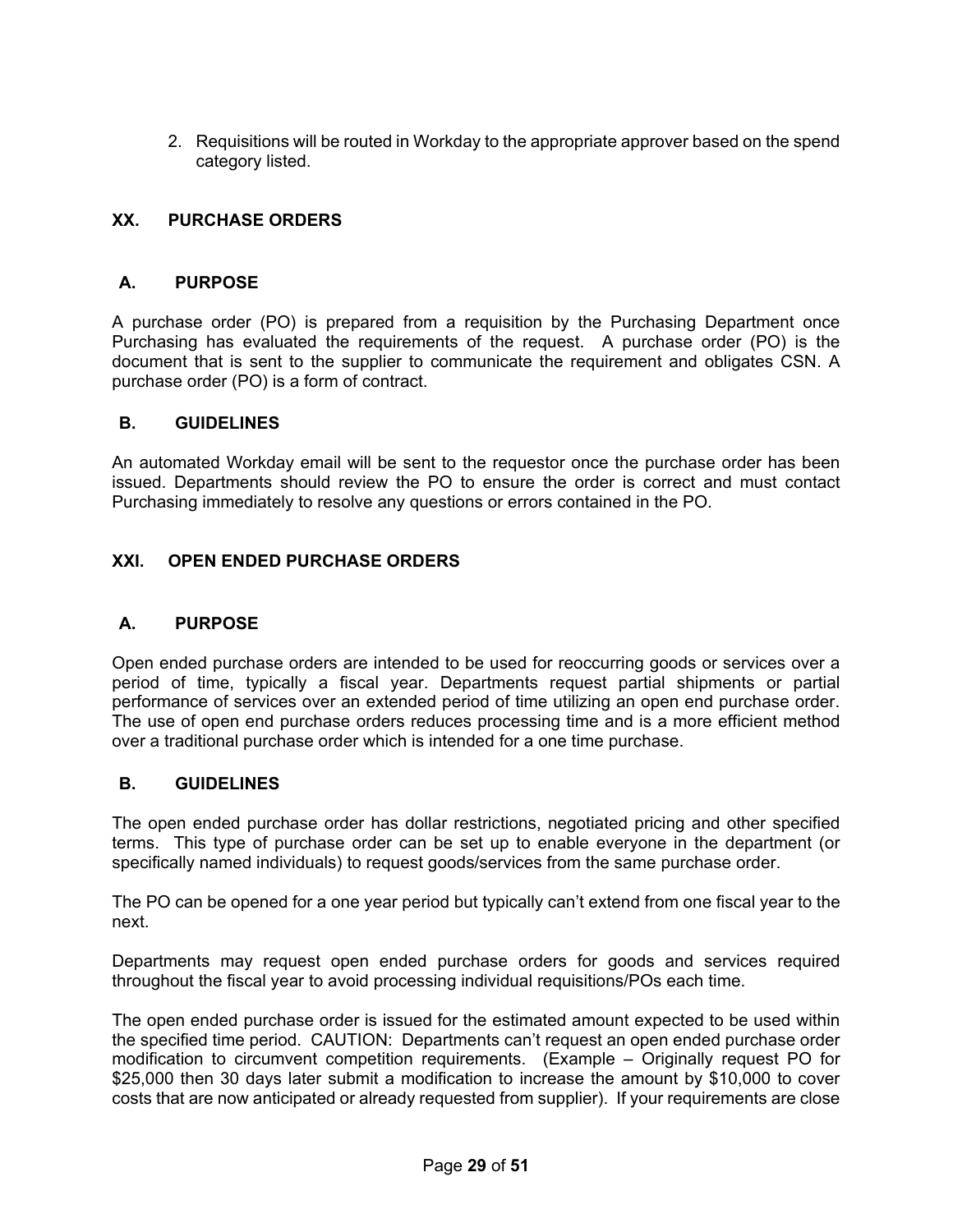2. Requisitions will be routed in Workday to the appropriate approver based on the spend category listed.

## <span id="page-28-0"></span>**XX. PURCHASE ORDERS**

#### <span id="page-28-1"></span>**A. PURPOSE**

A purchase order (PO) is prepared from a requisition by the Purchasing Department once Purchasing has evaluated the requirements of the request. A purchase order (PO) is the document that is sent to the supplier to communicate the requirement and obligates CSN. A purchase order (PO) is a form of contract.

#### <span id="page-28-2"></span>**B. GUIDELINES**

An automated Workday email will be sent to the requestor once the purchase order has been issued. Departments should review the PO to ensure the order is correct and must contact Purchasing immediately to resolve any questions or errors contained in the PO.

## <span id="page-28-3"></span>**XXI. OPEN ENDED PURCHASE ORDERS**

#### <span id="page-28-4"></span>**A. PURPOSE**

Open ended purchase orders are intended to be used for reoccurring goods or services over a period of time, typically a fiscal year. Departments request partial shipments or partial performance of services over an extended period of time utilizing an open end purchase order. The use of open end purchase orders reduces processing time and is a more efficient method over a traditional purchase order which is intended for a one time purchase.

#### <span id="page-28-5"></span>**B. GUIDELINES**

The open ended purchase order has dollar restrictions, negotiated pricing and other specified terms. This type of purchase order can be set up to enable everyone in the department (or specifically named individuals) to request goods/services from the same purchase order.

The PO can be opened for a one year period but typically can't extend from one fiscal year to the next.

Departments may request open ended purchase orders for goods and services required throughout the fiscal year to avoid processing individual requisitions/POs each time.

The open ended purchase order is issued for the estimated amount expected to be used within the specified time period. CAUTION: Departments can't request an open ended purchase order modification to circumvent competition requirements. (Example – Originally request PO for \$25,000 then 30 days later submit a modification to increase the amount by \$10,000 to cover costs that are now anticipated or already requested from supplier). If your requirements are close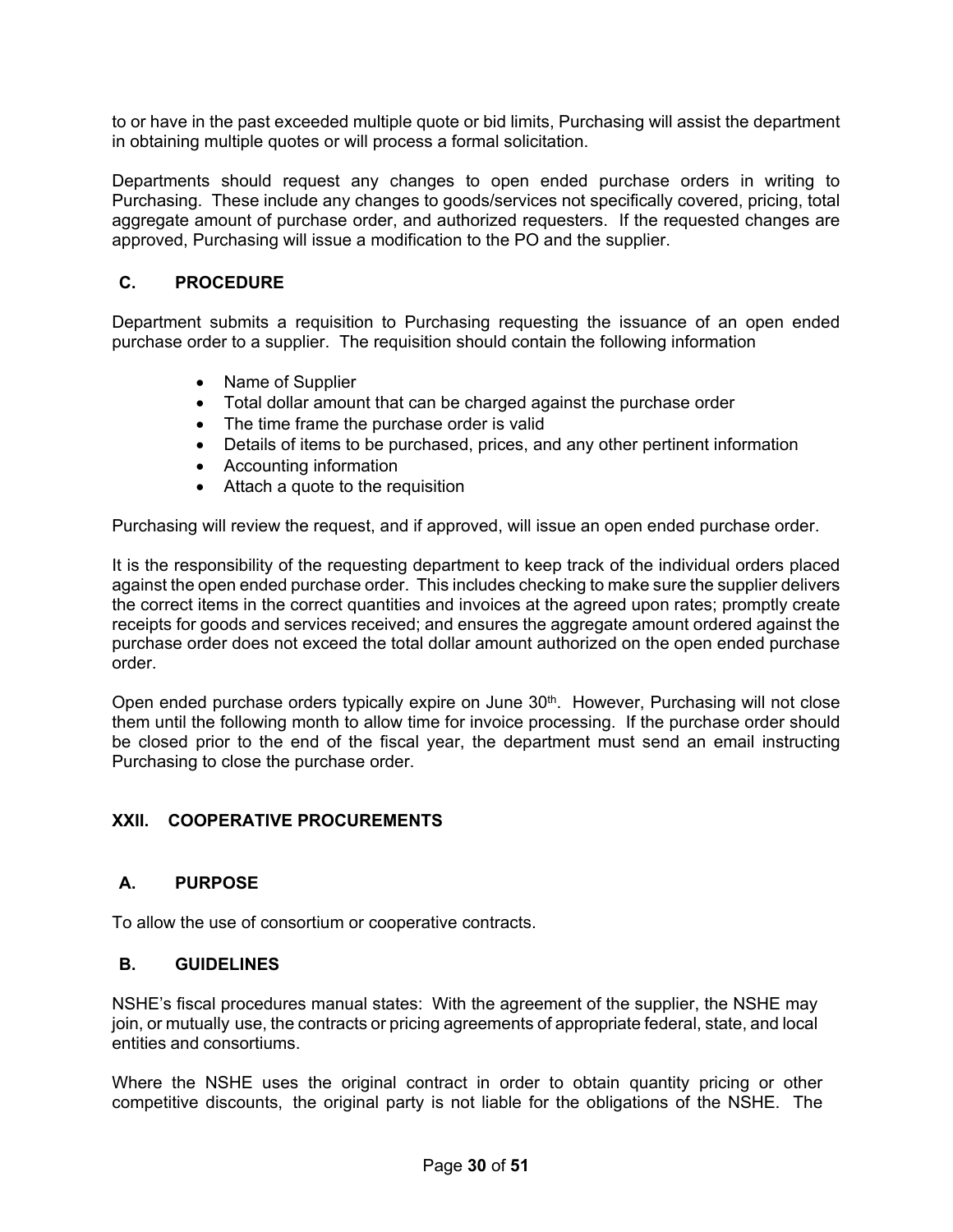to or have in the past exceeded multiple quote or bid limits, Purchasing will assist the department in obtaining multiple quotes or will process a formal solicitation.

Departments should request any changes to open ended purchase orders in writing to Purchasing. These include any changes to goods/services not specifically covered, pricing, total aggregate amount of purchase order, and authorized requesters. If the requested changes are approved, Purchasing will issue a modification to the PO and the supplier.

# <span id="page-29-0"></span>**C. PROCEDURE**

Department submits a requisition to Purchasing requesting the issuance of an open ended purchase order to a supplier. The requisition should contain the following information

- Name of Supplier
- Total dollar amount that can be charged against the purchase order
- The time frame the purchase order is valid
- Details of items to be purchased, prices, and any other pertinent information
- Accounting information
- Attach a quote to the requisition

Purchasing will review the request, and if approved, will issue an open ended purchase order.

It is the responsibility of the requesting department to keep track of the individual orders placed against the open ended purchase order. This includes checking to make sure the supplier delivers the correct items in the correct quantities and invoices at the agreed upon rates; promptly create receipts for goods and services received; and ensures the aggregate amount ordered against the purchase order does not exceed the total dollar amount authorized on the open ended purchase order.

Open ended purchase orders typically expire on June 30<sup>th</sup>. However, Purchasing will not close them until the following month to allow time for invoice processing. If the purchase order should be closed prior to the end of the fiscal year, the department must send an email instructing Purchasing to close the purchase order.

## <span id="page-29-1"></span>**XXII. COOPERATIVE PROCUREMENTS**

## <span id="page-29-2"></span>**A. PURPOSE**

To allow the use of consortium or cooperative contracts.

## <span id="page-29-3"></span>**B. GUIDELINES**

NSHE's fiscal procedures manual states: With the agreement of the supplier, the NSHE may join, or mutually use, the contracts or pricing agreements of appropriate federal, state, and local entities and consortiums.

Where the NSHE uses the original contract in order to obtain quantity pricing or other competitive discounts, the original party is not liable for the obligations of the NSHE. The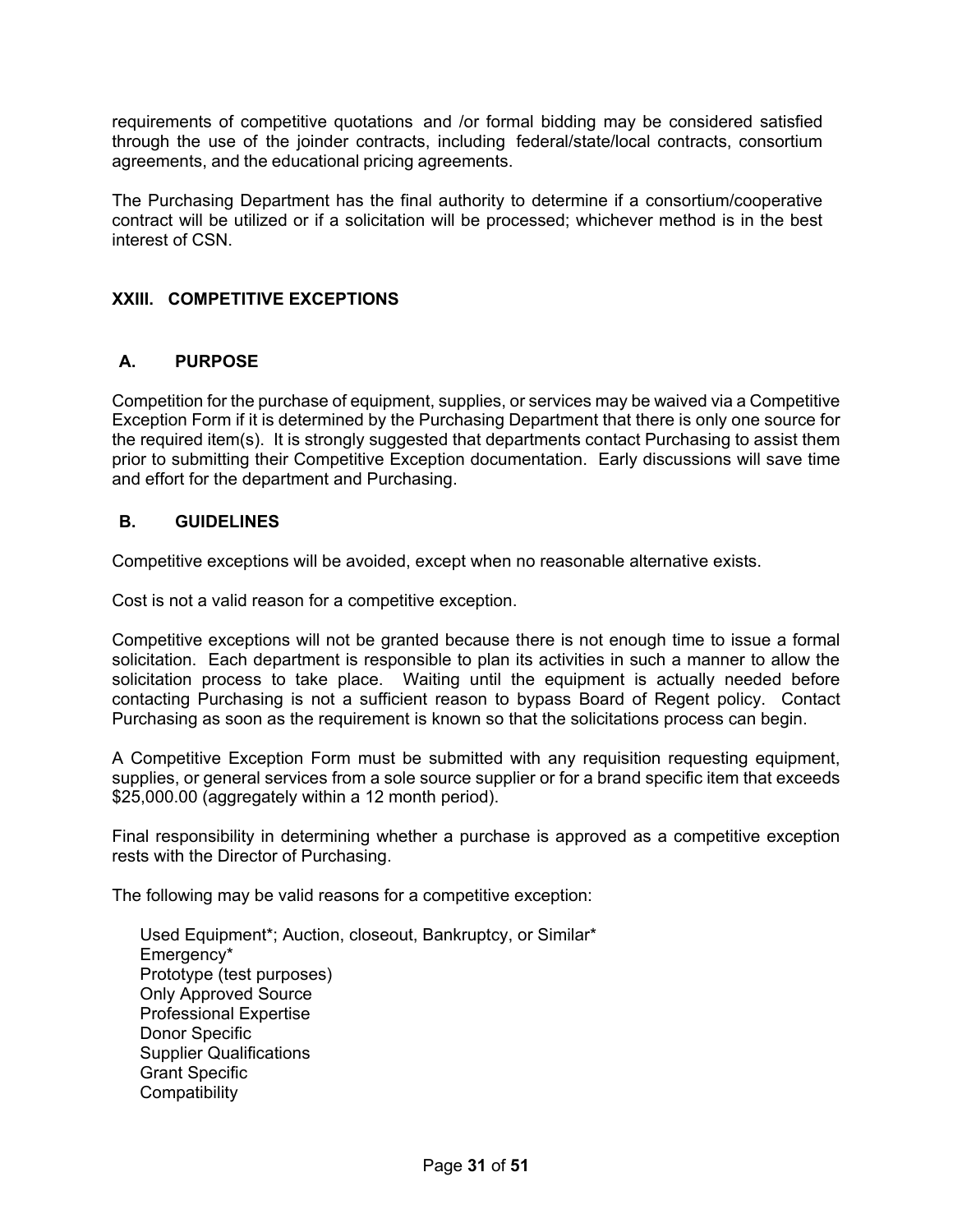requirements of competitive quotations and /or formal bidding may be considered satisfied through the use of the joinder contracts, including federal/state/local contracts, consortium agreements, and the educational pricing agreements.

The Purchasing Department has the final authority to determine if a consortium/cooperative contract will be utilized or if a solicitation will be processed; whichever method is in the best interest of CSN.

# <span id="page-30-0"></span>**XXIII. COMPETITIVE EXCEPTIONS**

## <span id="page-30-1"></span>**A. PURPOSE**

Competition for the purchase of equipment, supplies, or services may be waived via a Competitive Exception Form if it is determined by the Purchasing Department that there is only one source for the required item(s). It is strongly suggested that departments contact Purchasing to assist them prior to submitting their Competitive Exception documentation. Early discussions will save time and effort for the department and Purchasing.

## <span id="page-30-2"></span>**B. GUIDELINES**

Competitive exceptions will be avoided, except when no reasonable alternative exists.

Cost is not a valid reason for a competitive exception.

Competitive exceptions will not be granted because there is not enough time to issue a formal solicitation. Each department is responsible to plan its activities in such a manner to allow the solicitation process to take place. Waiting until the equipment is actually needed before contacting Purchasing is not a sufficient reason to bypass Board of Regent policy. Contact Purchasing as soon as the requirement is known so that the solicitations process can begin.

A Competitive Exception Form must be submitted with any requisition requesting equipment, supplies, or general services from a sole source supplier or for a brand specific item that exceeds \$25,000.00 (aggregately within a 12 month period).

Final responsibility in determining whether a purchase is approved as a competitive exception rests with the Director of Purchasing.

The following may be valid reasons for a competitive exception:

Used Equipment\*; Auction, closeout, Bankruptcy, or Similar\* Emergency\* Prototype (test purposes) Only Approved Source Professional Expertise Donor Specific Supplier Qualifications Grant Specific **Compatibility**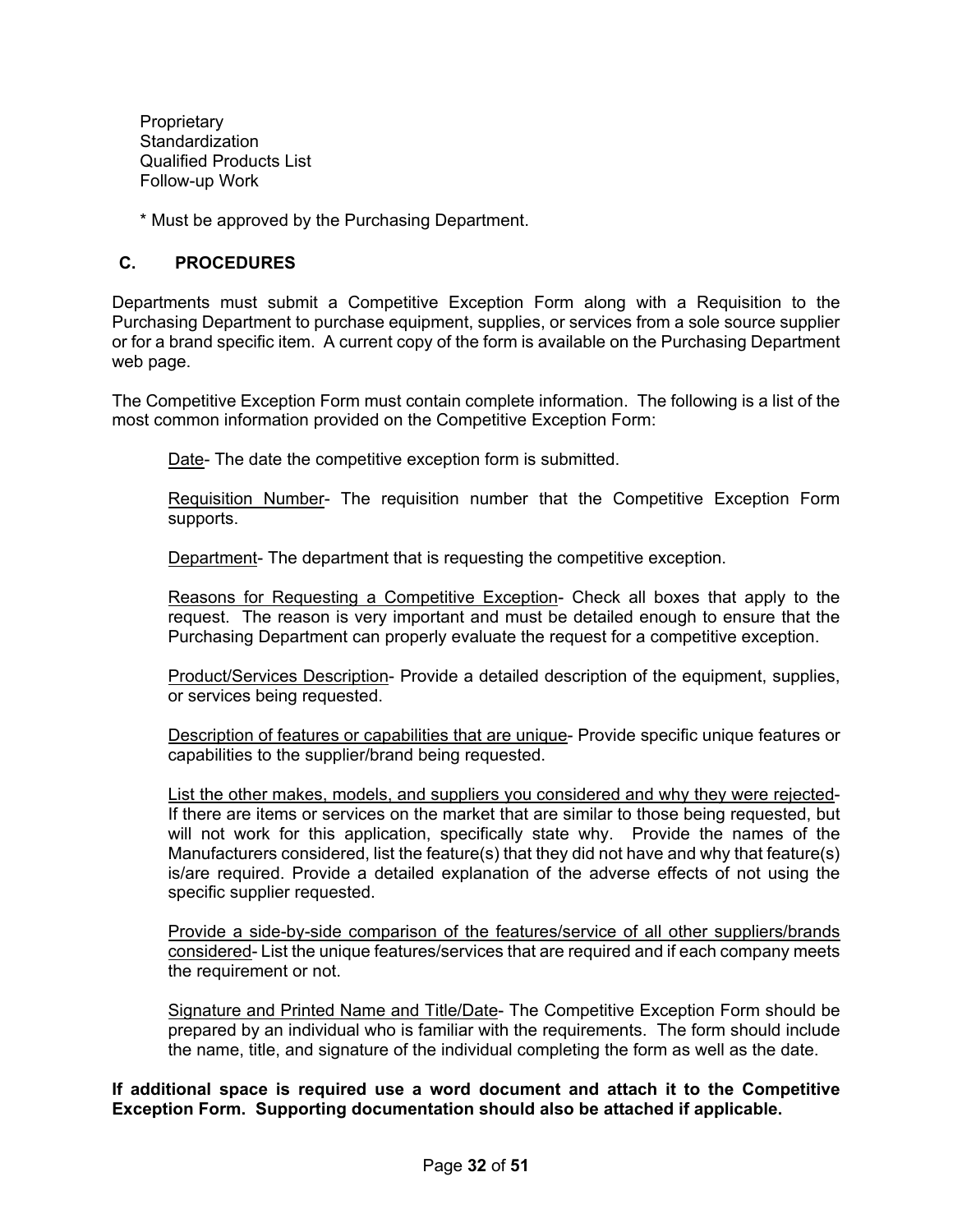**Proprietary Standardization** Qualified Products List Follow-up Work

\* Must be approved by the Purchasing Department.

#### <span id="page-31-0"></span>**C. PROCEDURES**

Departments must submit a Competitive Exception Form along with a Requisition to the Purchasing Department to purchase equipment, supplies, or services from a sole source supplier or for a brand specific item. A current copy of the form is available on the Purchasing Department web page.

The Competitive Exception Form must contain complete information. The following is a list of the most common information provided on the Competitive Exception Form:

Date- The date the competitive exception form is submitted.

Requisition Number- The requisition number that the Competitive Exception Form supports.

Department- The department that is requesting the competitive exception.

Reasons for Requesting a Competitive Exception- Check all boxes that apply to the request. The reason is very important and must be detailed enough to ensure that the Purchasing Department can properly evaluate the request for a competitive exception.

Product/Services Description- Provide a detailed description of the equipment, supplies, or services being requested.

Description of features or capabilities that are unique- Provide specific unique features or capabilities to the supplier/brand being requested.

List the other makes, models, and suppliers you considered and why they were rejected-If there are items or services on the market that are similar to those being requested, but will not work for this application, specifically state why. Provide the names of the Manufacturers considered, list the feature(s) that they did not have and why that feature(s) is/are required. Provide a detailed explanation of the adverse effects of not using the specific supplier requested.

Provide a side-by-side comparison of the features/service of all other suppliers/brands considered- List the unique features/services that are required and if each company meets the requirement or not.

Signature and Printed Name and Title/Date- The Competitive Exception Form should be prepared by an individual who is familiar with the requirements. The form should include the name, title, and signature of the individual completing the form as well as the date.

**If additional space is required use a word document and attach it to the Competitive Exception Form. Supporting documentation should also be attached if applicable.**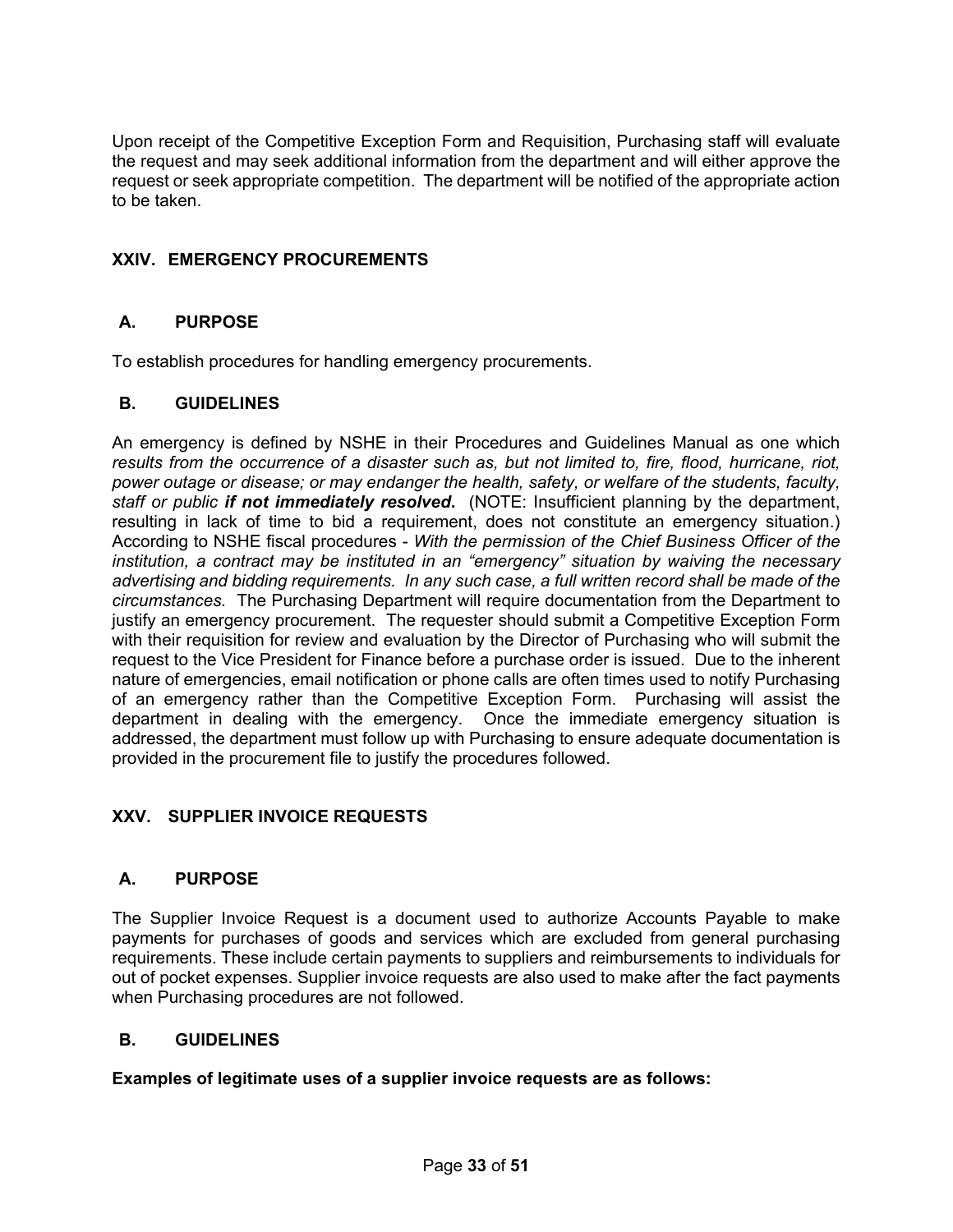Upon receipt of the Competitive Exception Form and Requisition, Purchasing staff will evaluate the request and may seek additional information from the department and will either approve the request or seek appropriate competition. The department will be notified of the appropriate action to be taken.

# <span id="page-32-0"></span>**XXIV. EMERGENCY PROCUREMENTS**

## <span id="page-32-1"></span>**A. PURPOSE**

To establish procedures for handling emergency procurements.

#### <span id="page-32-2"></span>**B. GUIDELINES**

An emergency is defined by NSHE in their Procedures and Guidelines Manual as one which *results from the occurrence of a disaster such as, but not limited to, fire, flood, hurricane, riot, power outage or disease; or may endanger the health, safety, or welfare of the students, faculty, staff or public if not immediately resolved***.** (NOTE: Insufficient planning by the department, resulting in lack of time to bid a requirement, does not constitute an emergency situation.) According to NSHE fiscal procedures - *With the permission of the Chief Business Officer of the institution, a contract may be instituted in an "emergency" situation by waiving the necessary advertising and bidding requirements. In any such case, a full written record shall be made of the circumstances.* The Purchasing Department will require documentation from the Department to justify an emergency procurement. The requester should submit a Competitive Exception Form with their requisition for review and evaluation by the Director of Purchasing who will submit the request to the Vice President for Finance before a purchase order is issued. Due to the inherent nature of emergencies, email notification or phone calls are often times used to notify Purchasing of an emergency rather than the Competitive Exception Form. Purchasing will assist the department in dealing with the emergency. Once the immediate emergency situation is addressed, the department must follow up with Purchasing to ensure adequate documentation is provided in the procurement file to justify the procedures followed.

## <span id="page-32-3"></span>**XXV. SUPPLIER INVOICE REQUESTS**

## <span id="page-32-4"></span>**A. PURPOSE**

The Supplier Invoice Request is a document used to authorize Accounts Payable to make payments for purchases of goods and services which are excluded from general purchasing requirements. These include certain payments to suppliers and reimbursements to individuals for out of pocket expenses. Supplier invoice requests are also used to make after the fact payments when Purchasing procedures are not followed.

## <span id="page-32-5"></span>**B. GUIDELINES**

**Examples of legitimate uses of a supplier invoice requests are as follows:**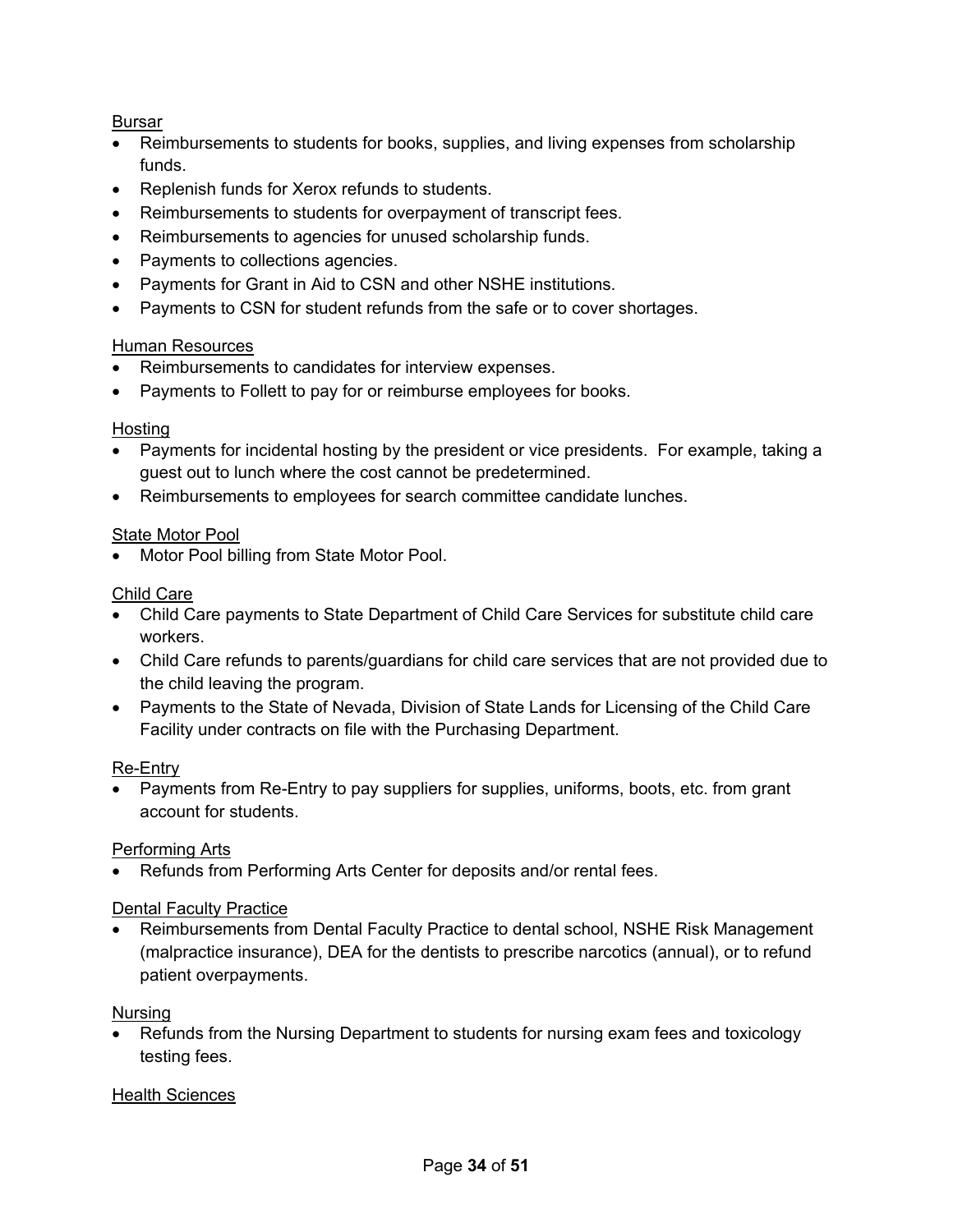## Bursar

- Reimbursements to students for books, supplies, and living expenses from scholarship funds.
- Replenish funds for Xerox refunds to students.
- Reimbursements to students for overpayment of transcript fees.
- Reimbursements to agencies for unused scholarship funds.
- Payments to collections agencies.
- Payments for Grant in Aid to CSN and other NSHE institutions.
- Payments to CSN for student refunds from the safe or to cover shortages.

#### Human Resources

- Reimbursements to candidates for interview expenses.
- Payments to Follett to pay for or reimburse employees for books.

#### **Hosting**

- Payments for incidental hosting by the president or vice presidents. For example, taking a guest out to lunch where the cost cannot be predetermined.
- Reimbursements to employees for search committee candidate lunches.

## **State Motor Pool**

Motor Pool billing from State Motor Pool.

#### Child Care

- Child Care payments to State Department of Child Care Services for substitute child care workers.
- Child Care refunds to parents/guardians for child care services that are not provided due to the child leaving the program.
- Payments to the State of Nevada, Division of State Lands for Licensing of the Child Care Facility under contracts on file with the Purchasing Department.

## Re-Entry

• Payments from Re-Entry to pay suppliers for supplies, uniforms, boots, etc. from grant account for students.

## Performing Arts

• Refunds from Performing Arts Center for deposits and/or rental fees.

#### Dental Faculty Practice

• Reimbursements from Dental Faculty Practice to dental school, NSHE Risk Management (malpractice insurance), DEA for the dentists to prescribe narcotics (annual), or to refund patient overpayments.

#### Nursing

• Refunds from the Nursing Department to students for nursing exam fees and toxicology testing fees.

## Health Sciences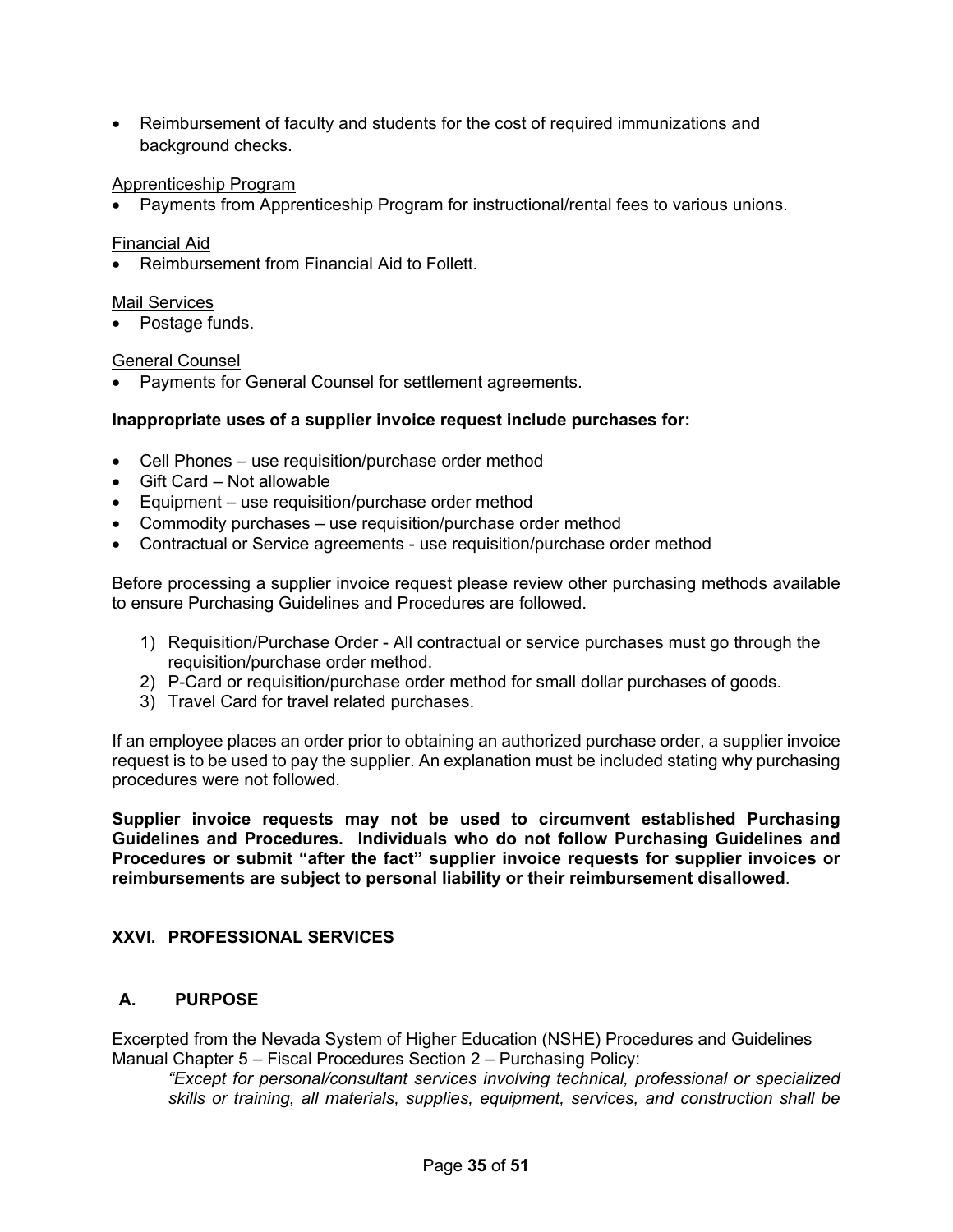• Reimbursement of faculty and students for the cost of required immunizations and background checks.

#### Apprenticeship Program

• Payments from Apprenticeship Program for instructional/rental fees to various unions.

#### Financial Aid

• Reimbursement from Financial Aid to Follett.

#### Mail Services

• Postage funds.

#### General Counsel

• Payments for General Counsel for settlement agreements.

#### **Inappropriate uses of a supplier invoice request include purchases for:**

- Cell Phones use requisition/purchase order method
- Gift Card Not allowable
- Equipment use requisition/purchase order method
- Commodity purchases use requisition/purchase order method
- Contractual or Service agreements use requisition/purchase order method

Before processing a supplier invoice request please review other purchasing methods available to ensure Purchasing Guidelines and Procedures are followed.

- 1) Requisition/Purchase Order All contractual or service purchases must go through the requisition/purchase order method.
- 2) P-Card or requisition/purchase order method for small dollar purchases of goods.
- 3) Travel Card for travel related purchases.

If an employee places an order prior to obtaining an authorized purchase order, a supplier invoice request is to be used to pay the supplier. An explanation must be included stating why purchasing procedures were not followed.

**Supplier invoice requests may not be used to circumvent established Purchasing Guidelines and Procedures. Individuals who do not follow Purchasing Guidelines and Procedures or submit "after the fact" supplier invoice requests for supplier invoices or reimbursements are subject to personal liability or their reimbursement disallowed**.

## <span id="page-34-0"></span>**XXVI. PROFESSIONAL SERVICES**

## <span id="page-34-1"></span>**A. PURPOSE**

Excerpted from the Nevada System of Higher Education (NSHE) Procedures and Guidelines Manual Chapter 5 – Fiscal Procedures Section 2 – Purchasing Policy:

*"Except for personal/consultant services involving technical, professional or specialized skills or training, all materials, supplies, equipment, services, and construction shall be*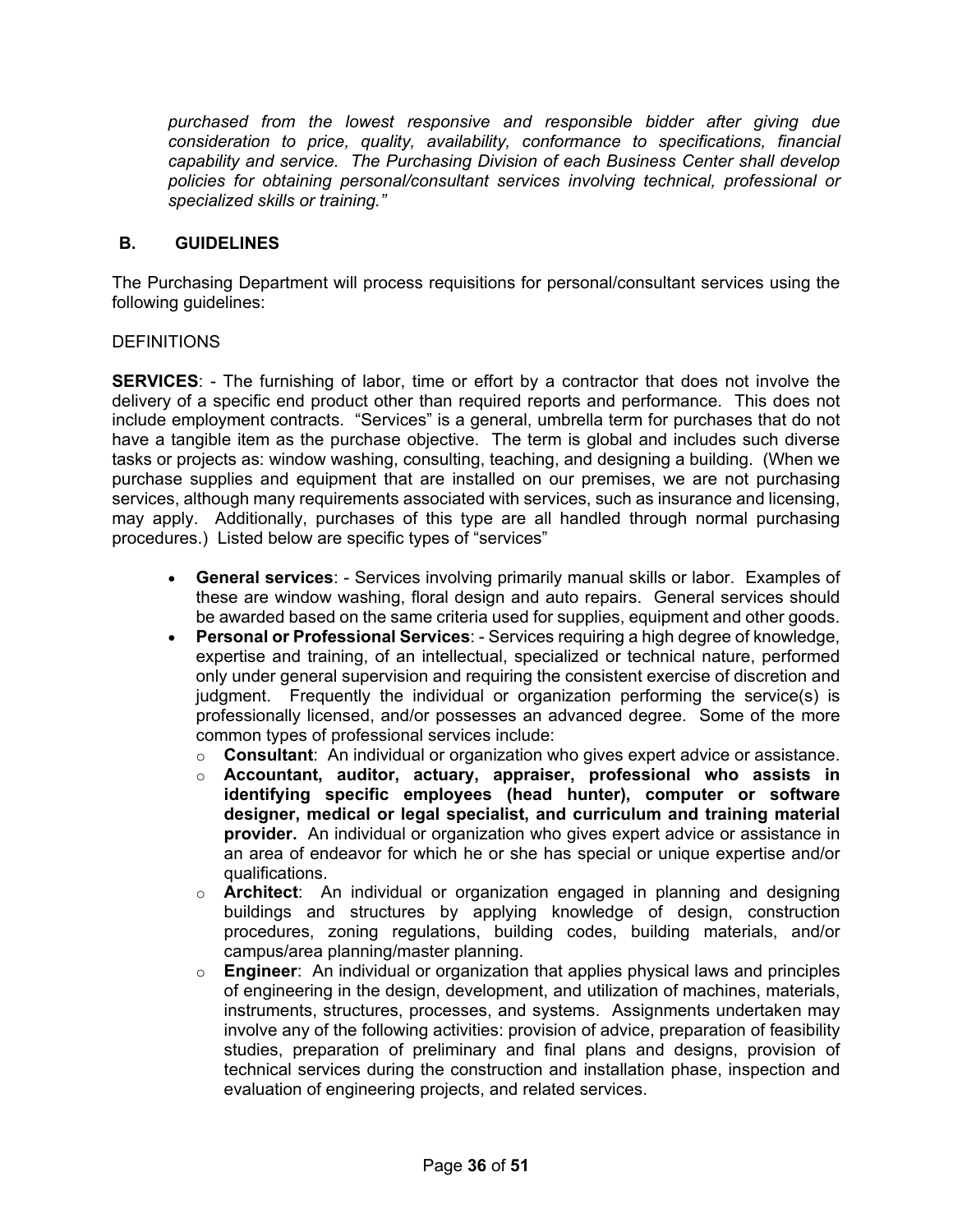*purchased from the lowest responsive and responsible bidder after giving due consideration to price, quality, availability, conformance to specifications, financial capability and service. The Purchasing Division of each Business Center shall develop policies for obtaining personal/consultant services involving technical, professional or specialized skills or training."*

## <span id="page-35-0"></span>**B. GUIDELINES**

The Purchasing Department will process requisitions for personal/consultant services using the following guidelines:

#### DEFINITIONS

**SERVICES**: - The furnishing of labor, time or effort by a contractor that does not involve the delivery of a specific end product other than required reports and performance. This does not include employment contracts. "Services" is a general, umbrella term for purchases that do not have a tangible item as the purchase objective. The term is global and includes such diverse tasks or projects as: window washing, consulting, teaching, and designing a building. (When we purchase supplies and equipment that are installed on our premises, we are not purchasing services, although many requirements associated with services, such as insurance and licensing, may apply. Additionally, purchases of this type are all handled through normal purchasing procedures.) Listed below are specific types of "services"

- **General services**: Services involving primarily manual skills or labor. Examples of these are window washing, floral design and auto repairs. General services should be awarded based on the same criteria used for supplies, equipment and other goods.
- **Personal or Professional Services**: Services requiring a high degree of knowledge, expertise and training, of an intellectual, specialized or technical nature, performed only under general supervision and requiring the consistent exercise of discretion and judgment. Frequently the individual or organization performing the service(s) is professionally licensed, and/or possesses an advanced degree. Some of the more common types of professional services include:
	- o **Consultant**: An individual or organization who gives expert advice or assistance.
	- o **Accountant, auditor, actuary, appraiser, professional who assists in identifying specific employees (head hunter), computer or software designer, medical or legal specialist, and curriculum and training material provider.** An individual or organization who gives expert advice or assistance in an area of endeavor for which he or she has special or unique expertise and/or qualifications.
	- o **Architect**: An individual or organization engaged in planning and designing buildings and structures by applying knowledge of design, construction procedures, zoning regulations, building codes, building materials, and/or campus/area planning/master planning.
	- o **Engineer**: An individual or organization that applies physical laws and principles of engineering in the design, development, and utilization of machines, materials, instruments, structures, processes, and systems. Assignments undertaken may involve any of the following activities: provision of advice, preparation of feasibility studies, preparation of preliminary and final plans and designs, provision of technical services during the construction and installation phase, inspection and evaluation of engineering projects, and related services.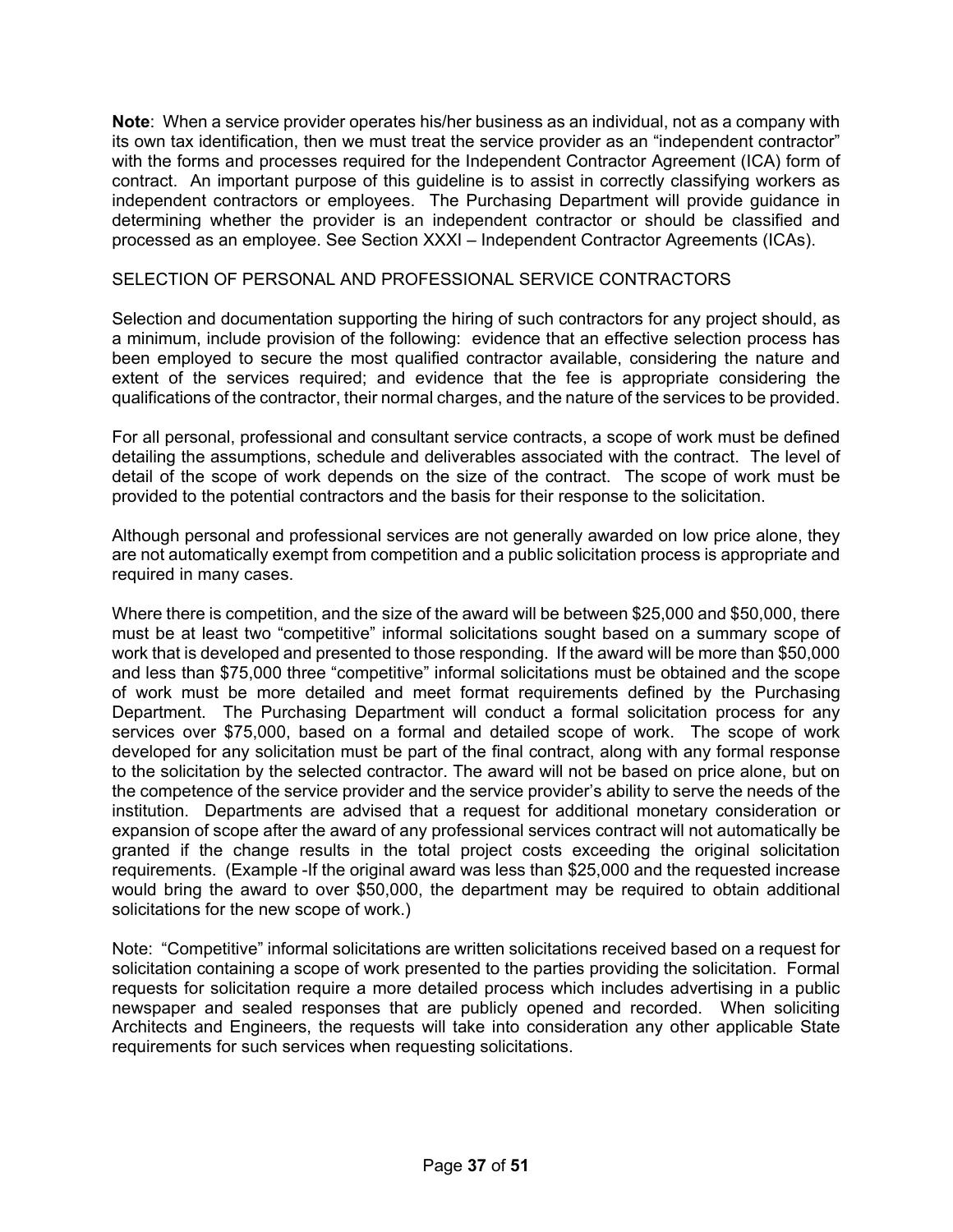**Note**: When a service provider operates his/her business as an individual, not as a company with its own tax identification, then we must treat the service provider as an "independent contractor" with the forms and processes required for the Independent Contractor Agreement (ICA) form of contract. An important purpose of this guideline is to assist in correctly classifying workers as independent contractors or employees. The Purchasing Department will provide guidance in determining whether the provider is an independent contractor or should be classified and processed as an employee. See Section XXXI – Independent Contractor Agreements (ICAs).

#### SELECTION OF PERSONAL AND PROFESSIONAL SERVICE CONTRACTORS

Selection and documentation supporting the hiring of such contractors for any project should, as a minimum, include provision of the following: evidence that an effective selection process has been employed to secure the most qualified contractor available, considering the nature and extent of the services required; and evidence that the fee is appropriate considering the qualifications of the contractor, their normal charges, and the nature of the services to be provided.

For all personal, professional and consultant service contracts, a scope of work must be defined detailing the assumptions, schedule and deliverables associated with the contract. The level of detail of the scope of work depends on the size of the contract. The scope of work must be provided to the potential contractors and the basis for their response to the solicitation.

Although personal and professional services are not generally awarded on low price alone, they are not automatically exempt from competition and a public solicitation process is appropriate and required in many cases.

Where there is competition, and the size of the award will be between \$25,000 and \$50,000, there must be at least two "competitive" informal solicitations sought based on a summary scope of work that is developed and presented to those responding. If the award will be more than \$50,000 and less than \$75,000 three "competitive" informal solicitations must be obtained and the scope of work must be more detailed and meet format requirements defined by the Purchasing Department. The Purchasing Department will conduct a formal solicitation process for any services over \$75,000, based on a formal and detailed scope of work. The scope of work developed for any solicitation must be part of the final contract, along with any formal response to the solicitation by the selected contractor. The award will not be based on price alone, but on the competence of the service provider and the service provider's ability to serve the needs of the institution. Departments are advised that a request for additional monetary consideration or expansion of scope after the award of any professional services contract will not automatically be granted if the change results in the total project costs exceeding the original solicitation requirements. (Example -If the original award was less than \$25,000 and the requested increase would bring the award to over \$50,000, the department may be required to obtain additional solicitations for the new scope of work.)

Note: "Competitive" informal solicitations are written solicitations received based on a request for solicitation containing a scope of work presented to the parties providing the solicitation. Formal requests for solicitation require a more detailed process which includes advertising in a public newspaper and sealed responses that are publicly opened and recorded. When soliciting Architects and Engineers, the requests will take into consideration any other applicable State requirements for such services when requesting solicitations.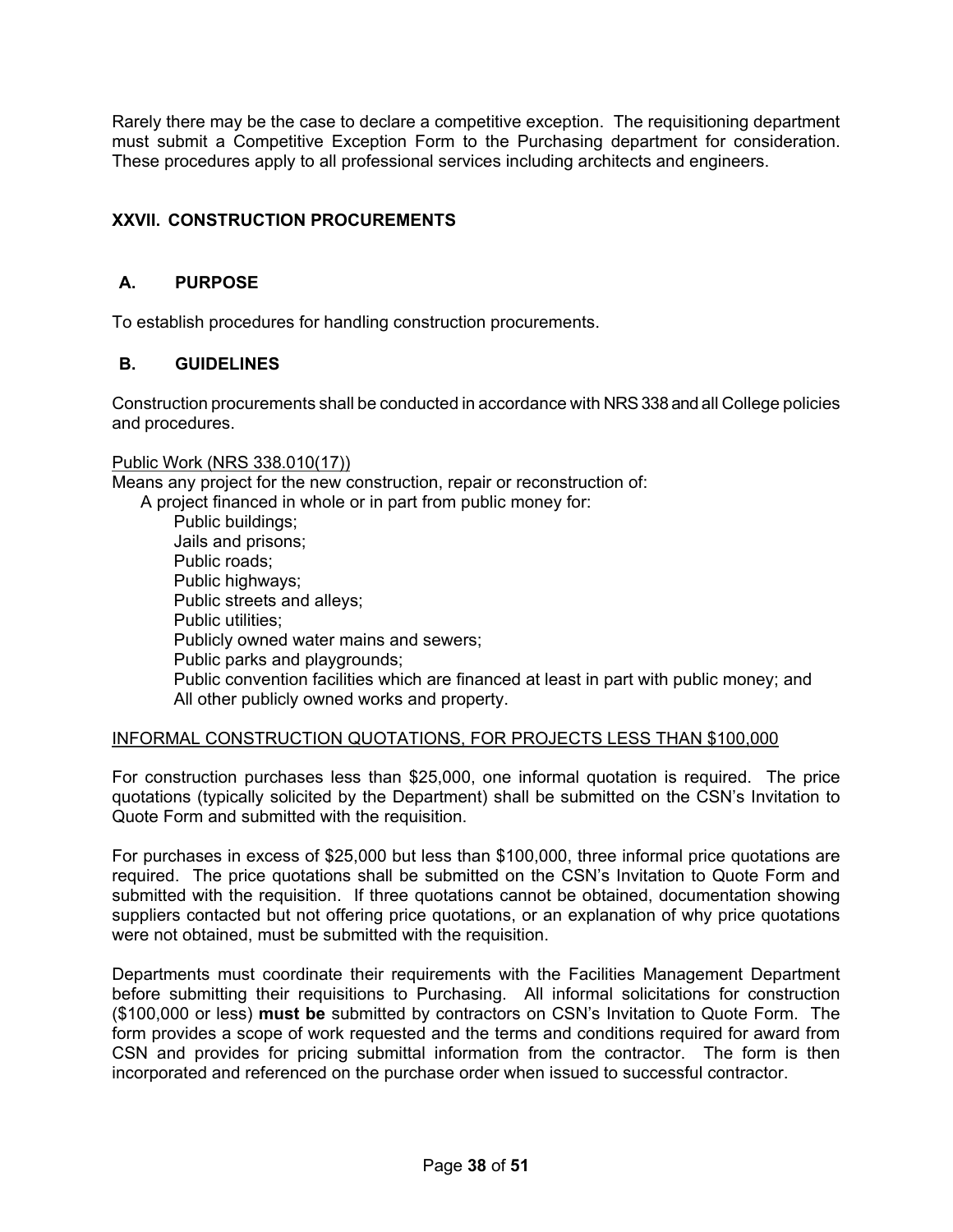Rarely there may be the case to declare a competitive exception. The requisitioning department must submit a Competitive Exception Form to the Purchasing department for consideration. These procedures apply to all professional services including architects and engineers.

# <span id="page-37-0"></span>**XXVII. CONSTRUCTION PROCUREMENTS**

## <span id="page-37-1"></span>**A. PURPOSE**

To establish procedures for handling construction procurements.

## <span id="page-37-2"></span>**B. GUIDELINES**

Construction procurements shall be conducted in accordance with NRS 338 and all College policies and procedures.

#### Public Work (NRS 338.010(17))

Means any project for the new construction, repair or reconstruction of:

A project financed in whole or in part from public money for:

 Public buildings; Jails and prisons; Public roads; Public highways; Public streets and alleys; Public utilities: Publicly owned water mains and sewers; Public parks and playgrounds; Public convention facilities which are financed at least in part with public money; and All other publicly owned works and property.

#### INFORMAL CONSTRUCTION QUOTATIONS, FOR PROJECTS LESS THAN \$100,000

For construction purchases less than \$25,000, one informal quotation is required. The price quotations (typically solicited by the Department) shall be submitted on the CSN's Invitation to Quote Form and submitted with the requisition.

For purchases in excess of \$25,000 but less than \$100,000, three informal price quotations are required. The price quotations shall be submitted on the CSN's Invitation to Quote Form and submitted with the requisition. If three quotations cannot be obtained, documentation showing suppliers contacted but not offering price quotations, or an explanation of why price quotations were not obtained, must be submitted with the requisition.

Departments must coordinate their requirements with the Facilities Management Department before submitting their requisitions to Purchasing. All informal solicitations for construction (\$100,000 or less) **must be** submitted by contractors on CSN's Invitation to Quote Form. The form provides a scope of work requested and the terms and conditions required for award from CSN and provides for pricing submittal information from the contractor. The form is then incorporated and referenced on the purchase order when issued to successful contractor.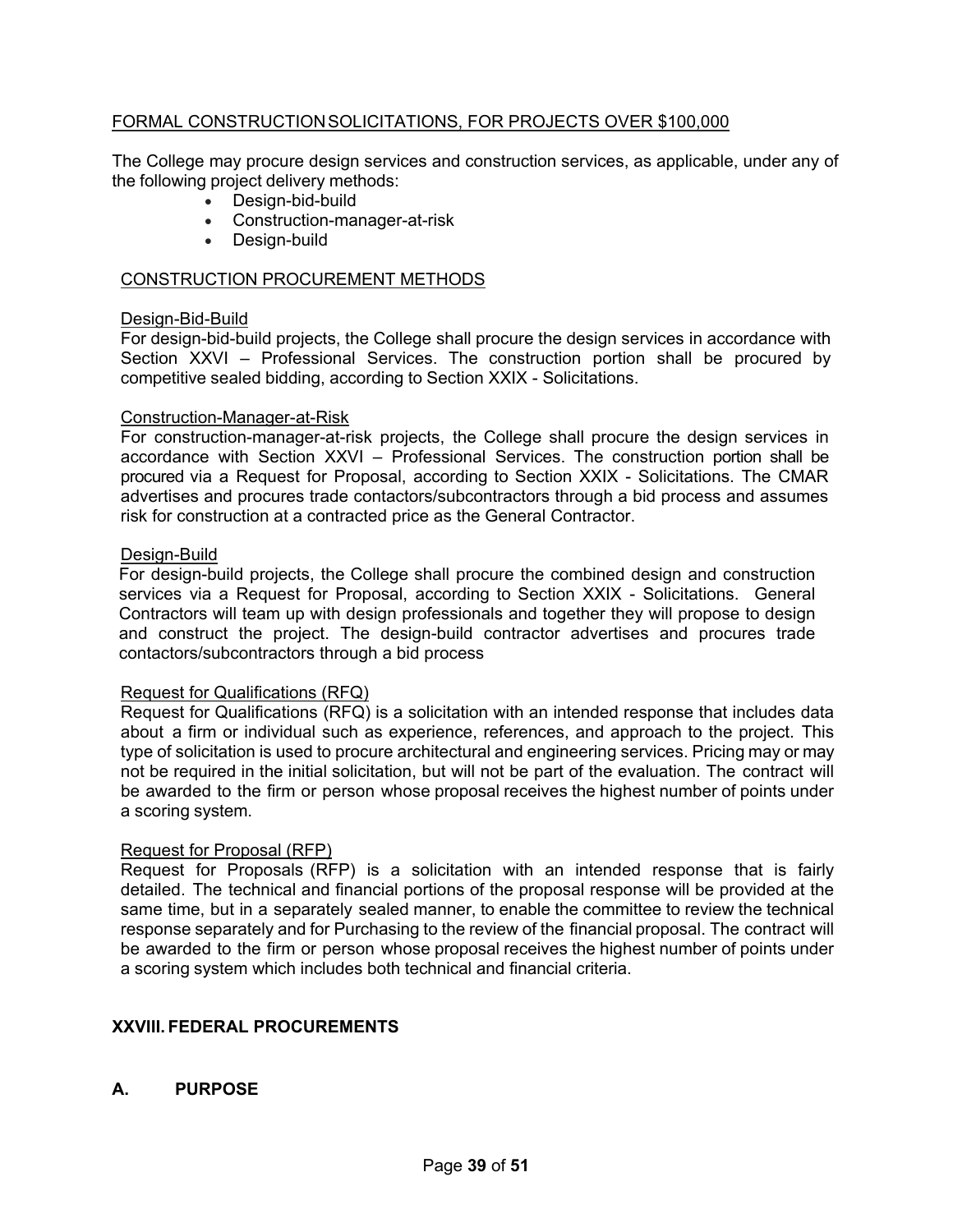## FORMAL CONSTRUCTIONSOLICITATIONS, FOR PROJECTS OVER \$100,000

The College may procure design services and construction services, as applicable, under any of the following project delivery methods:

- Design-bid-build
- Construction-manager-at-risk
- Design-build

#### CONSTRUCTION PROCUREMENT METHODS

#### Design-Bid-Build

For design-bid-build projects, the College shall procure the design services in accordance with Section XXVI – Professional Services. The construction portion shall be procured by competitive sealed bidding, according to Section XXIX - Solicitations.

#### Construction-Manager-at-Risk

For construction-manager-at-risk projects, the College shall procure the design services in accordance with Section XXVI – Professional Services. The construction portion shall be procured via a Request for Proposal, according to Section XXIX - Solicitations. The CMAR advertises and procures trade contactors/subcontractors through a bid process and assumes risk for construction at a contracted price as the General Contractor.

#### Design-Build

For design-build projects, the College shall procure the combined design and construction services via a Request for Proposal, according to Section XXIX - Solicitations. General Contractors will team up with design professionals and together they will propose to design and construct the project. The design-build contractor advertises and procures trade contactors/subcontractors through a bid process

#### Request for Qualifications (RFQ)

Request for Qualifications (RFQ) is a solicitation with an intended response that includes data about a firm or individual such as experience, references, and approach to the project. This type of solicitation is used to procure architectural and engineering services. Pricing may or may not be required in the initial solicitation, but will not be part of the evaluation. The contract will be awarded to the firm or person whose proposal receives the highest number of points under a scoring system.

#### Request for Proposal (RFP)

Request for Proposals (RFP) is a solicitation with an intended response that is fairly detailed. The technical and financial portions of the proposal response will be provided at the same time, but in a separately sealed manner, to enable the committee to review the technical response separately and for Purchasing to the review of the financial proposal. The contract will be awarded to the firm or person whose proposal receives the highest number of points under a scoring system which includes both technical and financial criteria.

## <span id="page-38-0"></span>**XXVIII. FEDERAL PROCUREMENTS**

## <span id="page-38-1"></span>**A. PURPOSE**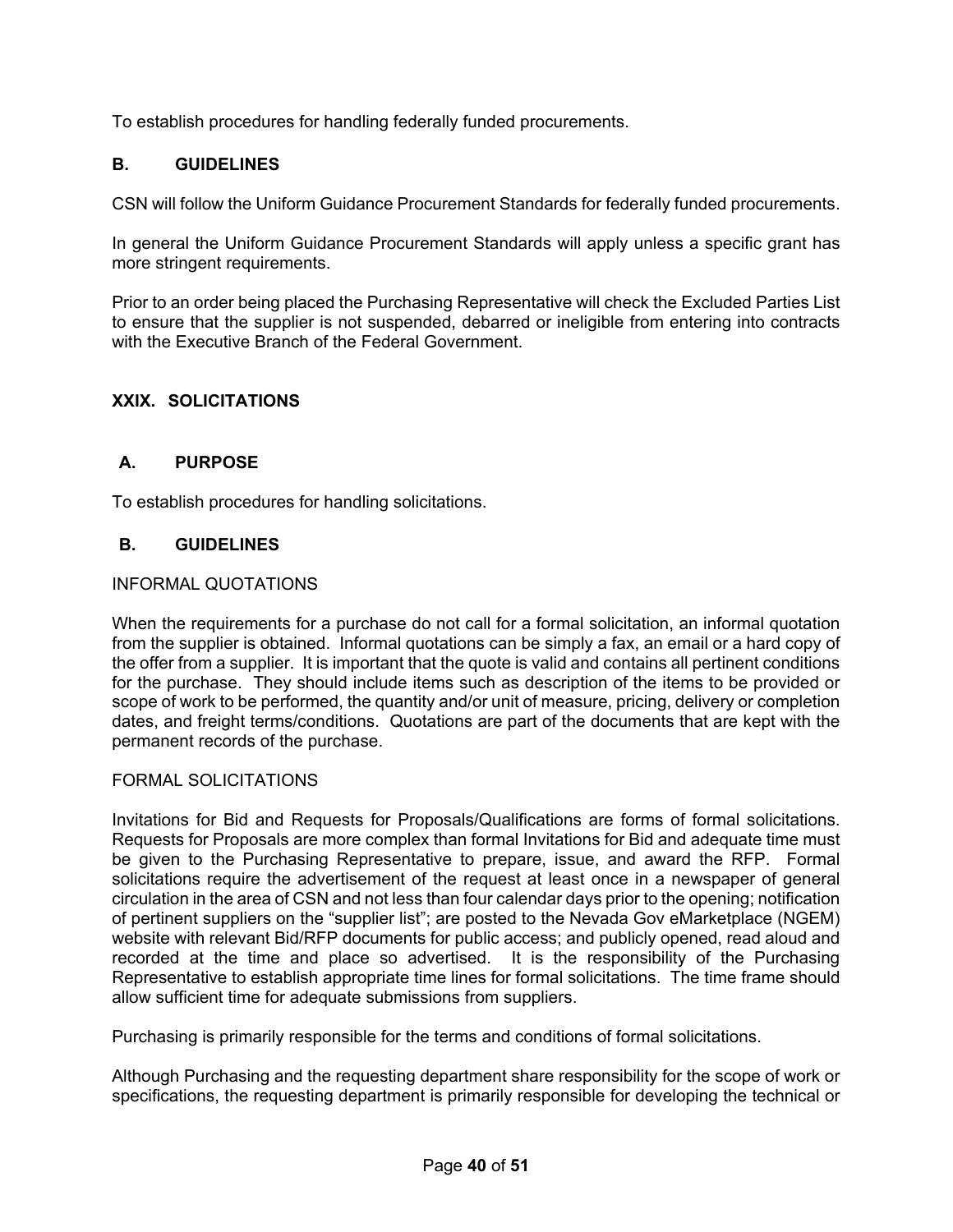To establish procedures for handling federally funded procurements.

## <span id="page-39-0"></span>**B. GUIDELINES**

CSN will follow the Uniform Guidance Procurement Standards for federally funded procurements.

In general the Uniform Guidance Procurement Standards will apply unless a specific grant has more stringent requirements.

Prior to an order being placed the Purchasing Representative will check the Excluded Parties List to ensure that the supplier is not suspended, debarred or ineligible from entering into contracts with the Executive Branch of the Federal Government.

## <span id="page-39-1"></span>**XXIX. SOLICITATIONS**

## <span id="page-39-2"></span>**A. PURPOSE**

To establish procedures for handling solicitations.

## <span id="page-39-3"></span>**B. GUIDELINES**

#### INFORMAL QUOTATIONS

When the requirements for a purchase do not call for a formal solicitation, an informal quotation from the supplier is obtained. Informal quotations can be simply a fax, an email or a hard copy of the offer from a supplier. It is important that the quote is valid and contains all pertinent conditions for the purchase. They should include items such as description of the items to be provided or scope of work to be performed, the quantity and/or unit of measure, pricing, delivery or completion dates, and freight terms/conditions. Quotations are part of the documents that are kept with the permanent records of the purchase.

#### FORMAL SOLICITATIONS

Invitations for Bid and Requests for Proposals/Qualifications are forms of formal solicitations. Requests for Proposals are more complex than formal Invitations for Bid and adequate time must be given to the Purchasing Representative to prepare, issue, and award the RFP. Formal solicitations require the advertisement of the request at least once in a newspaper of general circulation in the area of CSN and not less than four calendar days prior to the opening; notification of pertinent suppliers on the "supplier list"; are posted to the Nevada Gov eMarketplace (NGEM) website with relevant Bid/RFP documents for public access; and publicly opened, read aloud and recorded at the time and place so advertised. It is the responsibility of the Purchasing Representative to establish appropriate time lines for formal solicitations. The time frame should allow sufficient time for adequate submissions from suppliers.

Purchasing is primarily responsible for the terms and conditions of formal solicitations.

Although Purchasing and the requesting department share responsibility for the scope of work or specifications, the requesting department is primarily responsible for developing the technical or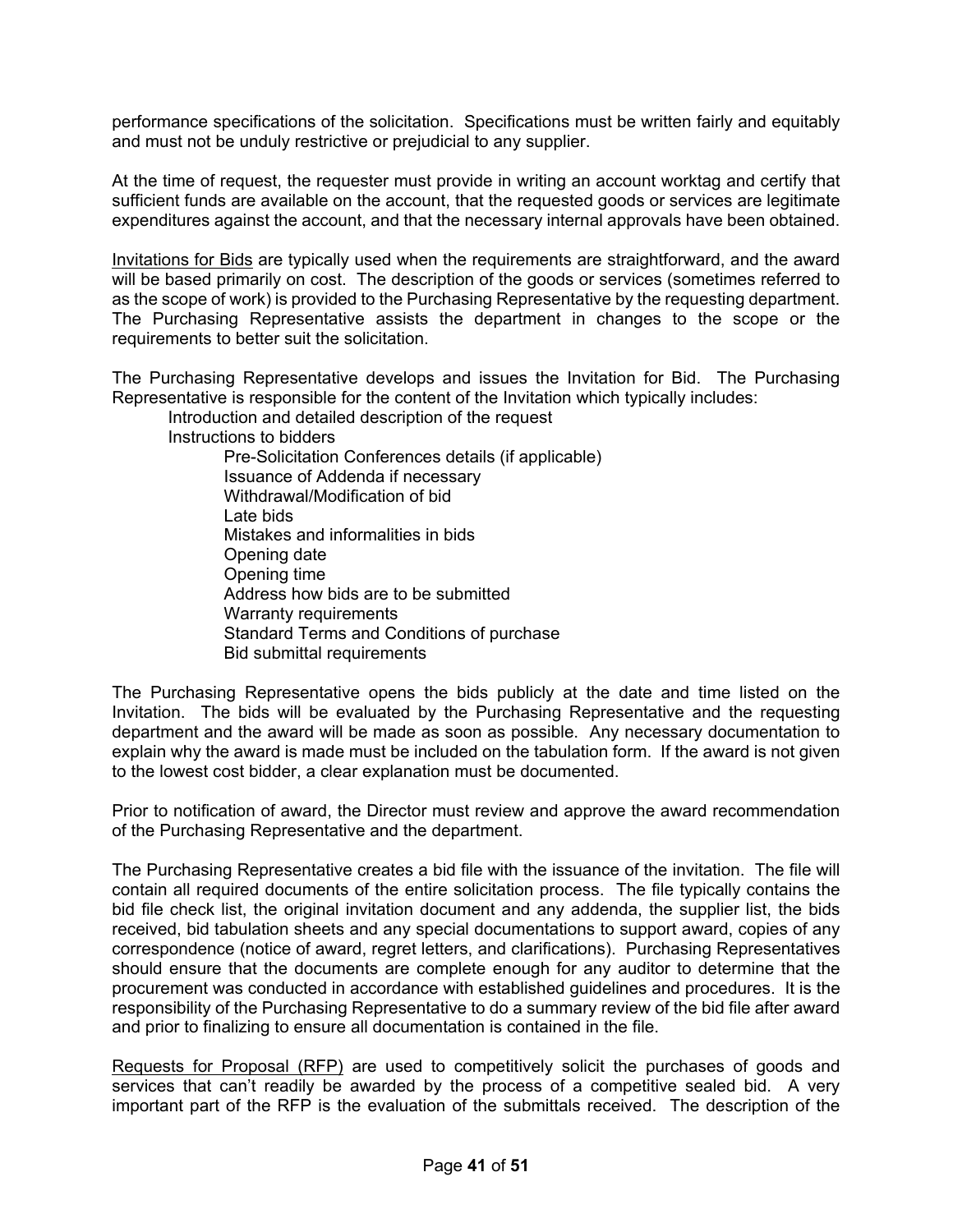performance specifications of the solicitation. Specifications must be written fairly and equitably and must not be unduly restrictive or prejudicial to any supplier.

At the time of request, the requester must provide in writing an account worktag and certify that sufficient funds are available on the account, that the requested goods or services are legitimate expenditures against the account, and that the necessary internal approvals have been obtained.

Invitations for Bids are typically used when the requirements are straightforward, and the award will be based primarily on cost. The description of the goods or services (sometimes referred to as the scope of work) is provided to the Purchasing Representative by the requesting department. The Purchasing Representative assists the department in changes to the scope or the requirements to better suit the solicitation.

The Purchasing Representative develops and issues the Invitation for Bid. The Purchasing Representative is responsible for the content of the Invitation which typically includes:

Introduction and detailed description of the request

Instructions to bidders

Pre-Solicitation Conferences details (if applicable) Issuance of Addenda if necessary Withdrawal/Modification of bid Late bids Mistakes and informalities in bids Opening date Opening time Address how bids are to be submitted Warranty requirements Standard Terms and Conditions of purchase Bid submittal requirements

The Purchasing Representative opens the bids publicly at the date and time listed on the Invitation. The bids will be evaluated by the Purchasing Representative and the requesting department and the award will be made as soon as possible. Any necessary documentation to explain why the award is made must be included on the tabulation form. If the award is not given to the lowest cost bidder, a clear explanation must be documented.

Prior to notification of award, the Director must review and approve the award recommendation of the Purchasing Representative and the department.

The Purchasing Representative creates a bid file with the issuance of the invitation. The file will contain all required documents of the entire solicitation process. The file typically contains the bid file check list, the original invitation document and any addenda, the supplier list, the bids received, bid tabulation sheets and any special documentations to support award, copies of any correspondence (notice of award, regret letters, and clarifications). Purchasing Representatives should ensure that the documents are complete enough for any auditor to determine that the procurement was conducted in accordance with established guidelines and procedures. It is the responsibility of the Purchasing Representative to do a summary review of the bid file after award and prior to finalizing to ensure all documentation is contained in the file.

Requests for Proposal (RFP) are used to competitively solicit the purchases of goods and services that can't readily be awarded by the process of a competitive sealed bid. A very important part of the RFP is the evaluation of the submittals received. The description of the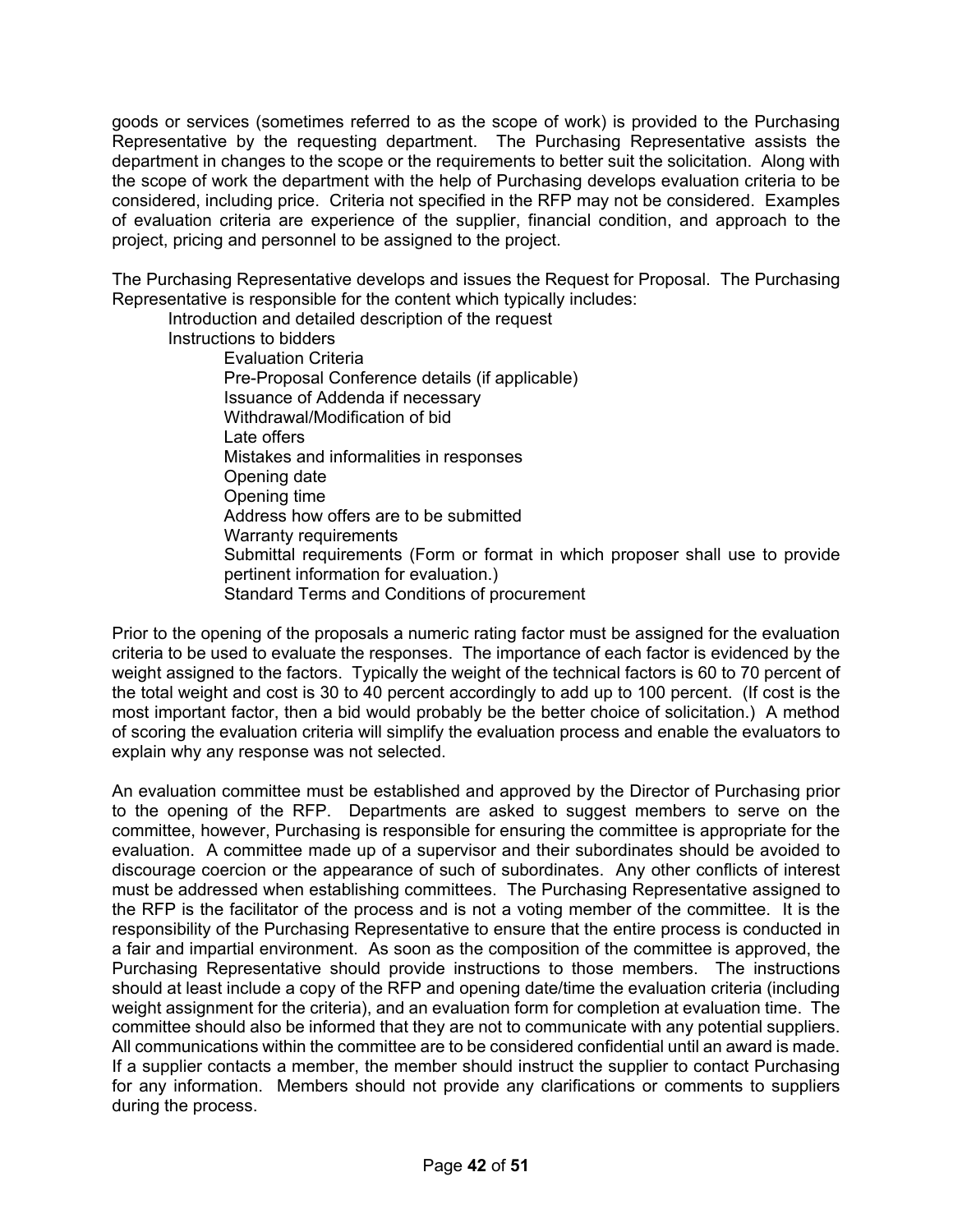goods or services (sometimes referred to as the scope of work) is provided to the Purchasing Representative by the requesting department. The Purchasing Representative assists the department in changes to the scope or the requirements to better suit the solicitation. Along with the scope of work the department with the help of Purchasing develops evaluation criteria to be considered, including price. Criteria not specified in the RFP may not be considered. Examples of evaluation criteria are experience of the supplier, financial condition, and approach to the project, pricing and personnel to be assigned to the project.

The Purchasing Representative develops and issues the Request for Proposal. The Purchasing Representative is responsible for the content which typically includes:

Introduction and detailed description of the request Instructions to bidders Evaluation Criteria Pre-Proposal Conference details (if applicable) Issuance of Addenda if necessary Withdrawal/Modification of bid Late offers Mistakes and informalities in responses Opening date Opening time Address how offers are to be submitted Warranty requirements Submittal requirements (Form or format in which proposer shall use to provide pertinent information for evaluation.) Standard Terms and Conditions of procurement

Prior to the opening of the proposals a numeric rating factor must be assigned for the evaluation criteria to be used to evaluate the responses. The importance of each factor is evidenced by the weight assigned to the factors. Typically the weight of the technical factors is 60 to 70 percent of the total weight and cost is 30 to 40 percent accordingly to add up to 100 percent. (If cost is the most important factor, then a bid would probably be the better choice of solicitation.) A method of scoring the evaluation criteria will simplify the evaluation process and enable the evaluators to explain why any response was not selected.

An evaluation committee must be established and approved by the Director of Purchasing prior to the opening of the RFP. Departments are asked to suggest members to serve on the committee, however, Purchasing is responsible for ensuring the committee is appropriate for the evaluation. A committee made up of a supervisor and their subordinates should be avoided to discourage coercion or the appearance of such of subordinates. Any other conflicts of interest must be addressed when establishing committees. The Purchasing Representative assigned to the RFP is the facilitator of the process and is not a voting member of the committee. It is the responsibility of the Purchasing Representative to ensure that the entire process is conducted in a fair and impartial environment. As soon as the composition of the committee is approved, the Purchasing Representative should provide instructions to those members. The instructions should at least include a copy of the RFP and opening date/time the evaluation criteria (including weight assignment for the criteria), and an evaluation form for completion at evaluation time. The committee should also be informed that they are not to communicate with any potential suppliers. All communications within the committee are to be considered confidential until an award is made. If a supplier contacts a member, the member should instruct the supplier to contact Purchasing for any information. Members should not provide any clarifications or comments to suppliers during the process.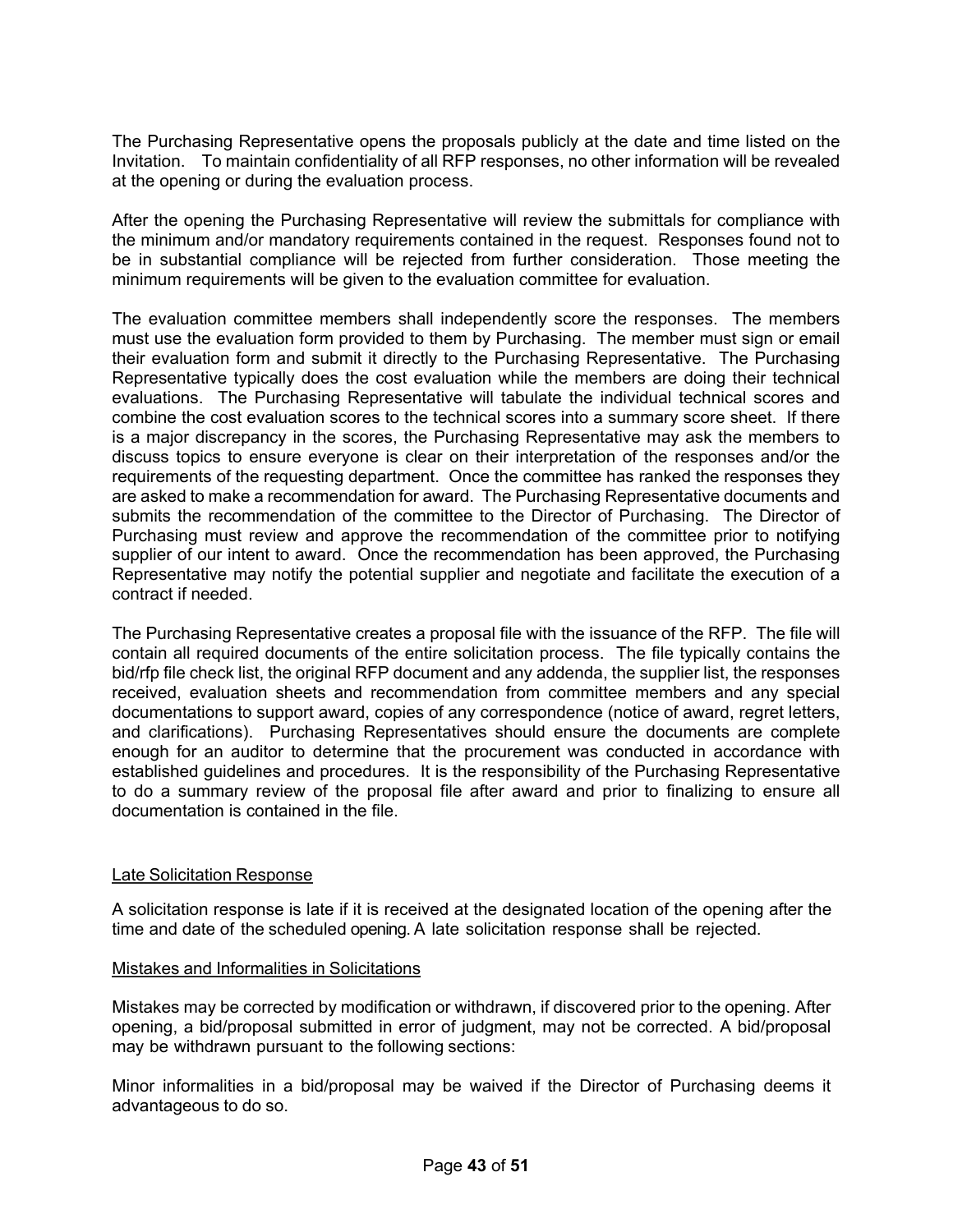The Purchasing Representative opens the proposals publicly at the date and time listed on the Invitation. To maintain confidentiality of all RFP responses, no other information will be revealed at the opening or during the evaluation process.

After the opening the Purchasing Representative will review the submittals for compliance with the minimum and/or mandatory requirements contained in the request. Responses found not to be in substantial compliance will be rejected from further consideration. Those meeting the minimum requirements will be given to the evaluation committee for evaluation.

The evaluation committee members shall independently score the responses. The members must use the evaluation form provided to them by Purchasing. The member must sign or email their evaluation form and submit it directly to the Purchasing Representative. The Purchasing Representative typically does the cost evaluation while the members are doing their technical evaluations. The Purchasing Representative will tabulate the individual technical scores and combine the cost evaluation scores to the technical scores into a summary score sheet. If there is a major discrepancy in the scores, the Purchasing Representative may ask the members to discuss topics to ensure everyone is clear on their interpretation of the responses and/or the requirements of the requesting department. Once the committee has ranked the responses they are asked to make a recommendation for award. The Purchasing Representative documents and submits the recommendation of the committee to the Director of Purchasing. The Director of Purchasing must review and approve the recommendation of the committee prior to notifying supplier of our intent to award. Once the recommendation has been approved, the Purchasing Representative may notify the potential supplier and negotiate and facilitate the execution of a contract if needed.

The Purchasing Representative creates a proposal file with the issuance of the RFP. The file will contain all required documents of the entire solicitation process. The file typically contains the bid/rfp file check list, the original RFP document and any addenda, the supplier list, the responses received, evaluation sheets and recommendation from committee members and any special documentations to support award, copies of any correspondence (notice of award, regret letters, and clarifications). Purchasing Representatives should ensure the documents are complete enough for an auditor to determine that the procurement was conducted in accordance with established guidelines and procedures. It is the responsibility of the Purchasing Representative to do a summary review of the proposal file after award and prior to finalizing to ensure all documentation is contained in the file.

## Late Solicitation Response

A solicitation response is late if it is received at the designated location of the opening after the time and date of the scheduled opening. A late solicitation response shall be rejected.

#### Mistakes and Informalities in Solicitations

Mistakes may be corrected by modification or withdrawn, if discovered prior to the opening. After opening, a bid/proposal submitted in error of judgment, may not be corrected. A bid/proposal may be withdrawn pursuant to the following sections:

Minor informalities in a bid/proposal may be waived if the Director of Purchasing deems it advantageous to do so.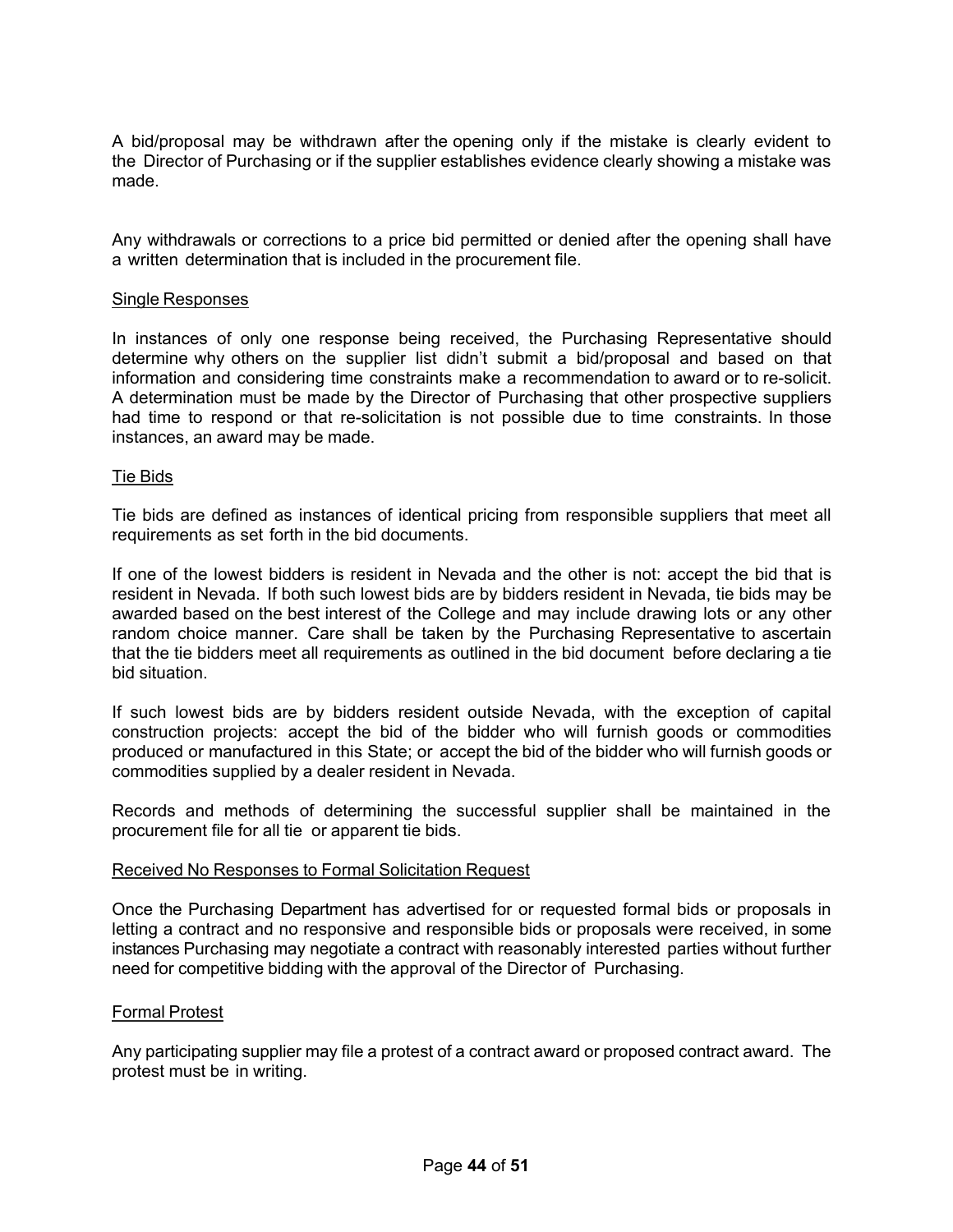A bid/proposal may be withdrawn after the opening only if the mistake is clearly evident to the Director of Purchasing or if the supplier establishes evidence clearly showing a mistake was made.

Any withdrawals or corrections to a price bid permitted or denied after the opening shall have a written determination that is included in the procurement file.

#### Single Responses

In instances of only one response being received, the Purchasing Representative should determine why others on the supplier list didn't submit a bid/proposal and based on that information and considering time constraints make a recommendation to award or to re-solicit. A determination must be made by the Director of Purchasing that other prospective suppliers had time to respond or that re-solicitation is not possible due to time constraints. In those instances, an award may be made.

#### Tie Bids

Tie bids are defined as instances of identical pricing from responsible suppliers that meet all requirements as set forth in the bid documents.

If one of the lowest bidders is resident in Nevada and the other is not: accept the bid that is resident in Nevada. If both such lowest bids are by bidders resident in Nevada, tie bids may be awarded based on the best interest of the College and may include drawing lots or any other random choice manner. Care shall be taken by the Purchasing Representative to ascertain that the tie bidders meet all requirements as outlined in the bid document before declaring a tie bid situation.

If such lowest bids are by bidders resident outside Nevada, with the exception of capital construction projects: accept the bid of the bidder who will furnish goods or commodities produced or manufactured in this State; or accept the bid of the bidder who will furnish goods or commodities supplied by a dealer resident in Nevada.

Records and methods of determining the successful supplier shall be maintained in the procurement file for all tie or apparent tie bids.

#### Received No Responses to Formal Solicitation Request

Once the Purchasing Department has advertised for or requested formal bids or proposals in letting a contract and no responsive and responsible bids or proposals were received, in some instances Purchasing may negotiate a contract with reasonably interested parties without further need for competitive bidding with the approval of the Director of Purchasing.

#### Formal Protest

Any participating supplier may file a protest of a contract award or proposed contract award. The protest must be in writing.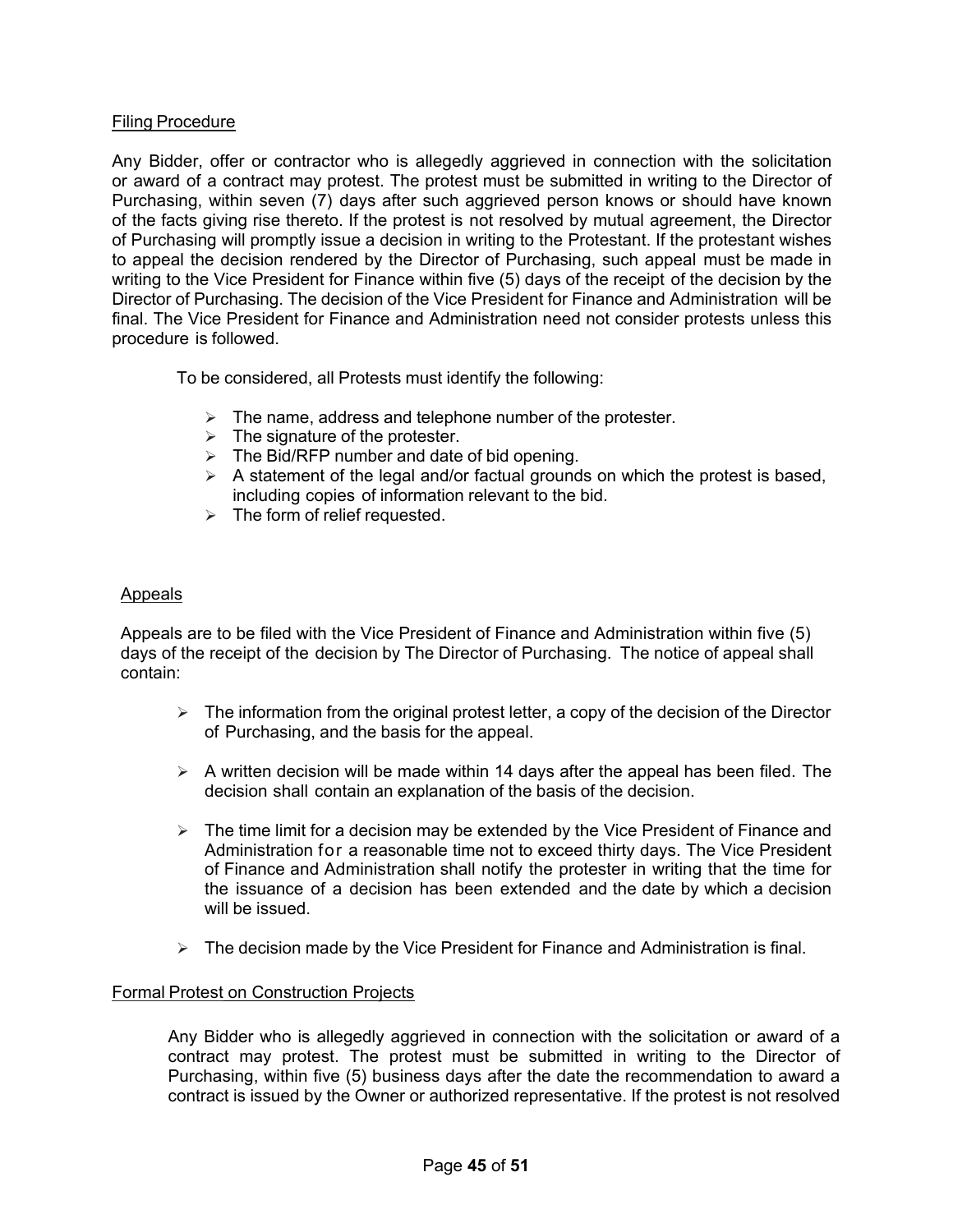#### Filing Procedure

Any Bidder, offer or contractor who is allegedly aggrieved in connection with the solicitation or award of a contract may protest. The protest must be submitted in writing to the Director of Purchasing, within seven (7) days after such aggrieved person knows or should have known of the facts giving rise thereto. If the protest is not resolved by mutual agreement, the Director of Purchasing will promptly issue a decision in writing to the Protestant. If the protestant wishes to appeal the decision rendered by the Director of Purchasing, such appeal must be made in writing to the Vice President for Finance within five (5) days of the receipt of the decision by the Director of Purchasing. The decision of the Vice President for Finance and Administration will be final. The Vice President for Finance and Administration need not consider protests unless this procedure is followed.

To be considered, all Protests must identify the following:

- $\triangleright$  The name, address and telephone number of the protester.
- $\triangleright$  The signature of the protester.
- $\triangleright$  The Bid/RFP number and date of bid opening.
- $\triangleright$  A statement of the legal and/or factual grounds on which the protest is based, including copies of information relevant to the bid.
- $\triangleright$  The form of relief requested.

#### Appeals

Appeals are to be filed with the Vice President of Finance and Administration within five (5) days of the receipt of the decision by The Director of Purchasing. The notice of appeal shall contain:

- $\triangleright$  The information from the original protest letter, a copy of the decision of the Director of Purchasing, and the basis for the appeal.
- $\triangleright$  A written decision will be made within 14 days after the appeal has been filed. The decision shall contain an explanation of the basis of the decision.
- $\triangleright$  The time limit for a decision may be extended by the Vice President of Finance and Administration for a reasonable time not to exceed thirty days. The Vice President of Finance and Administration shall notify the protester in writing that the time for the issuance of a decision has been extended and the date by which a decision will be issued.
- $\triangleright$  The decision made by the Vice President for Finance and Administration is final.

#### Formal Protest on Construction Projects

Any Bidder who is allegedly aggrieved in connection with the solicitation or award of a contract may protest. The protest must be submitted in writing to the Director of Purchasing, within five (5) business days after the date the recommendation to award a contract is issued by the Owner or authorized representative. If the protest is not resolved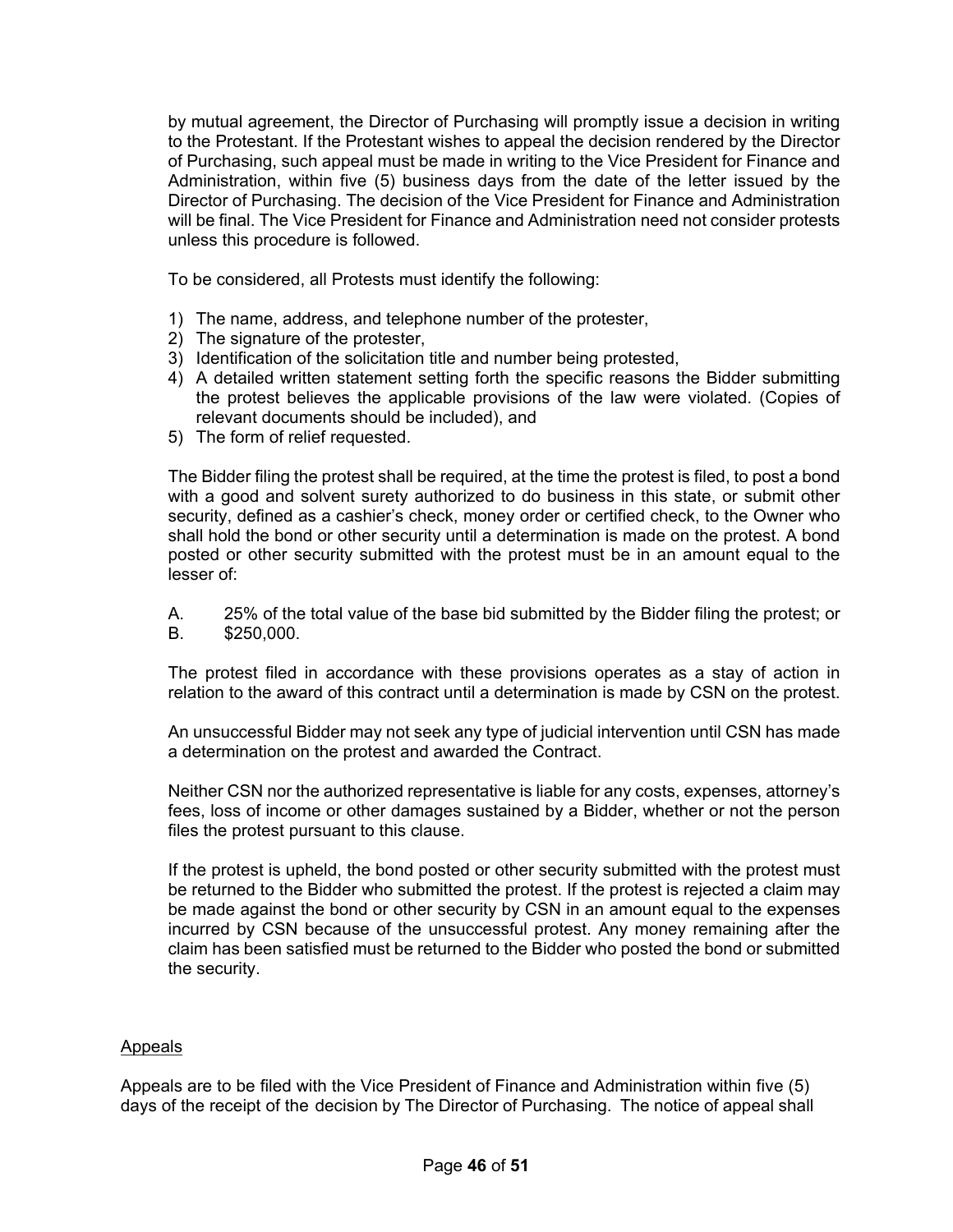by mutual agreement, the Director of Purchasing will promptly issue a decision in writing to the Protestant. If the Protestant wishes to appeal the decision rendered by the Director of Purchasing, such appeal must be made in writing to the Vice President for Finance and Administration, within five (5) business days from the date of the letter issued by the Director of Purchasing. The decision of the Vice President for Finance and Administration will be final. The Vice President for Finance and Administration need not consider protests unless this procedure is followed.

To be considered, all Protests must identify the following:

- 1) The name, address, and telephone number of the protester,
- 2) The signature of the protester,
- 3) Identification of the solicitation title and number being protested,
- 4) A detailed written statement setting forth the specific reasons the Bidder submitting the protest believes the applicable provisions of the law were violated. (Copies of relevant documents should be included), and
- 5) The form of relief requested.

The Bidder filing the protest shall be required, at the time the protest is filed, to post a bond with a good and solvent surety authorized to do business in this state, or submit other security, defined as a cashier's check, money order or certified check, to the Owner who shall hold the bond or other security until a determination is made on the protest. A bond posted or other security submitted with the protest must be in an amount equal to the lesser of:

A. 25% of the total value of the base bid submitted by the Bidder filing the protest; or B. \$250,000.

The protest filed in accordance with these provisions operates as a stay of action in relation to the award of this contract until a determination is made by CSN on the protest.

An unsuccessful Bidder may not seek any type of judicial intervention until CSN has made a determination on the protest and awarded the Contract.

Neither CSN nor the authorized representative is liable for any costs, expenses, attorney's fees, loss of income or other damages sustained by a Bidder, whether or not the person files the protest pursuant to this clause.

If the protest is upheld, the bond posted or other security submitted with the protest must be returned to the Bidder who submitted the protest. If the protest is rejected a claim may be made against the bond or other security by CSN in an amount equal to the expenses incurred by CSN because of the unsuccessful protest. Any money remaining after the claim has been satisfied must be returned to the Bidder who posted the bond or submitted the security.

#### **Appeals**

Appeals are to be filed with the Vice President of Finance and Administration within five (5) days of the receipt of the decision by The Director of Purchasing. The notice of appeal shall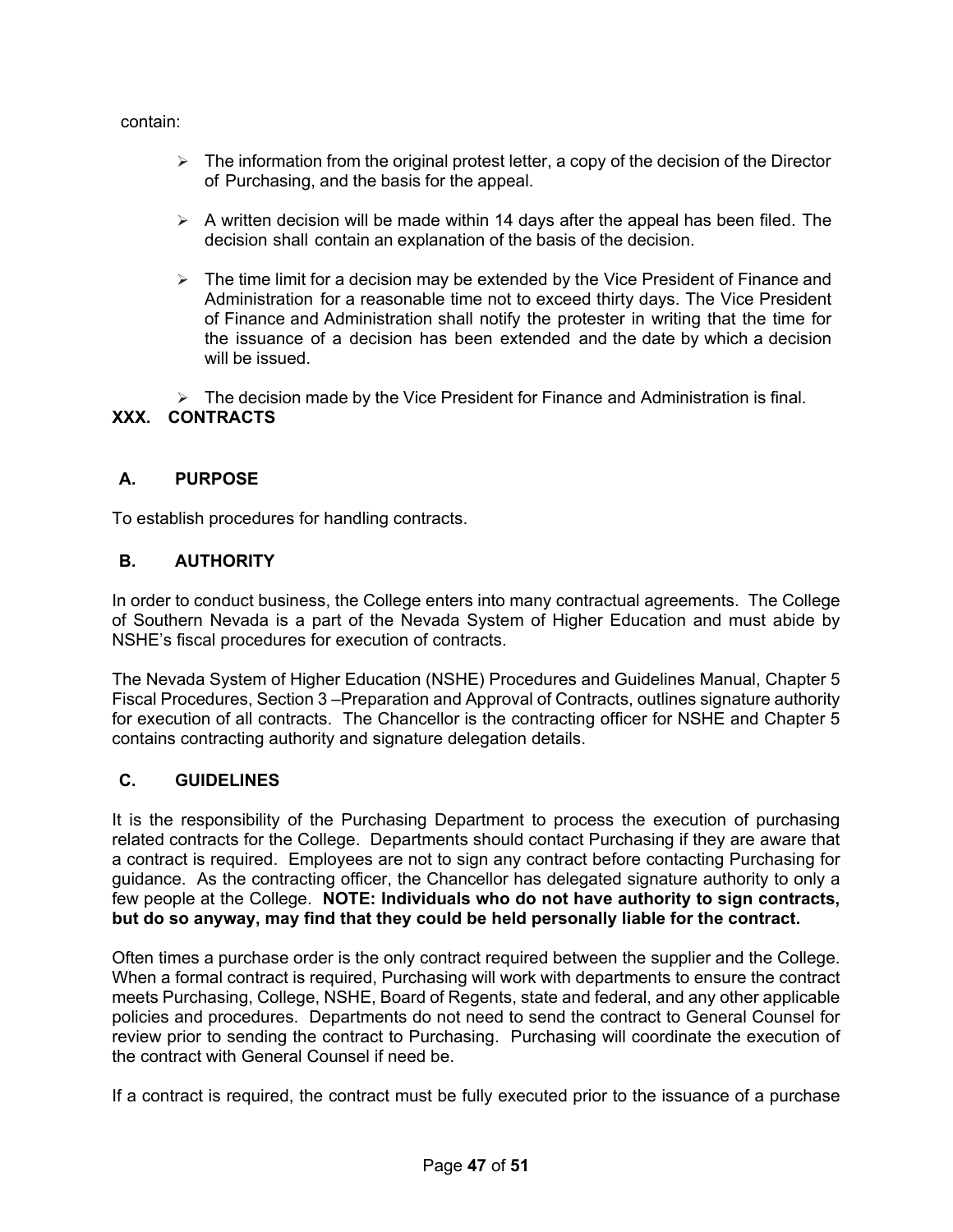contain:

- $\triangleright$  The information from the original protest letter, a copy of the decision of the Director of Purchasing, and the basis for the appeal.
- $\triangleright$  A written decision will be made within 14 days after the appeal has been filed. The decision shall contain an explanation of the basis of the decision.
- $\triangleright$  The time limit for a decision may be extended by the Vice President of Finance and Administration for a reasonable time not to exceed thirty days. The Vice President of Finance and Administration shall notify the protester in writing that the time for the issuance of a decision has been extended and the date by which a decision will be issued.

 $\triangleright$  The decision made by the Vice President for Finance and Administration is final.

# <span id="page-46-0"></span>**XXX. CONTRACTS**

# <span id="page-46-1"></span>**A. PURPOSE**

To establish procedures for handling contracts.

## <span id="page-46-2"></span>**B. AUTHORITY**

In order to conduct business, the College enters into many contractual agreements. The College of Southern Nevada is a part of the Nevada System of Higher Education and must abide by NSHE's fiscal procedures for execution of contracts.

The Nevada System of Higher Education (NSHE) Procedures and Guidelines Manual, Chapter 5 Fiscal Procedures, Section 3 –Preparation and Approval of Contracts, outlines signature authority for execution of all contracts. The Chancellor is the contracting officer for NSHE and Chapter 5 contains contracting authority and signature delegation details.

## <span id="page-46-3"></span>**C. GUIDELINES**

It is the responsibility of the Purchasing Department to process the execution of purchasing related contracts for the College. Departments should contact Purchasing if they are aware that a contract is required. Employees are not to sign any contract before contacting Purchasing for guidance. As the contracting officer, the Chancellor has delegated signature authority to only a few people at the College. **NOTE: Individuals who do not have authority to sign contracts, but do so anyway, may find that they could be held personally liable for the contract.**

Often times a purchase order is the only contract required between the supplier and the College. When a formal contract is required, Purchasing will work with departments to ensure the contract meets Purchasing, College, NSHE, Board of Regents, state and federal, and any other applicable policies and procedures. Departments do not need to send the contract to General Counsel for review prior to sending the contract to Purchasing. Purchasing will coordinate the execution of the contract with General Counsel if need be.

If a contract is required, the contract must be fully executed prior to the issuance of a purchase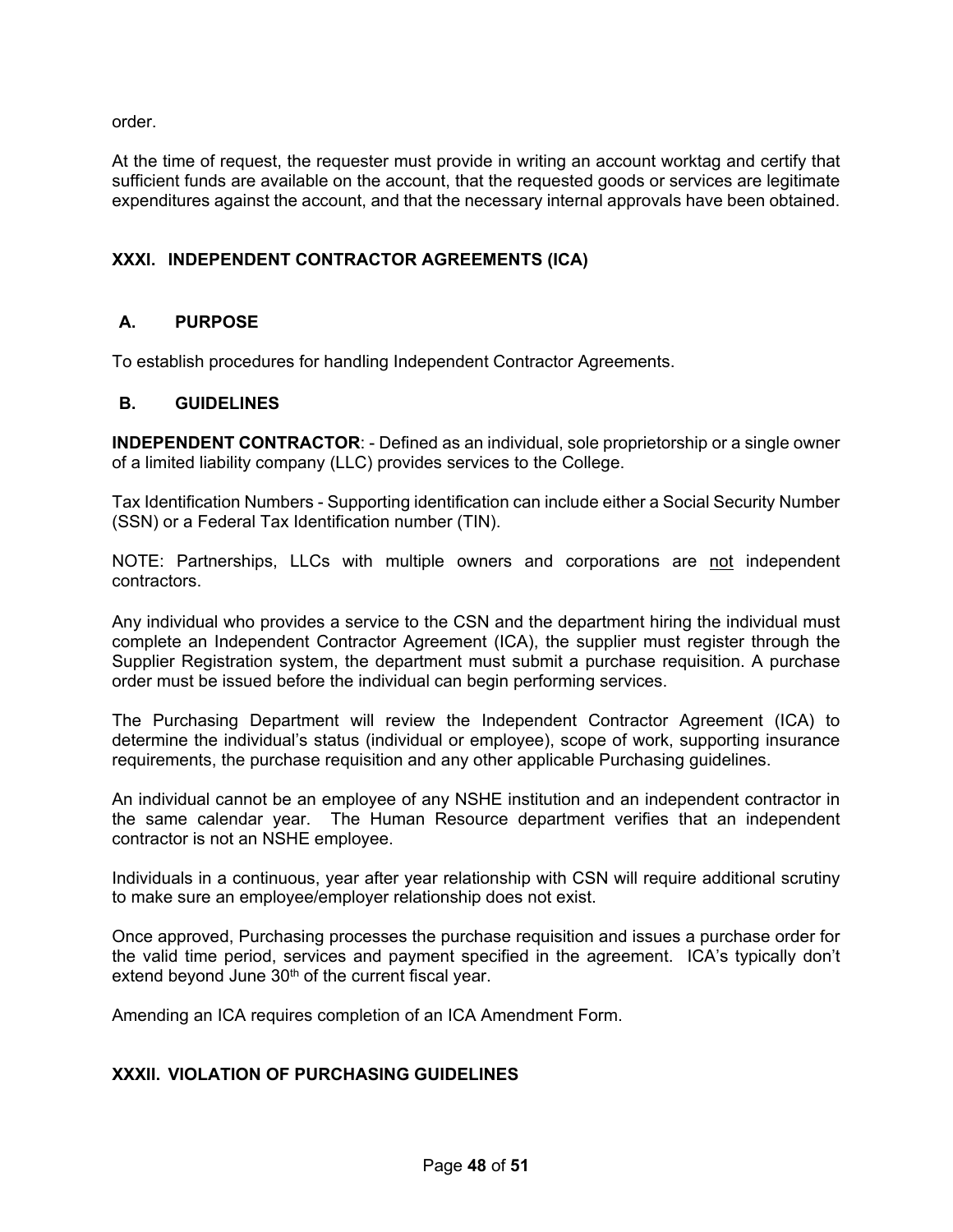order.

At the time of request, the requester must provide in writing an account worktag and certify that sufficient funds are available on the account, that the requested goods or services are legitimate expenditures against the account, and that the necessary internal approvals have been obtained.

## <span id="page-47-0"></span>**XXXI. INDEPENDENT CONTRACTOR AGREEMENTS (ICA)**

## <span id="page-47-1"></span>**A. PURPOSE**

To establish procedures for handling Independent Contractor Agreements.

#### <span id="page-47-2"></span>**B. GUIDELINES**

**INDEPENDENT CONTRACTOR:** - Defined as an individual, sole proprietorship or a single owner of a limited liability company (LLC) provides services to the College.

Tax Identification Numbers - Supporting identification can include either a Social Security Number (SSN) or a Federal Tax Identification number (TIN).

NOTE: Partnerships, LLCs with multiple owners and corporations are not independent contractors.

Any individual who provides a service to the CSN and the department hiring the individual must complete an Independent Contractor Agreement (ICA), the supplier must register through the Supplier Registration system, the department must submit a purchase requisition. A purchase order must be issued before the individual can begin performing services.

The Purchasing Department will review the Independent Contractor Agreement (ICA) to determine the individual's status (individual or employee), scope of work, supporting insurance requirements, the purchase requisition and any other applicable Purchasing guidelines.

An individual cannot be an employee of any NSHE institution and an independent contractor in the same calendar year. The Human Resource department verifies that an independent contractor is not an NSHE employee.

Individuals in a continuous, year after year relationship with CSN will require additional scrutiny to make sure an employee/employer relationship does not exist.

Once approved, Purchasing processes the purchase requisition and issues a purchase order for the valid time period, services and payment specified in the agreement. ICA's typically don't extend beyond June  $30<sup>th</sup>$  of the current fiscal year.

Amending an ICA requires completion of an ICA Amendment Form.

## <span id="page-47-3"></span>**XXXII. VIOLATION OF PURCHASING GUIDELINES**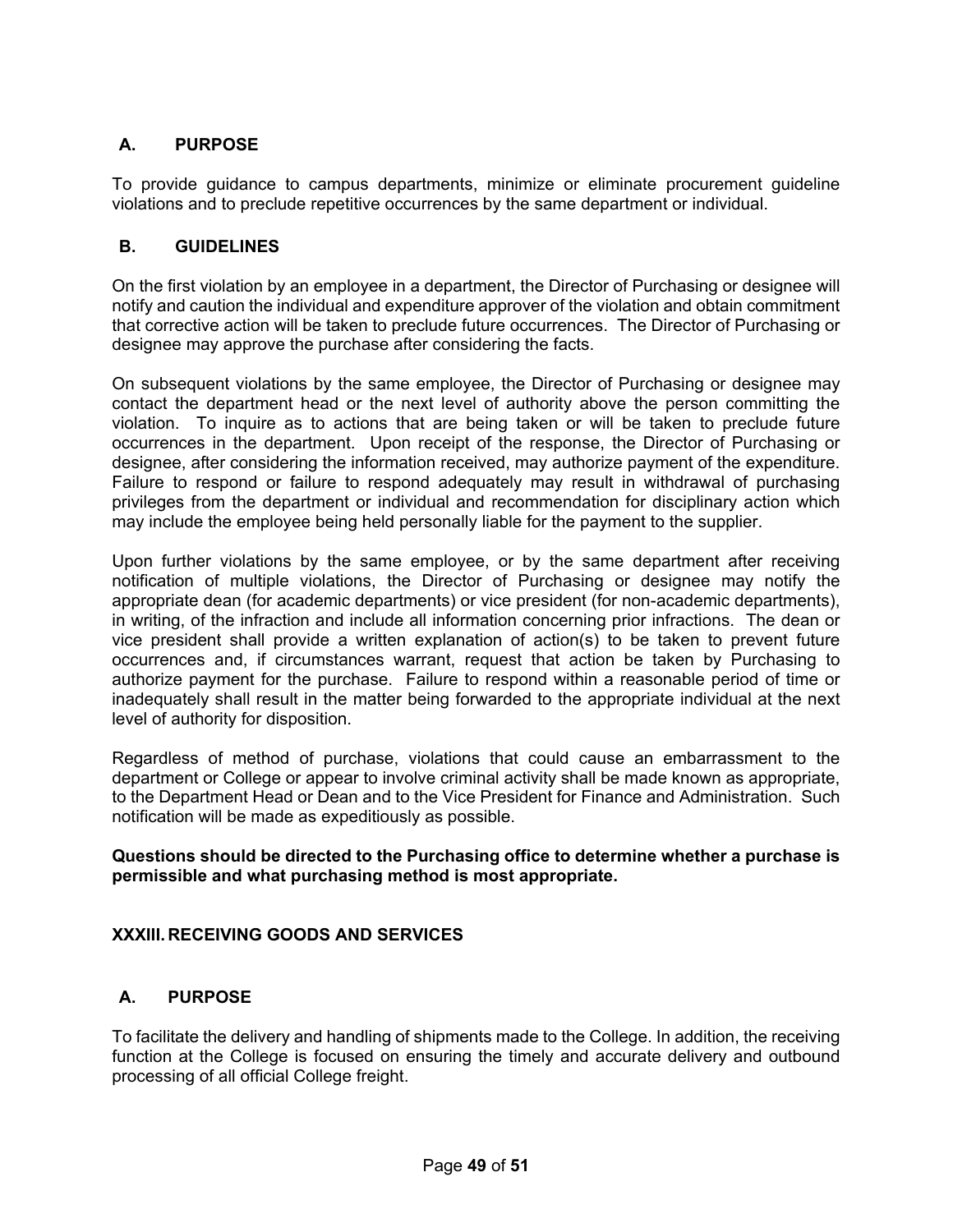# <span id="page-48-0"></span>**A. PURPOSE**

To provide guidance to campus departments, minimize or eliminate procurement guideline violations and to preclude repetitive occurrences by the same department or individual.

## <span id="page-48-1"></span>**B. GUIDELINES**

On the first violation by an employee in a department, the Director of Purchasing or designee will notify and caution the individual and expenditure approver of the violation and obtain commitment that corrective action will be taken to preclude future occurrences. The Director of Purchasing or designee may approve the purchase after considering the facts.

On subsequent violations by the same employee, the Director of Purchasing or designee may contact the department head or the next level of authority above the person committing the violation. To inquire as to actions that are being taken or will be taken to preclude future occurrences in the department. Upon receipt of the response, the Director of Purchasing or designee, after considering the information received, may authorize payment of the expenditure. Failure to respond or failure to respond adequately may result in withdrawal of purchasing privileges from the department or individual and recommendation for disciplinary action which may include the employee being held personally liable for the payment to the supplier.

Upon further violations by the same employee, or by the same department after receiving notification of multiple violations, the Director of Purchasing or designee may notify the appropriate dean (for academic departments) or vice president (for non-academic departments), in writing, of the infraction and include all information concerning prior infractions. The dean or vice president shall provide a written explanation of action(s) to be taken to prevent future occurrences and, if circumstances warrant, request that action be taken by Purchasing to authorize payment for the purchase. Failure to respond within a reasonable period of time or inadequately shall result in the matter being forwarded to the appropriate individual at the next level of authority for disposition.

Regardless of method of purchase, violations that could cause an embarrassment to the department or College or appear to involve criminal activity shall be made known as appropriate, to the Department Head or Dean and to the Vice President for Finance and Administration. Such notification will be made as expeditiously as possible.

## **Questions should be directed to the Purchasing office to determine whether a purchase is permissible and what purchasing method is most appropriate.**

## <span id="page-48-2"></span>**XXXIII. RECEIVING GOODS AND SERVICES**

# <span id="page-48-3"></span>**A. PURPOSE**

To facilitate the delivery and handling of shipments made to the College. In addition, the receiving function at the College is focused on ensuring the timely and accurate delivery and outbound processing of all official College freight.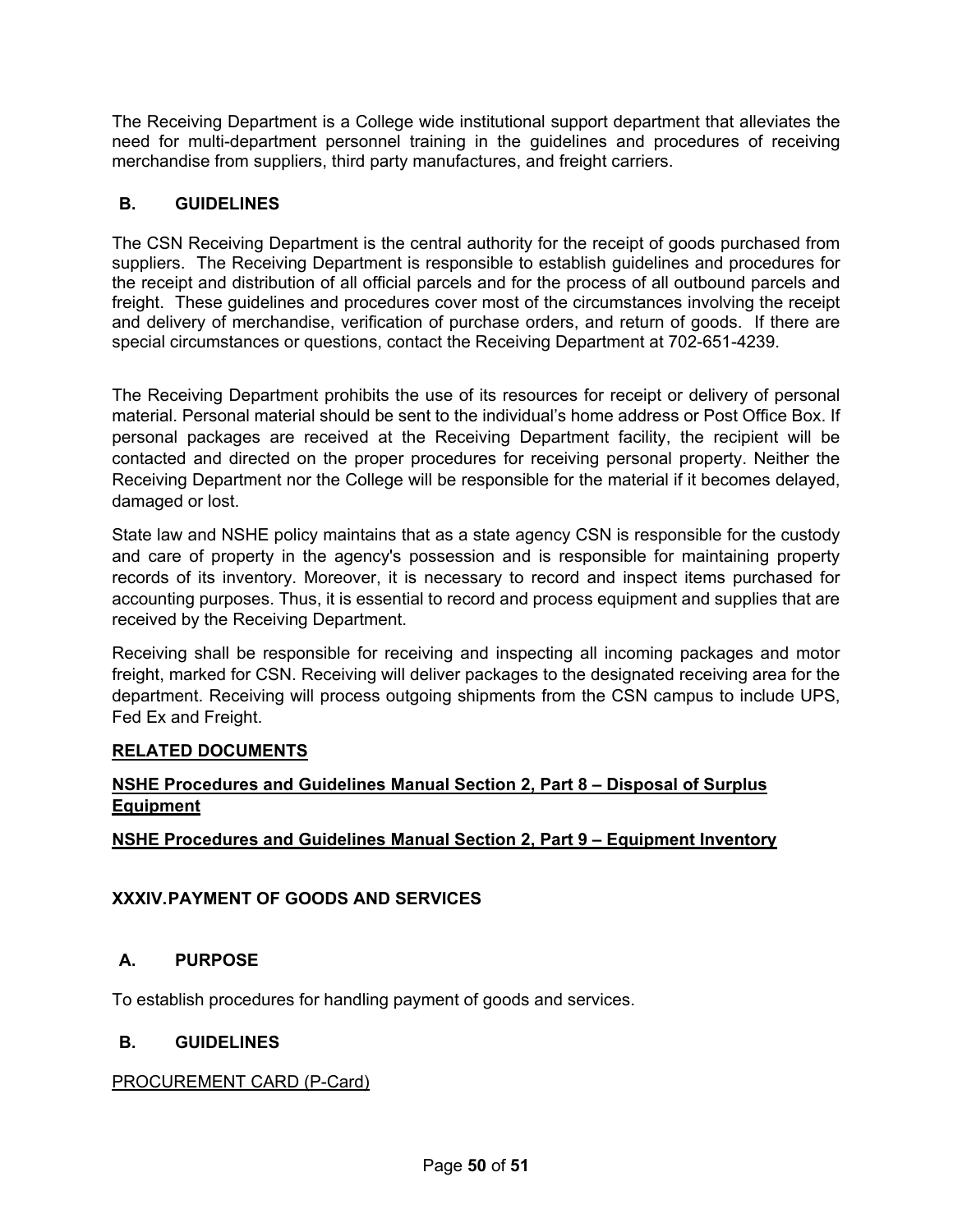The Receiving Department is a College wide institutional support department that alleviates the need for multi-department personnel training in the guidelines and procedures of receiving merchandise from suppliers, third party manufactures, and freight carriers.

# <span id="page-49-0"></span>**B. GUIDELINES**

The CSN Receiving Department is the central authority for the receipt of goods purchased from suppliers. The Receiving Department is responsible to establish guidelines and procedures for the receipt and distribution of all official parcels and for the process of all outbound parcels and freight. These guidelines and procedures cover most of the circumstances involving the receipt and delivery of merchandise, verification of purchase orders, and return of goods. If there are special circumstances or questions, contact the Receiving Department at 702-651-4239.

The Receiving Department prohibits the use of its resources for receipt or delivery of personal material. Personal material should be sent to the individual's home address or Post Office Box. If personal packages are received at the Receiving Department facility, the recipient will be contacted and directed on the proper procedures for receiving personal property. Neither the Receiving Department nor the College will be responsible for the material if it becomes delayed, damaged or lost.

State law and NSHE policy maintains that as a state agency CSN is responsible for the custody and care of property in the agency's possession and is responsible for maintaining property records of its inventory. Moreover, it is necessary to record and inspect items purchased for accounting purposes. Thus, it is essential to record and process equipment and supplies that are received by the Receiving Department.

Receiving shall be responsible for receiving and inspecting all incoming packages and motor freight, marked for CSN. Receiving will deliver packages to the designated receiving area for the department. Receiving will process outgoing shipments from the CSN campus to include UPS, Fed Ex and Freight.

# **RELATED DOCUMENTS**

# **NSHE Procedures and Guidelines Manual Section 2, Part 8 – Disposal of Surplus Equipment**

**NSHE Procedures and Guidelines Manual Section 2, Part 9 – Equipment Inventory** 

# <span id="page-49-1"></span>**XXXIV.PAYMENT OF GOODS AND SERVICES**

## <span id="page-49-2"></span>**A. PURPOSE**

To establish procedures for handling payment of goods and services.

## <span id="page-49-3"></span>**B. GUIDELINES**

## PROCUREMENT CARD (P-Card)